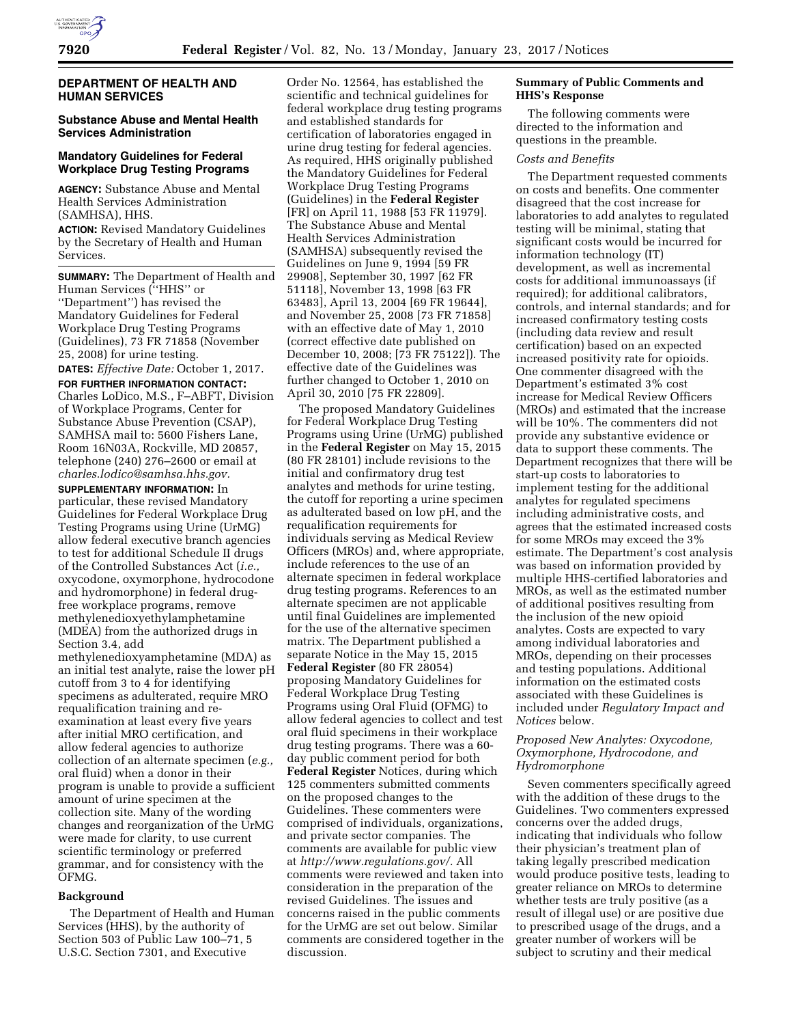

# **DEPARTMENT OF HEALTH AND HUMAN SERVICES**

# **Substance Abuse and Mental Health Services Administration**

# **Mandatory Guidelines for Federal Workplace Drug Testing Programs**

**AGENCY:** Substance Abuse and Mental Health Services Administration (SAMHSA), HHS.

**ACTION:** Revised Mandatory Guidelines by the Secretary of Health and Human Services.

**SUMMARY:** The Department of Health and Human Services (''HHS'' or ''Department'') has revised the Mandatory Guidelines for Federal Workplace Drug Testing Programs (Guidelines), 73 FR 71858 (November 25, 2008) for urine testing.

**DATES:** *Effective Date:* October 1, 2017.

**FOR FURTHER INFORMATION CONTACT:**  Charles LoDico, M.S., F–ABFT, Division of Workplace Programs, Center for Substance Abuse Prevention (CSAP), SAMHSA mail to: 5600 Fishers Lane, Room 16N03A, Rockville, MD 20857, telephone (240) 276–2600 or email at *[charles.lodico@samhsa.hhs.gov.](mailto:charles.lodico@samhsa.hhs.gov)* 

**SUPPLEMENTARY INFORMATION:** In particular, these revised Mandatory Guidelines for Federal Workplace Drug Testing Programs using Urine (UrMG) allow federal executive branch agencies to test for additional Schedule II drugs of the Controlled Substances Act (*i.e.,*  oxycodone, oxymorphone, hydrocodone and hydromorphone) in federal drugfree workplace programs, remove methylenedioxyethylamphetamine (MDEA) from the authorized drugs in Section 3.4, add

methylenedioxyamphetamine (MDA) as an initial test analyte, raise the lower pH cutoff from 3 to 4 for identifying specimens as adulterated, require MRO requalification training and reexamination at least every five years after initial MRO certification, and allow federal agencies to authorize collection of an alternate specimen (*e.g.,*  oral fluid) when a donor in their program is unable to provide a sufficient amount of urine specimen at the collection site. Many of the wording changes and reorganization of the UrMG were made for clarity, to use current scientific terminology or preferred grammar, and for consistency with the OFMG.

#### **Background**

The Department of Health and Human Services (HHS), by the authority of Section 503 of Public Law 100–71, 5 U.S.C. Section 7301, and Executive

Order No. 12564, has established the scientific and technical guidelines for federal workplace drug testing programs and established standards for certification of laboratories engaged in urine drug testing for federal agencies. As required, HHS originally published the Mandatory Guidelines for Federal Workplace Drug Testing Programs (Guidelines) in the **Federal Register**  [FR] on April 11, 1988 [53 FR 11979]. The Substance Abuse and Mental Health Services Administration (SAMHSA) subsequently revised the Guidelines on June 9, 1994 [59 FR 29908], September 30, 1997 [62 FR 51118], November 13, 1998 [63 FR 63483], April 13, 2004 [69 FR 19644], and November 25, 2008 [73 FR 71858] with an effective date of May 1, 2010 (correct effective date published on December 10, 2008; [73 FR 75122]). The effective date of the Guidelines was further changed to October 1, 2010 on April 30, 2010 [75 FR 22809].

The proposed Mandatory Guidelines for Federal Workplace Drug Testing Programs using Urine (UrMG) published in the **Federal Register** on May 15, 2015 (80 FR 28101) include revisions to the initial and confirmatory drug test analytes and methods for urine testing, the cutoff for reporting a urine specimen as adulterated based on low pH, and the requalification requirements for individuals serving as Medical Review Officers (MROs) and, where appropriate, include references to the use of an alternate specimen in federal workplace drug testing programs. References to an alternate specimen are not applicable until final Guidelines are implemented for the use of the alternative specimen matrix. The Department published a separate Notice in the May 15, 2015 **Federal Register** (80 FR 28054) proposing Mandatory Guidelines for Federal Workplace Drug Testing Programs using Oral Fluid (OFMG) to allow federal agencies to collect and test oral fluid specimens in their workplace drug testing programs. There was a 60 day public comment period for both **Federal Register** Notices, during which 125 commenters submitted comments on the proposed changes to the Guidelines. These commenters were comprised of individuals, organizations, and private sector companies. The comments are available for public view at *[http://www.regulations.gov/.](http://www.regulations.gov/)* All comments were reviewed and taken into consideration in the preparation of the revised Guidelines. The issues and concerns raised in the public comments for the UrMG are set out below. Similar comments are considered together in the discussion.

# **Summary of Public Comments and HHS's Response**

The following comments were directed to the information and questions in the preamble.

#### *Costs and Benefits*

The Department requested comments on costs and benefits. One commenter disagreed that the cost increase for laboratories to add analytes to regulated testing will be minimal, stating that significant costs would be incurred for information technology (IT) development, as well as incremental costs for additional immunoassays (if required); for additional calibrators, controls, and internal standards; and for increased confirmatory testing costs (including data review and result certification) based on an expected increased positivity rate for opioids. One commenter disagreed with the Department's estimated 3% cost increase for Medical Review Officers (MROs) and estimated that the increase will be 10%. The commenters did not provide any substantive evidence or data to support these comments. The Department recognizes that there will be start-up costs to laboratories to implement testing for the additional analytes for regulated specimens including administrative costs, and agrees that the estimated increased costs for some MROs may exceed the 3% estimate. The Department's cost analysis was based on information provided by multiple HHS-certified laboratories and MROs, as well as the estimated number of additional positives resulting from the inclusion of the new opioid analytes. Costs are expected to vary among individual laboratories and MROs, depending on their processes and testing populations. Additional information on the estimated costs associated with these Guidelines is included under *Regulatory Impact and Notices* below.

# *Proposed New Analytes: Oxycodone, Oxymorphone, Hydrocodone, and Hydromorphone*

Seven commenters specifically agreed with the addition of these drugs to the Guidelines. Two commenters expressed concerns over the added drugs, indicating that individuals who follow their physician's treatment plan of taking legally prescribed medication would produce positive tests, leading to greater reliance on MROs to determine whether tests are truly positive (as a result of illegal use) or are positive due to prescribed usage of the drugs, and a greater number of workers will be subject to scrutiny and their medical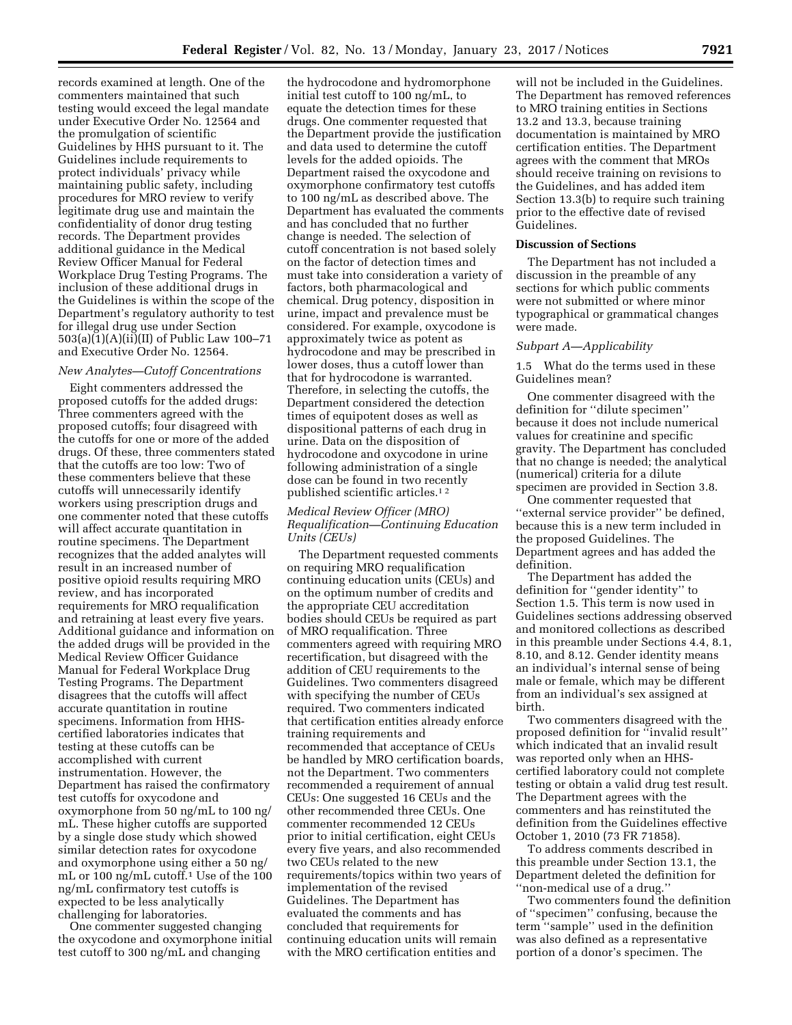records examined at length. One of the commenters maintained that such testing would exceed the legal mandate under Executive Order No. 12564 and the promulgation of scientific Guidelines by HHS pursuant to it. The Guidelines include requirements to protect individuals' privacy while maintaining public safety, including procedures for MRO review to verify legitimate drug use and maintain the confidentiality of donor drug testing records. The Department provides additional guidance in the Medical Review Officer Manual for Federal Workplace Drug Testing Programs. The inclusion of these additional drugs in the Guidelines is within the scope of the Department's regulatory authority to test for illegal drug use under Section 503(a)(1)(A)(ii)(II) of Public Law 100–71 and Executive Order No. 12564.

# *New Analytes—Cutoff Concentrations*

Eight commenters addressed the proposed cutoffs for the added drugs: Three commenters agreed with the proposed cutoffs; four disagreed with the cutoffs for one or more of the added drugs. Of these, three commenters stated that the cutoffs are too low: Two of these commenters believe that these cutoffs will unnecessarily identify workers using prescription drugs and one commenter noted that these cutoffs will affect accurate quantitation in routine specimens. The Department recognizes that the added analytes will result in an increased number of positive opioid results requiring MRO review, and has incorporated requirements for MRO requalification and retraining at least every five years. Additional guidance and information on the added drugs will be provided in the Medical Review Officer Guidance Manual for Federal Workplace Drug Testing Programs. The Department disagrees that the cutoffs will affect accurate quantitation in routine specimens. Information from HHScertified laboratories indicates that testing at these cutoffs can be accomplished with current instrumentation. However, the Department has raised the confirmatory test cutoffs for oxycodone and oxymorphone from 50 ng/mL to 100 ng/ mL. These higher cutoffs are supported by a single dose study which showed similar detection rates for oxycodone and oxymorphone using either a 50 ng/ mL or 100 ng/mL cutoff.1 Use of the 100 ng/mL confirmatory test cutoffs is expected to be less analytically challenging for laboratories.

One commenter suggested changing the oxycodone and oxymorphone initial test cutoff to 300 ng/mL and changing

the hydrocodone and hydromorphone initial test cutoff to 100 ng/mL, to equate the detection times for these drugs. One commenter requested that the Department provide the justification and data used to determine the cutoff levels for the added opioids. The Department raised the oxycodone and oxymorphone confirmatory test cutoffs to 100 ng/mL as described above. The Department has evaluated the comments and has concluded that no further change is needed. The selection of cutoff concentration is not based solely on the factor of detection times and must take into consideration a variety of factors, both pharmacological and chemical. Drug potency, disposition in urine, impact and prevalence must be considered. For example, oxycodone is approximately twice as potent as hydrocodone and may be prescribed in lower doses, thus a cutoff lower than that for hydrocodone is warranted. Therefore, in selecting the cutoffs, the Department considered the detection times of equipotent doses as well as dispositional patterns of each drug in urine. Data on the disposition of hydrocodone and oxycodone in urine following administration of a single dose can be found in two recently published scientific articles.1 2

# *Medical Review Officer (MRO) Requalification—Continuing Education Units (CEUs)*

The Department requested comments on requiring MRO requalification continuing education units (CEUs) and on the optimum number of credits and the appropriate CEU accreditation bodies should CEUs be required as part of MRO requalification. Three commenters agreed with requiring MRO recertification, but disagreed with the addition of CEU requirements to the Guidelines. Two commenters disagreed with specifying the number of CEUs required. Two commenters indicated that certification entities already enforce training requirements and recommended that acceptance of CEUs be handled by MRO certification boards, not the Department. Two commenters recommended a requirement of annual CEUs: One suggested 16 CEUs and the other recommended three CEUs. One commenter recommended 12 CEUs prior to initial certification, eight CEUs every five years, and also recommended two CEUs related to the new requirements/topics within two years of implementation of the revised Guidelines. The Department has evaluated the comments and has concluded that requirements for continuing education units will remain with the MRO certification entities and

will not be included in the Guidelines. The Department has removed references to MRO training entities in Sections 13.2 and 13.3, because training documentation is maintained by MRO certification entities. The Department agrees with the comment that MROs should receive training on revisions to the Guidelines, and has added item Section 13.3(b) to require such training prior to the effective date of revised Guidelines.

#### **Discussion of Sections**

The Department has not included a discussion in the preamble of any sections for which public comments were not submitted or where minor typographical or grammatical changes were made.

# *Subpart A—Applicability*

1.5 What do the terms used in these Guidelines mean?

One commenter disagreed with the definition for ''dilute specimen'' because it does not include numerical values for creatinine and specific gravity. The Department has concluded that no change is needed; the analytical (numerical) criteria for a dilute specimen are provided in Section 3.8.

One commenter requested that "external service provider" be defined, because this is a new term included in the proposed Guidelines. The Department agrees and has added the definition.

The Department has added the definition for ''gender identity'' to Section 1.5. This term is now used in Guidelines sections addressing observed and monitored collections as described in this preamble under Sections 4.4, 8.1, 8.10, and 8.12. Gender identity means an individual's internal sense of being male or female, which may be different from an individual's sex assigned at birth.

Two commenters disagreed with the proposed definition for ''invalid result'' which indicated that an invalid result was reported only when an HHScertified laboratory could not complete testing or obtain a valid drug test result. The Department agrees with the commenters and has reinstituted the definition from the Guidelines effective October 1, 2010 (73 FR 71858).

To address comments described in this preamble under Section 13.1, the Department deleted the definition for ''non-medical use of a drug.''

Two commenters found the definition of ''specimen'' confusing, because the term ''sample'' used in the definition was also defined as a representative portion of a donor's specimen. The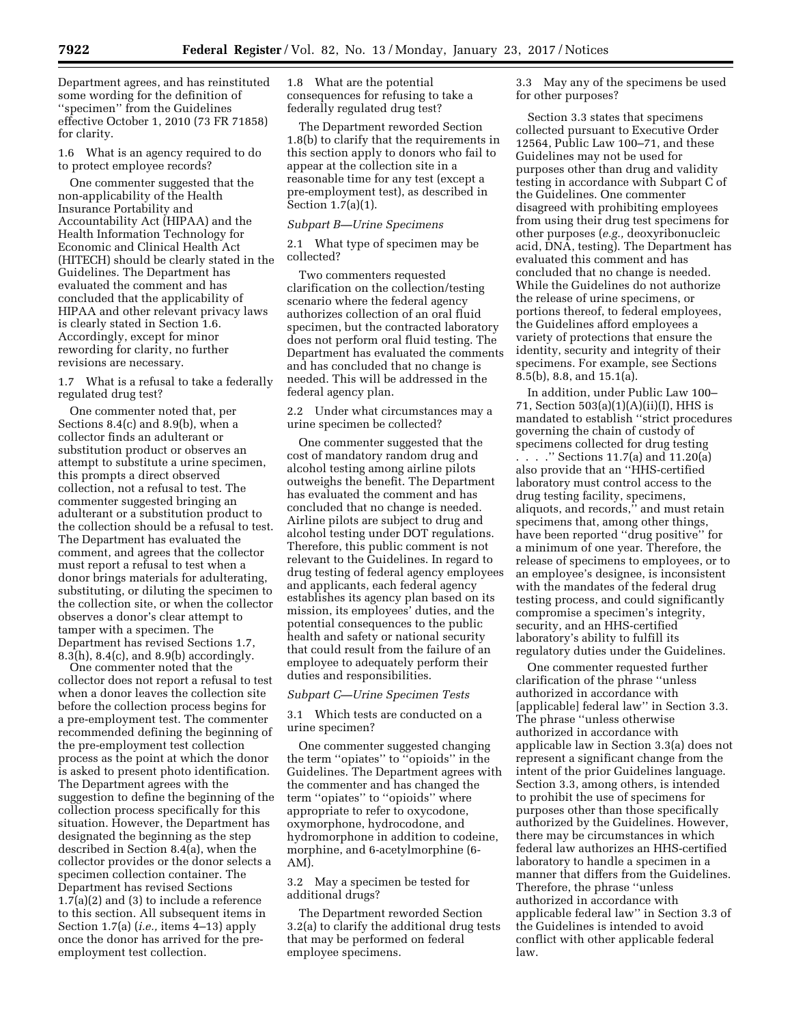Department agrees, and has reinstituted some wording for the definition of ''specimen'' from the Guidelines effective October 1, 2010 (73 FR 71858) for clarity.

1.6 What is an agency required to do to protect employee records?

One commenter suggested that the non-applicability of the Health Insurance Portability and Accountability Act (HIPAA) and the Health Information Technology for Economic and Clinical Health Act (HITECH) should be clearly stated in the Guidelines. The Department has evaluated the comment and has concluded that the applicability of HIPAA and other relevant privacy laws is clearly stated in Section 1.6. Accordingly, except for minor rewording for clarity, no further revisions are necessary.

1.7 What is a refusal to take a federally regulated drug test?

One commenter noted that, per Sections 8.4(c) and 8.9(b), when a collector finds an adulterant or substitution product or observes an attempt to substitute a urine specimen, this prompts a direct observed collection, not a refusal to test. The commenter suggested bringing an adulterant or a substitution product to the collection should be a refusal to test. The Department has evaluated the comment, and agrees that the collector must report a refusal to test when a donor brings materials for adulterating, substituting, or diluting the specimen to the collection site, or when the collector observes a donor's clear attempt to tamper with a specimen. The Department has revised Sections 1.7, 8.3(h), 8.4(c), and 8.9(b) accordingly.

One commenter noted that the collector does not report a refusal to test when a donor leaves the collection site before the collection process begins for a pre-employment test. The commenter recommended defining the beginning of the pre-employment test collection process as the point at which the donor is asked to present photo identification. The Department agrees with the suggestion to define the beginning of the collection process specifically for this situation. However, the Department has designated the beginning as the step described in Section 8.4(a), when the collector provides or the donor selects a specimen collection container. The Department has revised Sections 1.7(a)(2) and (3) to include a reference to this section. All subsequent items in Section 1.7(a) (*i.e.,* items 4–13) apply once the donor has arrived for the preemployment test collection.

1.8 What are the potential consequences for refusing to take a federally regulated drug test?

The Department reworded Section 1.8(b) to clarify that the requirements in this section apply to donors who fail to appear at the collection site in a reasonable time for any test (except a pre-employment test), as described in Section  $1.\overline{7}$ (a)(1).

#### *Subpart B—Urine Specimens*

2.1 What type of specimen may be collected?

Two commenters requested clarification on the collection/testing scenario where the federal agency authorizes collection of an oral fluid specimen, but the contracted laboratory does not perform oral fluid testing. The Department has evaluated the comments and has concluded that no change is needed. This will be addressed in the federal agency plan.

2.2 Under what circumstances may a urine specimen be collected?

One commenter suggested that the cost of mandatory random drug and alcohol testing among airline pilots outweighs the benefit. The Department has evaluated the comment and has concluded that no change is needed. Airline pilots are subject to drug and alcohol testing under DOT regulations. Therefore, this public comment is not relevant to the Guidelines. In regard to drug testing of federal agency employees and applicants, each federal agency establishes its agency plan based on its mission, its employees' duties, and the potential consequences to the public health and safety or national security that could result from the failure of an employee to adequately perform their duties and responsibilities.

#### *Subpart C—Urine Specimen Tests*

3.1 Which tests are conducted on a urine specimen?

One commenter suggested changing the term ''opiates'' to ''opioids'' in the Guidelines. The Department agrees with the commenter and has changed the term ''opiates'' to ''opioids'' where appropriate to refer to oxycodone, oxymorphone, hydrocodone, and hydromorphone in addition to codeine, morphine, and 6-acetylmorphine (6- AM).

3.2 May a specimen be tested for additional drugs?

The Department reworded Section 3.2(a) to clarify the additional drug tests that may be performed on federal employee specimens.

3.3 May any of the specimens be used for other purposes?

Section 3.3 states that specimens collected pursuant to Executive Order 12564, Public Law 100–71, and these Guidelines may not be used for purposes other than drug and validity testing in accordance with Subpart C of the Guidelines. One commenter disagreed with prohibiting employees from using their drug test specimens for other purposes (*e.g.,* deoxyribonucleic acid, DNA, testing). The Department has evaluated this comment and has concluded that no change is needed. While the Guidelines do not authorize the release of urine specimens, or portions thereof, to federal employees, the Guidelines afford employees a variety of protections that ensure the identity, security and integrity of their specimens. For example, see Sections 8.5(b), 8.8, and 15.1(a).

In addition, under Public Law 100– 71, Section 503(a)(1)(A)(ii)(I), HHS is mandated to establish ''strict procedures governing the chain of custody of specimens collected for drug testing . . . .'' Sections 11.7(a) and 11.20(a) also provide that an ''HHS-certified laboratory must control access to the drug testing facility, specimens, aliquots, and records,'' and must retain specimens that, among other things, have been reported ''drug positive'' for a minimum of one year. Therefore, the release of specimens to employees, or to an employee's designee, is inconsistent with the mandates of the federal drug testing process, and could significantly compromise a specimen's integrity, security, and an HHS-certified laboratory's ability to fulfill its regulatory duties under the Guidelines.

One commenter requested further clarification of the phrase ''unless authorized in accordance with [applicable] federal law'' in Section 3.3. The phrase ''unless otherwise authorized in accordance with applicable law in Section 3.3(a) does not represent a significant change from the intent of the prior Guidelines language. Section 3.3, among others, is intended to prohibit the use of specimens for purposes other than those specifically authorized by the Guidelines. However, there may be circumstances in which federal law authorizes an HHS-certified laboratory to handle a specimen in a manner that differs from the Guidelines. Therefore, the phrase ''unless authorized in accordance with applicable federal law'' in Section 3.3 of the Guidelines is intended to avoid conflict with other applicable federal law.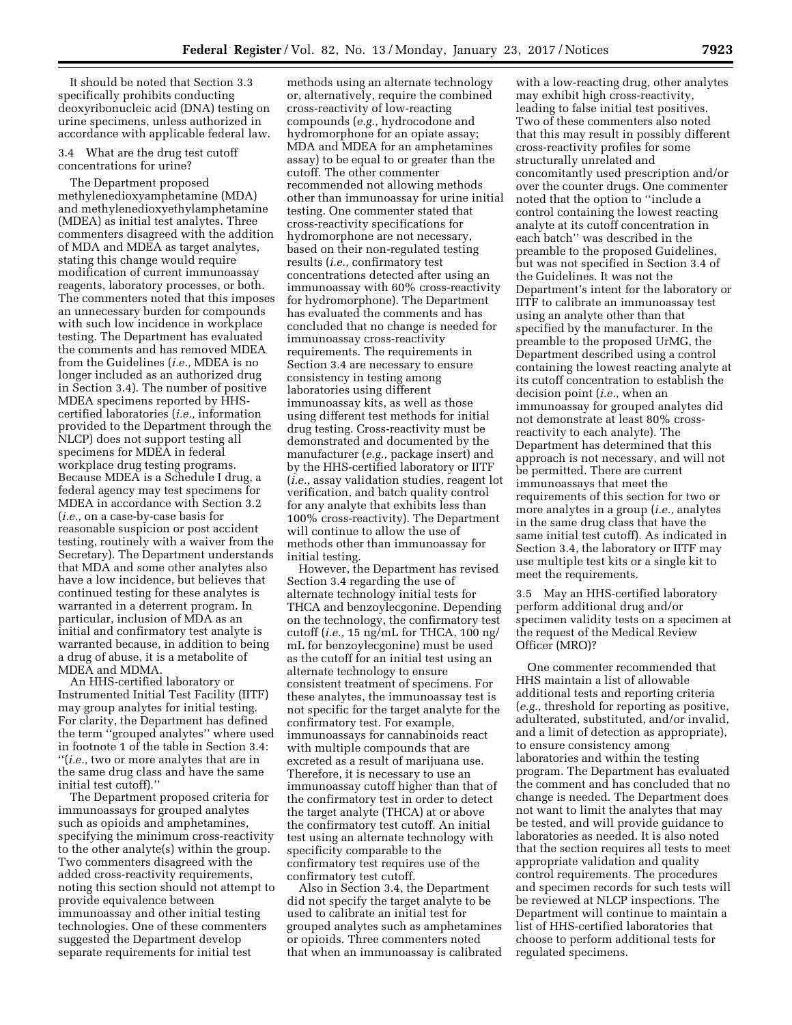It should be noted that Section 3.3 specifically prohibits conducting deoxyribonucleic acid (DNA) testing on urine specimens, unless authorized in accordance with applicable federal law.

#### 3.4 What are the drug test cutoff concentrations for urine?

The Department proposed methylenedioxyamphetamine (MDA) and methylenedioxyethylamphetamine (MDEA) as initial test analytes. Three commenters disagreed with the addition of MDA and MDEA as target analytes, stating this change would require modification of current immunoassay reagents, laboratory processes, or both. The commenters noted that this imposes an unnecessary burden for compounds with such low incidence in workplace testing. The Department has evaluated the comments and has removed MDEA from the Guidelines (*i.e.,* MDEA is no longer included as an authorized drug in Section 3.4). The number of positive MDEA specimens reported by HHScertified laboratories (*i.e.,* information provided to the Department through the NLCP) does not support testing all specimens for MDEA in federal workplace drug testing programs. Because MDEA is a Schedule I drug, a federal agency may test specimens for MDEA in accordance with Section 3.2 (*i.e.,* on a case-by-case basis for reasonable suspicion or post accident testing, routinely with a waiver from the Secretary). The Department understands that MDA and some other analytes also have a low incidence, but believes that continued testing for these analytes is warranted in a deterrent program. In particular, inclusion of MDA as an initial and confirmatory test analyte is warranted because, in addition to being a drug of abuse, it is a metabolite of MDEA and MDMA.

An HHS-certified laboratory or Instrumented Initial Test Facility (IITF) may group analytes for initial testing. For clarity, the Department has defined the term ''grouped analytes'' where used in footnote 1 of the table in Section 3.4: ''(*i.e.,* two or more analytes that are in the same drug class and have the same initial test cutoff).''

The Department proposed criteria for immunoassays for grouped analytes such as opioids and amphetamines, specifying the minimum cross-reactivity to the other analyte(s) within the group. Two commenters disagreed with the added cross-reactivity requirements, noting this section should not attempt to provide equivalence between immunoassay and other initial testing technologies. One of these commenters suggested the Department develop separate requirements for initial test

methods using an alternate technology or, alternatively, require the combined cross-reactivity of low-reacting compounds (*e.g.,* hydrocodone and hydromorphone for an opiate assay; MDA and MDEA for an amphetamines assay) to be equal to or greater than the cutoff. The other commenter recommended not allowing methods other than immunoassay for urine initial testing. One commenter stated that cross-reactivity specifications for hydromorphone are not necessary, based on their non-regulated testing results (*i.e.,* confirmatory test concentrations detected after using an immunoassay with 60% cross-reactivity for hydromorphone). The Department has evaluated the comments and has concluded that no change is needed for immunoassay cross-reactivity requirements. The requirements in Section 3.4 are necessary to ensure consistency in testing among laboratories using different immunoassay kits, as well as those using different test methods for initial drug testing. Cross-reactivity must be demonstrated and documented by the manufacturer (*e.g.,* package insert) and by the HHS-certified laboratory or IITF (*i.e.,* assay validation studies, reagent lot verification, and batch quality control for any analyte that exhibits less than 100% cross-reactivity). The Department will continue to allow the use of methods other than immunoassay for initial testing.

However, the Department has revised Section 3.4 regarding the use of alternate technology initial tests for THCA and benzoylecgonine. Depending on the technology, the confirmatory test cutoff (*i.e.,* 15 ng/mL for THCA, 100 ng/ mL for benzoylecgonine) must be used as the cutoff for an initial test using an alternate technology to ensure consistent treatment of specimens. For these analytes, the immunoassay test is not specific for the target analyte for the confirmatory test. For example, immunoassays for cannabinoids react with multiple compounds that are excreted as a result of marijuana use. Therefore, it is necessary to use an immunoassay cutoff higher than that of the confirmatory test in order to detect the target analyte (THCA) at or above the confirmatory test cutoff. An initial test using an alternate technology with specificity comparable to the confirmatory test requires use of the confirmatory test cutoff.

Also in Section 3.4, the Department did not specify the target analyte to be used to calibrate an initial test for grouped analytes such as amphetamines or opioids. Three commenters noted that when an immunoassay is calibrated

with a low-reacting drug, other analytes may exhibit high cross-reactivity, leading to false initial test positives. Two of these commenters also noted that this may result in possibly different cross-reactivity profiles for some structurally unrelated and concomitantly used prescription and/or over the counter drugs. One commenter noted that the option to ''include a control containing the lowest reacting analyte at its cutoff concentration in each batch'' was described in the preamble to the proposed Guidelines, but was not specified in Section 3.4 of the Guidelines. It was not the Department's intent for the laboratory or IITF to calibrate an immunoassay test using an analyte other than that specified by the manufacturer. In the preamble to the proposed UrMG, the Department described using a control containing the lowest reacting analyte at its cutoff concentration to establish the decision point (*i.e.,* when an immunoassay for grouped analytes did not demonstrate at least 80% crossreactivity to each analyte). The Department has determined that this approach is not necessary, and will not be permitted. There are current immunoassays that meet the requirements of this section for two or more analytes in a group (*i.e.,* analytes in the same drug class that have the same initial test cutoff). As indicated in Section 3.4, the laboratory or IITF may use multiple test kits or a single kit to meet the requirements.

3.5 May an HHS-certified laboratory perform additional drug and/or specimen validity tests on a specimen at the request of the Medical Review Officer (MRO)?

One commenter recommended that HHS maintain a list of allowable additional tests and reporting criteria (*e.g.,* threshold for reporting as positive, adulterated, substituted, and/or invalid, and a limit of detection as appropriate), to ensure consistency among laboratories and within the testing program. The Department has evaluated the comment and has concluded that no change is needed. The Department does not want to limit the analytes that may be tested, and will provide guidance to laboratories as needed. It is also noted that the section requires all tests to meet appropriate validation and quality control requirements. The procedures and specimen records for such tests will be reviewed at NLCP inspections. The Department will continue to maintain a list of HHS-certified laboratories that choose to perform additional tests for regulated specimens.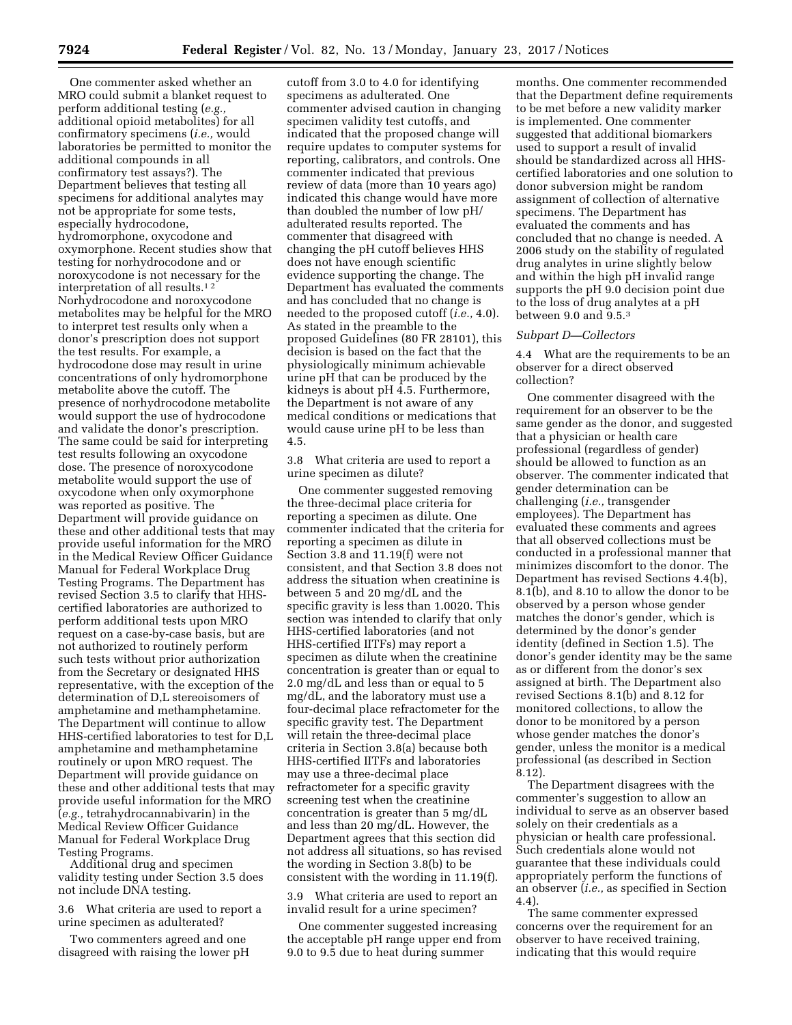One commenter asked whether an MRO could submit a blanket request to perform additional testing (*e.g.,*  additional opioid metabolites) for all confirmatory specimens (*i.e.,* would laboratories be permitted to monitor the additional compounds in all confirmatory test assays?). The Department believes that testing all specimens for additional analytes may not be appropriate for some tests, especially hydrocodone, hydromorphone, oxycodone and oxymorphone. Recent studies show that testing for norhydrocodone and or noroxycodone is not necessary for the interpretation of all results.1 2 Norhydrocodone and noroxycodone metabolites may be helpful for the MRO to interpret test results only when a donor's prescription does not support the test results. For example, a hydrocodone dose may result in urine concentrations of only hydromorphone metabolite above the cutoff. The presence of norhydrocodone metabolite would support the use of hydrocodone and validate the donor's prescription. The same could be said for interpreting test results following an oxycodone dose. The presence of noroxycodone metabolite would support the use of oxycodone when only oxymorphone was reported as positive. The Department will provide guidance on these and other additional tests that may provide useful information for the MRO in the Medical Review Officer Guidance Manual for Federal Workplace Drug Testing Programs. The Department has revised Section 3.5 to clarify that HHScertified laboratories are authorized to perform additional tests upon MRO request on a case-by-case basis, but are not authorized to routinely perform such tests without prior authorization from the Secretary or designated HHS representative, with the exception of the determination of D,L stereoisomers of amphetamine and methamphetamine. The Department will continue to allow HHS-certified laboratories to test for D,L amphetamine and methamphetamine routinely or upon MRO request. The Department will provide guidance on these and other additional tests that may provide useful information for the MRO (*e.g.,* tetrahydrocannabivarin) in the Medical Review Officer Guidance Manual for Federal Workplace Drug Testing Programs.

Additional drug and specimen validity testing under Section 3.5 does not include DNA testing.

3.6 What criteria are used to report a urine specimen as adulterated?

Two commenters agreed and one disagreed with raising the lower pH

cutoff from 3.0 to 4.0 for identifying specimens as adulterated. One commenter advised caution in changing specimen validity test cutoffs, and indicated that the proposed change will require updates to computer systems for reporting, calibrators, and controls. One commenter indicated that previous review of data (more than 10 years ago) indicated this change would have more than doubled the number of low pH/ adulterated results reported. The commenter that disagreed with changing the pH cutoff believes HHS does not have enough scientific evidence supporting the change. The Department has evaluated the comments and has concluded that no change is needed to the proposed cutoff (*i.e.,* 4.0). As stated in the preamble to the proposed Guidelines (80 FR 28101), this decision is based on the fact that the physiologically minimum achievable urine pH that can be produced by the kidneys is about pH 4.5. Furthermore, the Department is not aware of any medical conditions or medications that would cause urine pH to be less than 4.5.

3.8 What criteria are used to report a urine specimen as dilute?

One commenter suggested removing the three-decimal place criteria for reporting a specimen as dilute. One commenter indicated that the criteria for reporting a specimen as dilute in Section 3.8 and 11.19(f) were not consistent, and that Section 3.8 does not address the situation when creatinine is between 5 and 20 mg/dL and the specific gravity is less than 1.0020. This section was intended to clarify that only HHS-certified laboratories (and not HHS-certified IITFs) may report a specimen as dilute when the creatinine concentration is greater than or equal to 2.0 mg/dL and less than or equal to 5 mg/dL, and the laboratory must use a four-decimal place refractometer for the specific gravity test. The Department will retain the three-decimal place criteria in Section 3.8(a) because both HHS-certified IITFs and laboratories may use a three-decimal place refractometer for a specific gravity screening test when the creatinine concentration is greater than 5 mg/dL and less than 20 mg/dL. However, the Department agrees that this section did not address all situations, so has revised the wording in Section 3.8(b) to be consistent with the wording in 11.19(f).

3.9 What criteria are used to report an invalid result for a urine specimen?

One commenter suggested increasing the acceptable pH range upper end from 9.0 to 9.5 due to heat during summer

months. One commenter recommended that the Department define requirements to be met before a new validity marker is implemented. One commenter suggested that additional biomarkers used to support a result of invalid should be standardized across all HHScertified laboratories and one solution to donor subversion might be random assignment of collection of alternative specimens. The Department has evaluated the comments and has concluded that no change is needed. A 2006 study on the stability of regulated drug analytes in urine slightly below and within the high pH invalid range supports the pH 9.0 decision point due to the loss of drug analytes at a pH between 9.0 and 9.5.3

#### *Subpart D—Collectors*

4.4 What are the requirements to be an observer for a direct observed collection?

One commenter disagreed with the requirement for an observer to be the same gender as the donor, and suggested that a physician or health care professional (regardless of gender) should be allowed to function as an observer. The commenter indicated that gender determination can be challenging (*i.e.,* transgender employees). The Department has evaluated these comments and agrees that all observed collections must be conducted in a professional manner that minimizes discomfort to the donor. The Department has revised Sections 4.4(b), 8.1(b), and 8.10 to allow the donor to be observed by a person whose gender matches the donor's gender, which is determined by the donor's gender identity (defined in Section 1.5). The donor's gender identity may be the same as or different from the donor's sex assigned at birth. The Department also revised Sections 8.1(b) and 8.12 for monitored collections, to allow the donor to be monitored by a person whose gender matches the donor's gender, unless the monitor is a medical professional (as described in Section 8.12).

The Department disagrees with the commenter's suggestion to allow an individual to serve as an observer based solely on their credentials as a physician or health care professional. Such credentials alone would not guarantee that these individuals could appropriately perform the functions of an observer (*i.e.,* as specified in Section 4.4).

The same commenter expressed concerns over the requirement for an observer to have received training, indicating that this would require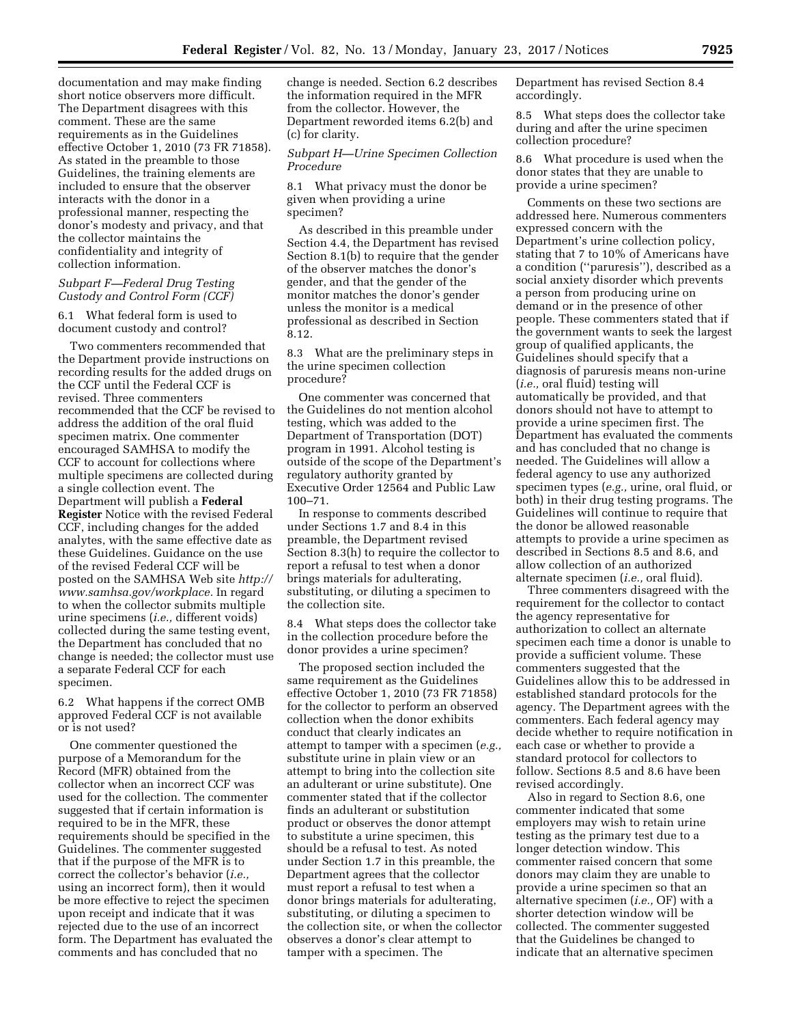documentation and may make finding short notice observers more difficult. The Department disagrees with this comment. These are the same requirements as in the Guidelines effective October 1, 2010 (73 FR 71858). As stated in the preamble to those Guidelines, the training elements are included to ensure that the observer interacts with the donor in a professional manner, respecting the donor's modesty and privacy, and that the collector maintains the confidentiality and integrity of collection information.

## *Subpart F—Federal Drug Testing Custody and Control Form (CCF)*

6.1 What federal form is used to document custody and control?

Two commenters recommended that the Department provide instructions on recording results for the added drugs on the CCF until the Federal CCF is revised. Three commenters recommended that the CCF be revised to address the addition of the oral fluid specimen matrix. One commenter encouraged SAMHSA to modify the CCF to account for collections where multiple specimens are collected during a single collection event. The Department will publish a **Federal Register** Notice with the revised Federal CCF, including changes for the added analytes, with the same effective date as these Guidelines. Guidance on the use of the revised Federal CCF will be posted on the SAMHSA Web site *[http://](http://www.samhsa.gov/workplace)  [www.samhsa.gov/workplace.](http://www.samhsa.gov/workplace)* In regard to when the collector submits multiple urine specimens (*i.e.,* different voids) collected during the same testing event, the Department has concluded that no change is needed; the collector must use a separate Federal CCF for each specimen.

6.2 What happens if the correct OMB approved Federal CCF is not available or is not used?

One commenter questioned the purpose of a Memorandum for the Record (MFR) obtained from the collector when an incorrect CCF was used for the collection. The commenter suggested that if certain information is required to be in the MFR, these requirements should be specified in the Guidelines. The commenter suggested that if the purpose of the MFR is to correct the collector's behavior (*i.e.,*  using an incorrect form), then it would be more effective to reject the specimen upon receipt and indicate that it was rejected due to the use of an incorrect form. The Department has evaluated the comments and has concluded that no

change is needed. Section 6.2 describes the information required in the MFR from the collector. However, the Department reworded items 6.2(b) and (c) for clarity.

## *Subpart H—Urine Specimen Collection Procedure*

8.1 What privacy must the donor be given when providing a urine specimen?

As described in this preamble under Section 4.4, the Department has revised Section 8.1(b) to require that the gender of the observer matches the donor's gender, and that the gender of the monitor matches the donor's gender unless the monitor is a medical professional as described in Section 8.12.

8.3 What are the preliminary steps in the urine specimen collection procedure?

One commenter was concerned that the Guidelines do not mention alcohol testing, which was added to the Department of Transportation (DOT) program in 1991. Alcohol testing is outside of the scope of the Department's regulatory authority granted by Executive Order 12564 and Public Law 100–71.

In response to comments described under Sections 1.7 and 8.4 in this preamble, the Department revised Section 8.3(h) to require the collector to report a refusal to test when a donor brings materials for adulterating, substituting, or diluting a specimen to the collection site.

8.4 What steps does the collector take in the collection procedure before the donor provides a urine specimen?

The proposed section included the same requirement as the Guidelines effective October 1, 2010 (73 FR 71858) for the collector to perform an observed collection when the donor exhibits conduct that clearly indicates an attempt to tamper with a specimen (*e.g.,*  substitute urine in plain view or an attempt to bring into the collection site an adulterant or urine substitute). One commenter stated that if the collector finds an adulterant or substitution product or observes the donor attempt to substitute a urine specimen, this should be a refusal to test. As noted under Section 1.7 in this preamble, the Department agrees that the collector must report a refusal to test when a donor brings materials for adulterating, substituting, or diluting a specimen to the collection site, or when the collector observes a donor's clear attempt to tamper with a specimen. The

Department has revised Section 8.4 accordingly.

8.5 What steps does the collector take during and after the urine specimen collection procedure?

8.6 What procedure is used when the donor states that they are unable to provide a urine specimen?

Comments on these two sections are addressed here. Numerous commenters expressed concern with the Department's urine collection policy, stating that 7 to 10% of Americans have a condition (''paruresis''), described as a social anxiety disorder which prevents a person from producing urine on demand or in the presence of other people. These commenters stated that if the government wants to seek the largest group of qualified applicants, the Guidelines should specify that a diagnosis of paruresis means non-urine (*i.e.,* oral fluid) testing will automatically be provided, and that donors should not have to attempt to provide a urine specimen first. The Department has evaluated the comments and has concluded that no change is needed. The Guidelines will allow a federal agency to use any authorized specimen types (*e.g.,* urine, oral fluid, or both) in their drug testing programs. The Guidelines will continue to require that the donor be allowed reasonable attempts to provide a urine specimen as described in Sections 8.5 and 8.6, and allow collection of an authorized alternate specimen (*i.e.,* oral fluid).

Three commenters disagreed with the requirement for the collector to contact the agency representative for authorization to collect an alternate specimen each time a donor is unable to provide a sufficient volume. These commenters suggested that the Guidelines allow this to be addressed in established standard protocols for the agency. The Department agrees with the commenters. Each federal agency may decide whether to require notification in each case or whether to provide a standard protocol for collectors to follow. Sections 8.5 and 8.6 have been revised accordingly.

Also in regard to Section 8.6, one commenter indicated that some employers may wish to retain urine testing as the primary test due to a longer detection window. This commenter raised concern that some donors may claim they are unable to provide a urine specimen so that an alternative specimen (*i.e.,* OF) with a shorter detection window will be collected. The commenter suggested that the Guidelines be changed to indicate that an alternative specimen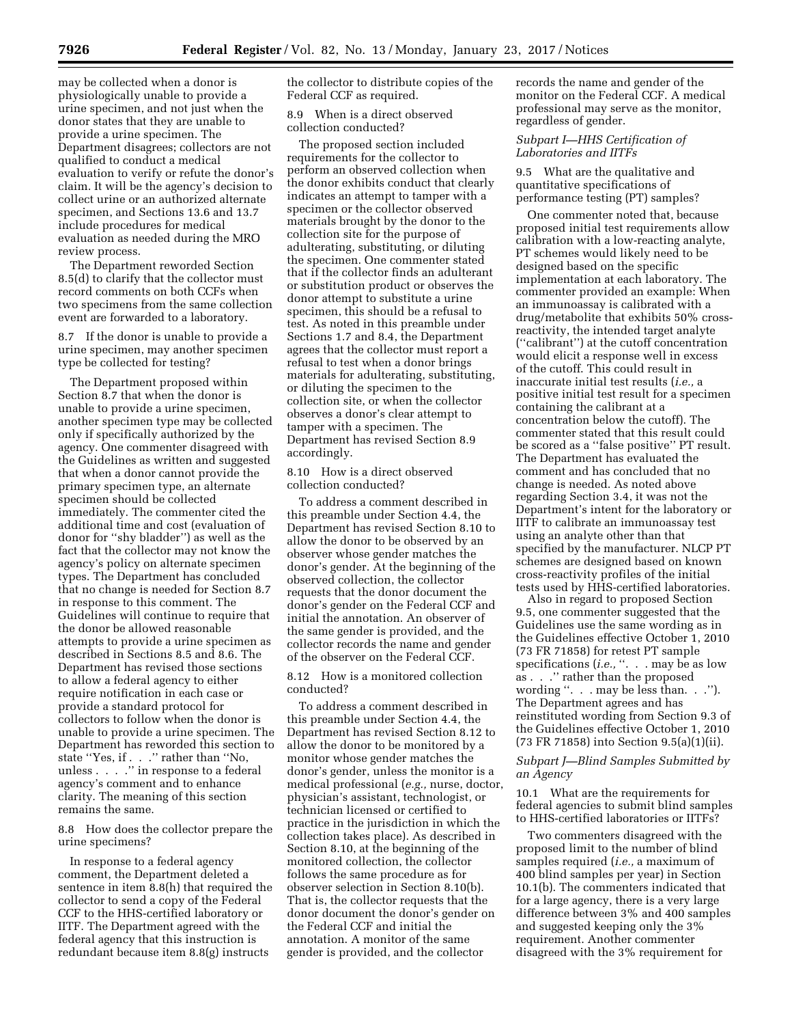may be collected when a donor is physiologically unable to provide a urine specimen, and not just when the donor states that they are unable to provide a urine specimen. The Department disagrees; collectors are not qualified to conduct a medical evaluation to verify or refute the donor's claim. It will be the agency's decision to collect urine or an authorized alternate specimen, and Sections 13.6 and 13.7 include procedures for medical evaluation as needed during the MRO review process.

The Department reworded Section 8.5(d) to clarify that the collector must record comments on both CCFs when two specimens from the same collection event are forwarded to a laboratory.

8.7 If the donor is unable to provide a urine specimen, may another specimen type be collected for testing?

The Department proposed within Section 8.7 that when the donor is unable to provide a urine specimen, another specimen type may be collected only if specifically authorized by the agency. One commenter disagreed with the Guidelines as written and suggested that when a donor cannot provide the primary specimen type, an alternate specimen should be collected immediately. The commenter cited the additional time and cost (evaluation of donor for ''shy bladder'') as well as the fact that the collector may not know the agency's policy on alternate specimen types. The Department has concluded that no change is needed for Section 8.7 in response to this comment. The Guidelines will continue to require that the donor be allowed reasonable attempts to provide a urine specimen as described in Sections 8.5 and 8.6. The Department has revised those sections to allow a federal agency to either require notification in each case or provide a standard protocol for collectors to follow when the donor is unable to provide a urine specimen. The Department has reworded this section to state ''Yes, if . . .'' rather than ''No, unless . . . .'' in response to a federal agency's comment and to enhance clarity. The meaning of this section remains the same.

8.8 How does the collector prepare the urine specimens?

In response to a federal agency comment, the Department deleted a sentence in item 8.8(h) that required the collector to send a copy of the Federal CCF to the HHS-certified laboratory or IITF. The Department agreed with the federal agency that this instruction is redundant because item 8.8(g) instructs

the collector to distribute copies of the Federal CCF as required.

8.9 When is a direct observed collection conducted?

The proposed section included requirements for the collector to perform an observed collection when the donor exhibits conduct that clearly indicates an attempt to tamper with a specimen or the collector observed materials brought by the donor to the collection site for the purpose of adulterating, substituting, or diluting the specimen. One commenter stated that if the collector finds an adulterant or substitution product or observes the donor attempt to substitute a urine specimen, this should be a refusal to test. As noted in this preamble under Sections 1.7 and 8.4, the Department agrees that the collector must report a refusal to test when a donor brings materials for adulterating, substituting, or diluting the specimen to the collection site, or when the collector observes a donor's clear attempt to tamper with a specimen. The Department has revised Section 8.9 accordingly.

8.10 How is a direct observed collection conducted?

To address a comment described in this preamble under Section 4.4, the Department has revised Section 8.10 to allow the donor to be observed by an observer whose gender matches the donor's gender. At the beginning of the observed collection, the collector requests that the donor document the donor's gender on the Federal CCF and initial the annotation. An observer of the same gender is provided, and the collector records the name and gender of the observer on the Federal CCF.

8.12 How is a monitored collection conducted?

To address a comment described in this preamble under Section 4.4, the Department has revised Section 8.12 to allow the donor to be monitored by a monitor whose gender matches the donor's gender, unless the monitor is a medical professional (*e.g.,* nurse, doctor, physician's assistant, technologist, or technician licensed or certified to practice in the jurisdiction in which the collection takes place). As described in Section 8.10, at the beginning of the monitored collection, the collector follows the same procedure as for observer selection in Section 8.10(b). That is, the collector requests that the donor document the donor's gender on the Federal CCF and initial the annotation. A monitor of the same gender is provided, and the collector

records the name and gender of the monitor on the Federal CCF. A medical professional may serve as the monitor, regardless of gender.

# *Subpart I—HHS Certification of Laboratories and IITFs*

9.5 What are the qualitative and quantitative specifications of performance testing (PT) samples?

One commenter noted that, because proposed initial test requirements allow calibration with a low-reacting analyte, PT schemes would likely need to be designed based on the specific implementation at each laboratory. The commenter provided an example: When an immunoassay is calibrated with a drug/metabolite that exhibits 50% crossreactivity, the intended target analyte (''calibrant'') at the cutoff concentration would elicit a response well in excess of the cutoff. This could result in inaccurate initial test results (*i.e.,* a positive initial test result for a specimen containing the calibrant at a concentration below the cutoff). The commenter stated that this result could be scored as a ''false positive'' PT result. The Department has evaluated the comment and has concluded that no change is needed. As noted above regarding Section 3.4, it was not the Department's intent for the laboratory or IITF to calibrate an immunoassay test using an analyte other than that specified by the manufacturer. NLCP PT schemes are designed based on known cross-reactivity profiles of the initial tests used by HHS-certified laboratories.

Also in regard to proposed Section 9.5, one commenter suggested that the Guidelines use the same wording as in the Guidelines effective October 1, 2010 (73 FR 71858) for retest PT sample specifications (*i.e.*, ". . . may be as low as . . .'' rather than the proposed wording ''. . . may be less than. . .''). The Department agrees and has reinstituted wording from Section 9.3 of the Guidelines effective October 1, 2010 (73 FR 71858) into Section 9.5(a)(1)(ii).

# *Subpart J—Blind Samples Submitted by an Agency*

10.1 What are the requirements for federal agencies to submit blind samples to HHS-certified laboratories or IITFs?

Two commenters disagreed with the proposed limit to the number of blind samples required (*i.e.,* a maximum of 400 blind samples per year) in Section 10.1(b). The commenters indicated that for a large agency, there is a very large difference between 3% and 400 samples and suggested keeping only the 3% requirement. Another commenter disagreed with the 3% requirement for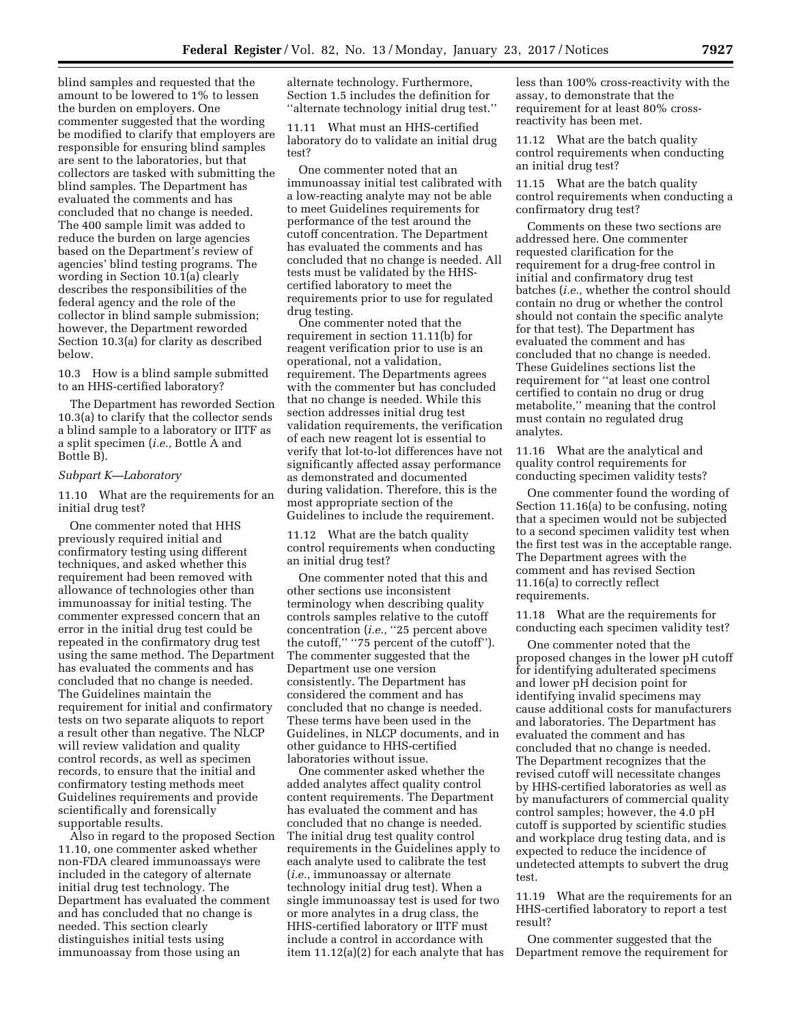blind samples and requested that the amount to be lowered to 1% to lessen the burden on employers. One commenter suggested that the wording be modified to clarify that employers are responsible for ensuring blind samples are sent to the laboratories, but that collectors are tasked with submitting the blind samples. The Department has evaluated the comments and has concluded that no change is needed. The 400 sample limit was added to reduce the burden on large agencies based on the Department's review of agencies' blind testing programs. The wording in Section 10.1(a) clearly describes the responsibilities of the federal agency and the role of the collector in blind sample submission; however, the Department reworded Section 10.3(a) for clarity as described below.

10.3 How is a blind sample submitted to an HHS-certified laboratory?

The Department has reworded Section 10.3(a) to clarify that the collector sends a blind sample to a laboratory or IITF as a split specimen (*i.e.,* Bottle A and Bottle B).

#### *Subpart K—Laboratory*

11.10 What are the requirements for an initial drug test?

One commenter noted that HHS previously required initial and confirmatory testing using different techniques, and asked whether this requirement had been removed with allowance of technologies other than immunoassay for initial testing. The commenter expressed concern that an error in the initial drug test could be repeated in the confirmatory drug test using the same method. The Department has evaluated the comments and has concluded that no change is needed. The Guidelines maintain the requirement for initial and confirmatory tests on two separate aliquots to report a result other than negative. The NLCP will review validation and quality control records, as well as specimen records, to ensure that the initial and confirmatory testing methods meet Guidelines requirements and provide scientifically and forensically supportable results.

Also in regard to the proposed Section 11.10, one commenter asked whether non-FDA cleared immunoassays were included in the category of alternate initial drug test technology. The Department has evaluated the comment and has concluded that no change is needed. This section clearly distinguishes initial tests using immunoassay from those using an

alternate technology. Furthermore, Section 1.5 includes the definition for ''alternate technology initial drug test.''

11.11 What must an HHS-certified laboratory do to validate an initial drug test?

One commenter noted that an immunoassay initial test calibrated with a low-reacting analyte may not be able to meet Guidelines requirements for performance of the test around the cutoff concentration. The Department has evaluated the comments and has concluded that no change is needed. All tests must be validated by the HHScertified laboratory to meet the requirements prior to use for regulated drug testing.

One commenter noted that the requirement in section 11.11(b) for reagent verification prior to use is an operational, not a validation, requirement. The Departments agrees with the commenter but has concluded that no change is needed. While this section addresses initial drug test validation requirements, the verification of each new reagent lot is essential to verify that lot-to-lot differences have not significantly affected assay performance as demonstrated and documented during validation. Therefore, this is the most appropriate section of the Guidelines to include the requirement.

11.12 What are the batch quality control requirements when conducting an initial drug test?

One commenter noted that this and other sections use inconsistent terminology when describing quality controls samples relative to the cutoff concentration (*i.e.*, "25 percent above the cutoff,'' ''75 percent of the cutoff''). The commenter suggested that the Department use one version consistently. The Department has considered the comment and has concluded that no change is needed. These terms have been used in the Guidelines, in NLCP documents, and in other guidance to HHS-certified laboratories without issue.

One commenter asked whether the added analytes affect quality control content requirements. The Department has evaluated the comment and has concluded that no change is needed. The initial drug test quality control requirements in the Guidelines apply to each analyte used to calibrate the test (*i.e.,* immunoassay or alternate technology initial drug test). When a single immunoassay test is used for two or more analytes in a drug class, the HHS-certified laboratory or IITF must include a control in accordance with item 11.12(a)(2) for each analyte that has less than 100% cross-reactivity with the assay, to demonstrate that the requirement for at least 80% crossreactivity has been met.

11.12 What are the batch quality control requirements when conducting an initial drug test?

11.15 What are the batch quality control requirements when conducting a confirmatory drug test?

Comments on these two sections are addressed here. One commenter requested clarification for the requirement for a drug-free control in initial and confirmatory drug test batches (*i.e.,* whether the control should contain no drug or whether the control should not contain the specific analyte for that test). The Department has evaluated the comment and has concluded that no change is needed. These Guidelines sections list the requirement for ''at least one control certified to contain no drug or drug metabolite,'' meaning that the control must contain no regulated drug analytes.

11.16 What are the analytical and quality control requirements for conducting specimen validity tests?

One commenter found the wording of Section 11.16(a) to be confusing, noting that a specimen would not be subjected to a second specimen validity test when the first test was in the acceptable range. The Department agrees with the comment and has revised Section 11.16(a) to correctly reflect requirements.

11.18 What are the requirements for conducting each specimen validity test?

One commenter noted that the proposed changes in the lower pH cutoff for identifying adulterated specimens and lower pH decision point for identifying invalid specimens may cause additional costs for manufacturers and laboratories. The Department has evaluated the comment and has concluded that no change is needed. The Department recognizes that the revised cutoff will necessitate changes by HHS-certified laboratories as well as by manufacturers of commercial quality control samples; however, the 4.0 pH cutoff is supported by scientific studies and workplace drug testing data, and is expected to reduce the incidence of undetected attempts to subvert the drug test.

11.19 What are the requirements for an HHS-certified laboratory to report a test result?

One commenter suggested that the Department remove the requirement for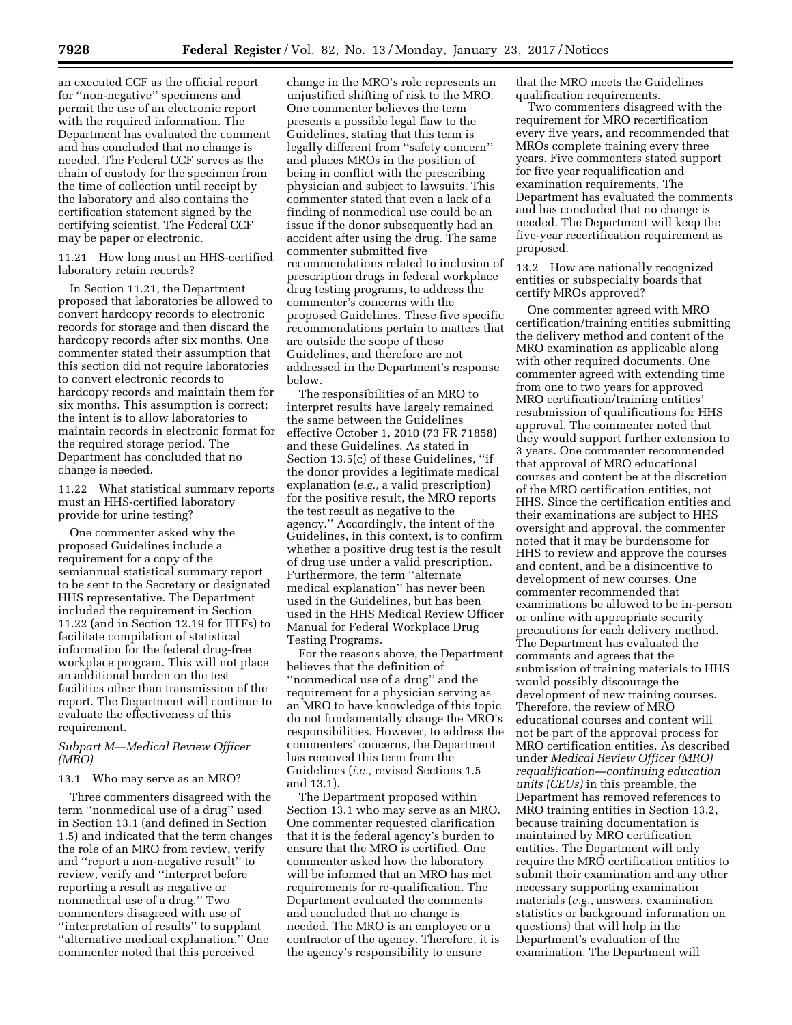an executed CCF as the official report for ''non-negative'' specimens and permit the use of an electronic report with the required information. The Department has evaluated the comment and has concluded that no change is needed. The Federal CCF serves as the chain of custody for the specimen from the time of collection until receipt by the laboratory and also contains the certification statement signed by the certifying scientist. The Federal CCF may be paper or electronic.

# 11.21 How long must an HHS-certified laboratory retain records?

In Section 11.21, the Department proposed that laboratories be allowed to convert hardcopy records to electronic records for storage and then discard the hardcopy records after six months. One commenter stated their assumption that this section did not require laboratories to convert electronic records to hardcopy records and maintain them for six months. This assumption is correct; the intent is to allow laboratories to maintain records in electronic format for the required storage period. The Department has concluded that no change is needed.

11.22 What statistical summary reports must an HHS-certified laboratory provide for urine testing?

One commenter asked why the proposed Guidelines include a requirement for a copy of the semiannual statistical summary report to be sent to the Secretary or designated HHS representative. The Department included the requirement in Section 11.22 (and in Section 12.19 for IITFs) to facilitate compilation of statistical information for the federal drug-free workplace program. This will not place an additional burden on the test facilities other than transmission of the report. The Department will continue to evaluate the effectiveness of this requirement.

# *Subpart M—Medical Review Officer (MRO)*

### 13.1 Who may serve as an MRO?

Three commenters disagreed with the term ''nonmedical use of a drug'' used in Section 13.1 (and defined in Section 1.5) and indicated that the term changes the role of an MRO from review, verify and ''report a non-negative result'' to review, verify and ''interpret before reporting a result as negative or nonmedical use of a drug.'' Two commenters disagreed with use of ''interpretation of results'' to supplant ''alternative medical explanation.'' One commenter noted that this perceived

change in the MRO's role represents an unjustified shifting of risk to the MRO. One commenter believes the term presents a possible legal flaw to the Guidelines, stating that this term is legally different from ''safety concern'' and places MROs in the position of being in conflict with the prescribing physician and subject to lawsuits. This commenter stated that even a lack of a finding of nonmedical use could be an issue if the donor subsequently had an accident after using the drug. The same commenter submitted five recommendations related to inclusion of prescription drugs in federal workplace drug testing programs, to address the commenter's concerns with the proposed Guidelines. These five specific recommendations pertain to matters that are outside the scope of these Guidelines, and therefore are not addressed in the Department's response below.

The responsibilities of an MRO to interpret results have largely remained the same between the Guidelines effective October 1, 2010 (73 FR 71858) and these Guidelines. As stated in Section 13.5(c) of these Guidelines, ''if the donor provides a legitimate medical explanation (*e.g.,* a valid prescription) for the positive result, the MRO reports the test result as negative to the agency.'' Accordingly, the intent of the Guidelines, in this context, is to confirm whether a positive drug test is the result of drug use under a valid prescription. Furthermore, the term ''alternate medical explanation'' has never been used in the Guidelines, but has been used in the HHS Medical Review Officer Manual for Federal Workplace Drug Testing Programs.

For the reasons above, the Department believes that the definition of ''nonmedical use of a drug'' and the requirement for a physician serving as an MRO to have knowledge of this topic do not fundamentally change the MRO's responsibilities. However, to address the commenters' concerns, the Department has removed this term from the Guidelines (*i.e.,* revised Sections 1.5 and 13.1).

The Department proposed within Section 13.1 who may serve as an MRO. One commenter requested clarification that it is the federal agency's burden to ensure that the MRO is certified. One commenter asked how the laboratory will be informed that an MRO has met requirements for re-qualification. The Department evaluated the comments and concluded that no change is needed. The MRO is an employee or a contractor of the agency. Therefore, it is the agency's responsibility to ensure

that the MRO meets the Guidelines qualification requirements.

Two commenters disagreed with the requirement for MRO recertification every five years, and recommended that MROs complete training every three years. Five commenters stated support for five year requalification and examination requirements. The Department has evaluated the comments and has concluded that no change is needed. The Department will keep the five-year recertification requirement as proposed.

13.2 How are nationally recognized entities or subspecialty boards that certify MROs approved?

One commenter agreed with MRO certification/training entities submitting the delivery method and content of the MRO examination as applicable along with other required documents. One commenter agreed with extending time from one to two years for approved MRO certification/training entities' resubmission of qualifications for HHS approval. The commenter noted that they would support further extension to 3 years. One commenter recommended that approval of MRO educational courses and content be at the discretion of the MRO certification entities, not HHS. Since the certification entities and their examinations are subject to HHS oversight and approval, the commenter noted that it may be burdensome for HHS to review and approve the courses and content, and be a disincentive to development of new courses. One commenter recommended that examinations be allowed to be in-person or online with appropriate security precautions for each delivery method. The Department has evaluated the comments and agrees that the submission of training materials to HHS would possibly discourage the development of new training courses. Therefore, the review of MRO educational courses and content will not be part of the approval process for MRO certification entities. As described under *Medical Review Officer (MRO) requalification—continuing education units (CEUs)* in this preamble, the Department has removed references to MRO training entities in Section 13.2, because training documentation is maintained by MRO certification entities. The Department will only require the MRO certification entities to submit their examination and any other necessary supporting examination materials (*e.g.,* answers, examination statistics or background information on questions) that will help in the Department's evaluation of the examination. The Department will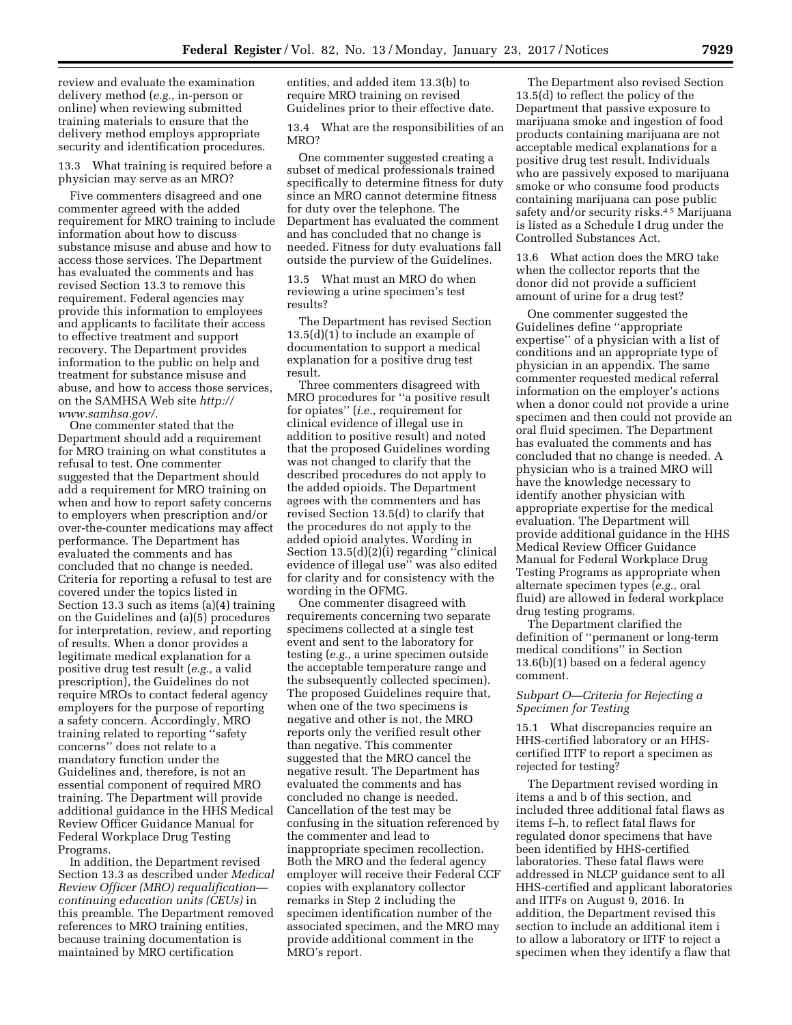review and evaluate the examination delivery method (*e.g.,* in-person or online) when reviewing submitted training materials to ensure that the delivery method employs appropriate security and identification procedures.

13.3 What training is required before a physician may serve as an MRO?

Five commenters disagreed and one commenter agreed with the added requirement for MRO training to include information about how to discuss substance misuse and abuse and how to access those services. The Department has evaluated the comments and has revised Section 13.3 to remove this requirement. Federal agencies may provide this information to employees and applicants to facilitate their access to effective treatment and support recovery. The Department provides information to the public on help and treatment for substance misuse and abuse, and how to access those services, on the SAMHSA Web site *[http://](http://www.samhsa.gov/) [www.samhsa.gov/.](http://www.samhsa.gov/)* 

One commenter stated that the Department should add a requirement for MRO training on what constitutes a refusal to test. One commenter suggested that the Department should add a requirement for MRO training on when and how to report safety concerns to employers when prescription and/or over-the-counter medications may affect performance. The Department has evaluated the comments and has concluded that no change is needed. Criteria for reporting a refusal to test are covered under the topics listed in Section 13.3 such as items (a)(4) training on the Guidelines and (a)(5) procedures for interpretation, review, and reporting of results. When a donor provides a legitimate medical explanation for a positive drug test result (*e.g.,* a valid prescription), the Guidelines do not require MROs to contact federal agency employers for the purpose of reporting a safety concern. Accordingly, MRO training related to reporting ''safety concerns'' does not relate to a mandatory function under the Guidelines and, therefore, is not an essential component of required MRO training. The Department will provide additional guidance in the HHS Medical Review Officer Guidance Manual for Federal Workplace Drug Testing Programs.

In addition, the Department revised Section 13.3 as described under *Medical Review Officer (MRO) requalification continuing education units (CEUs)* in this preamble. The Department removed references to MRO training entities, because training documentation is maintained by MRO certification

entities, and added item 13.3(b) to require MRO training on revised Guidelines prior to their effective date.

13.4 What are the responsibilities of an MRO?

One commenter suggested creating a subset of medical professionals trained specifically to determine fitness for duty since an MRO cannot determine fitness for duty over the telephone. The Department has evaluated the comment and has concluded that no change is needed. Fitness for duty evaluations fall outside the purview of the Guidelines.

13.5 What must an MRO do when reviewing a urine specimen's test results?

The Department has revised Section 13.5(d)(1) to include an example of documentation to support a medical explanation for a positive drug test result.

Three commenters disagreed with MRO procedures for ''a positive result for opiates'' (*i.e.,* requirement for clinical evidence of illegal use in addition to positive result) and noted that the proposed Guidelines wording was not changed to clarify that the described procedures do not apply to the added opioids. The Department agrees with the commenters and has revised Section 13.5(d) to clarify that the procedures do not apply to the added opioid analytes. Wording in Section 13.5(d)(2)(i) regarding ''clinical evidence of illegal use'' was also edited for clarity and for consistency with the wording in the OFMG.

One commenter disagreed with requirements concerning two separate specimens collected at a single test event and sent to the laboratory for testing (*e.g.,* a urine specimen outside the acceptable temperature range and the subsequently collected specimen). The proposed Guidelines require that, when one of the two specimens is negative and other is not, the MRO reports only the verified result other than negative. This commenter suggested that the MRO cancel the negative result. The Department has evaluated the comments and has concluded no change is needed. Cancellation of the test may be confusing in the situation referenced by the commenter and lead to inappropriate specimen recollection. Both the MRO and the federal agency employer will receive their Federal CCF copies with explanatory collector remarks in Step 2 including the specimen identification number of the associated specimen, and the MRO may provide additional comment in the MRO's report.

The Department also revised Section 13.5(d) to reflect the policy of the Department that passive exposure to marijuana smoke and ingestion of food products containing marijuana are not acceptable medical explanations for a positive drug test result. Individuals who are passively exposed to marijuana smoke or who consume food products containing marijuana can pose public safety and/or security risks.<sup>45</sup> Marijuana is listed as a Schedule I drug under the Controlled Substances Act.

13.6 What action does the MRO take when the collector reports that the donor did not provide a sufficient amount of urine for a drug test?

One commenter suggested the Guidelines define ''appropriate expertise'' of a physician with a list of conditions and an appropriate type of physician in an appendix. The same commenter requested medical referral information on the employer's actions when a donor could not provide a urine specimen and then could not provide an oral fluid specimen. The Department has evaluated the comments and has concluded that no change is needed. A physician who is a trained MRO will have the knowledge necessary to identify another physician with appropriate expertise for the medical evaluation. The Department will provide additional guidance in the HHS Medical Review Officer Guidance Manual for Federal Workplace Drug Testing Programs as appropriate when alternate specimen types (*e.g.,* oral fluid) are allowed in federal workplace drug testing programs.

The Department clarified the definition of ''permanent or long-term medical conditions'' in Section 13.6(b)(1) based on a federal agency comment.

# *Subpart O—Criteria for Rejecting a Specimen for Testing*

15.1 What discrepancies require an HHS-certified laboratory or an HHScertified IITF to report a specimen as rejected for testing?

The Department revised wording in items a and b of this section, and included three additional fatal flaws as items f–h, to reflect fatal flaws for regulated donor specimens that have been identified by HHS-certified laboratories. These fatal flaws were addressed in NLCP guidance sent to all HHS-certified and applicant laboratories and IITFs on August 9, 2016. In addition, the Department revised this section to include an additional item i to allow a laboratory or IITF to reject a specimen when they identify a flaw that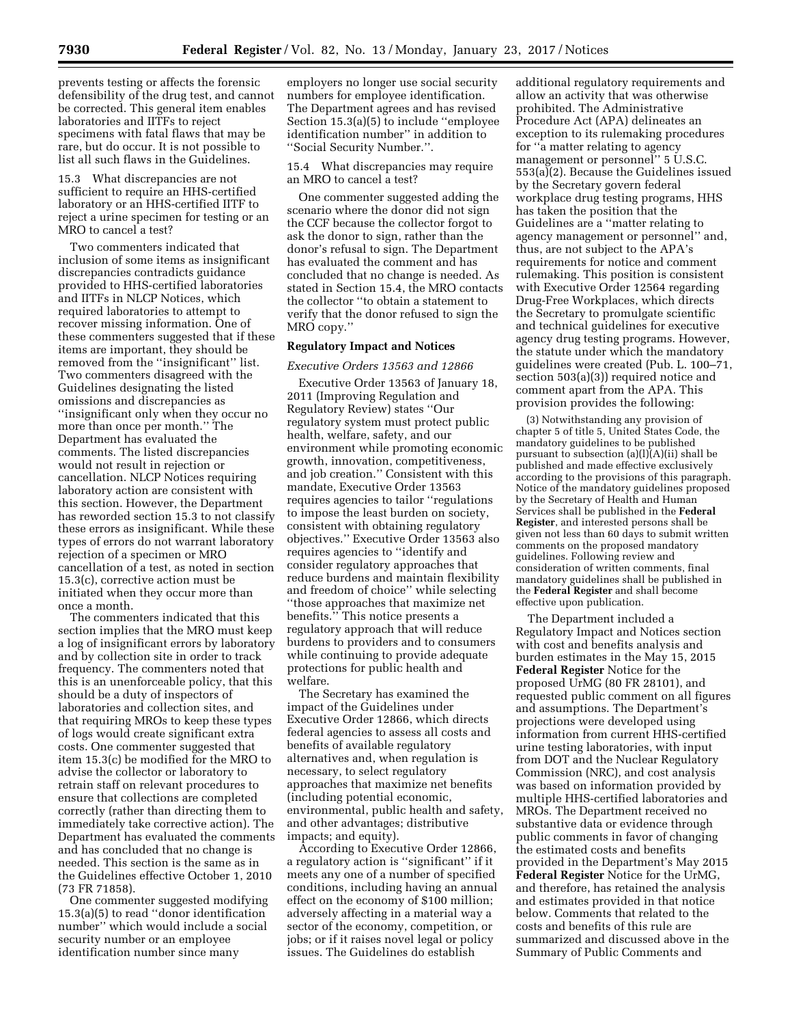prevents testing or affects the forensic defensibility of the drug test, and cannot be corrected. This general item enables laboratories and IITFs to reject specimens with fatal flaws that may be rare, but do occur. It is not possible to list all such flaws in the Guidelines.

15.3 What discrepancies are not sufficient to require an HHS-certified laboratory or an HHS-certified IITF to reject a urine specimen for testing or an MRO to cancel a test?

Two commenters indicated that inclusion of some items as insignificant discrepancies contradicts guidance provided to HHS-certified laboratories and IITFs in NLCP Notices, which required laboratories to attempt to recover missing information. One of these commenters suggested that if these items are important, they should be removed from the ''insignificant'' list. Two commenters disagreed with the Guidelines designating the listed omissions and discrepancies as ''insignificant only when they occur no more than once per month.'' The Department has evaluated the comments. The listed discrepancies would not result in rejection or cancellation. NLCP Notices requiring laboratory action are consistent with this section. However, the Department has reworded section 15.3 to not classify these errors as insignificant. While these types of errors do not warrant laboratory rejection of a specimen or MRO cancellation of a test, as noted in section 15.3(c), corrective action must be initiated when they occur more than once a month.

The commenters indicated that this section implies that the MRO must keep a log of insignificant errors by laboratory and by collection site in order to track frequency. The commenters noted that this is an unenforceable policy, that this should be a duty of inspectors of laboratories and collection sites, and that requiring MROs to keep these types of logs would create significant extra costs. One commenter suggested that item 15.3(c) be modified for the MRO to advise the collector or laboratory to retrain staff on relevant procedures to ensure that collections are completed correctly (rather than directing them to immediately take corrective action). The Department has evaluated the comments and has concluded that no change is needed. This section is the same as in the Guidelines effective October 1, 2010 (73 FR 71858).

One commenter suggested modifying 15.3(a)(5) to read ''donor identification number'' which would include a social security number or an employee identification number since many

employers no longer use social security numbers for employee identification. The Department agrees and has revised Section 15.3(a)(5) to include ''employee identification number'' in addition to ''Social Security Number.''.

15.4 What discrepancies may require an MRO to cancel a test?

One commenter suggested adding the scenario where the donor did not sign the CCF because the collector forgot to ask the donor to sign, rather than the donor's refusal to sign. The Department has evaluated the comment and has concluded that no change is needed. As stated in Section 15.4, the MRO contacts the collector ''to obtain a statement to verify that the donor refused to sign the MRO copy.''

# **Regulatory Impact and Notices**

#### *Executive Orders 13563 and 12866*

Executive Order 13563 of January 18, 2011 (Improving Regulation and Regulatory Review) states ''Our regulatory system must protect public health, welfare, safety, and our environment while promoting economic growth, innovation, competitiveness, and job creation.'' Consistent with this mandate, Executive Order 13563 requires agencies to tailor ''regulations to impose the least burden on society, consistent with obtaining regulatory objectives.'' Executive Order 13563 also requires agencies to ''identify and consider regulatory approaches that reduce burdens and maintain flexibility and freedom of choice'' while selecting ''those approaches that maximize net benefits.'' This notice presents a regulatory approach that will reduce burdens to providers and to consumers while continuing to provide adequate protections for public health and welfare.

The Secretary has examined the impact of the Guidelines under Executive Order 12866, which directs federal agencies to assess all costs and benefits of available regulatory alternatives and, when regulation is necessary, to select regulatory approaches that maximize net benefits (including potential economic, environmental, public health and safety, and other advantages; distributive impacts; and equity).

According to Executive Order 12866, a regulatory action is ''significant'' if it meets any one of a number of specified conditions, including having an annual effect on the economy of \$100 million; adversely affecting in a material way a sector of the economy, competition, or jobs; or if it raises novel legal or policy issues. The Guidelines do establish

additional regulatory requirements and allow an activity that was otherwise prohibited. The Administrative Procedure Act (APA) delineates an exception to its rulemaking procedures for ''a matter relating to agency management or personnel'' 5 U.S.C. 553(a)(2). Because the Guidelines issued by the Secretary govern federal workplace drug testing programs, HHS has taken the position that the Guidelines are a ''matter relating to agency management or personnel'' and, thus, are not subject to the APA's requirements for notice and comment rulemaking. This position is consistent with Executive Order 12564 regarding Drug-Free Workplaces, which directs the Secretary to promulgate scientific and technical guidelines for executive agency drug testing programs. However, the statute under which the mandatory guidelines were created (Pub. L. 100–71, section 503(a)(3)) required notice and comment apart from the APA. This provision provides the following:

(3) Notwithstanding any provision of chapter 5 of title 5, United States Code, the mandatory guidelines to be published pursuant to subsection  $(a)(I)(A)(ii)$  shall be published and made effective exclusively according to the provisions of this paragraph. Notice of the mandatory guidelines proposed by the Secretary of Health and Human Services shall be published in the **Federal Register**, and interested persons shall be given not less than 60 days to submit written comments on the proposed mandatory guidelines. Following review and consideration of written comments, final mandatory guidelines shall be published in the **Federal Register** and shall become effective upon publication.

The Department included a Regulatory Impact and Notices section with cost and benefits analysis and burden estimates in the May 15, 2015 **Federal Register** Notice for the proposed UrMG (80 FR 28101), and requested public comment on all figures and assumptions. The Department's projections were developed using information from current HHS-certified urine testing laboratories, with input from DOT and the Nuclear Regulatory Commission (NRC), and cost analysis was based on information provided by multiple HHS-certified laboratories and MROs. The Department received no substantive data or evidence through public comments in favor of changing the estimated costs and benefits provided in the Department's May 2015 **Federal Register** Notice for the UrMG, and therefore, has retained the analysis and estimates provided in that notice below. Comments that related to the costs and benefits of this rule are summarized and discussed above in the Summary of Public Comments and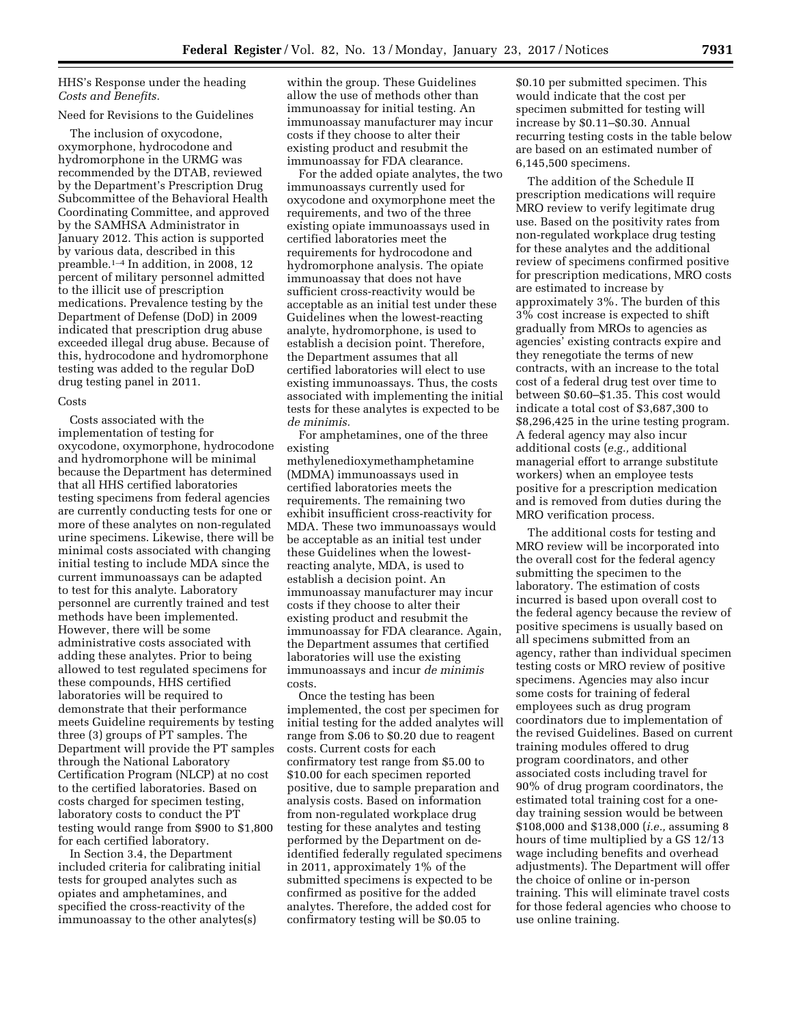# HHS's Response under the heading *Costs and Benefits.*

# Need for Revisions to the Guidelines

The inclusion of oxycodone, oxymorphone, hydrocodone and hydromorphone in the URMG was recommended by the DTAB, reviewed by the Department's Prescription Drug Subcommittee of the Behavioral Health Coordinating Committee, and approved by the SAMHSA Administrator in January 2012. This action is supported by various data, described in this preamble.1–4 In addition, in 2008, 12 percent of military personnel admitted to the illicit use of prescription medications. Prevalence testing by the Department of Defense (DoD) in 2009 indicated that prescription drug abuse exceeded illegal drug abuse. Because of this, hydrocodone and hydromorphone testing was added to the regular DoD drug testing panel in 2011.

#### Costs

Costs associated with the implementation of testing for oxycodone, oxymorphone, hydrocodone and hydromorphone will be minimal because the Department has determined that all HHS certified laboratories testing specimens from federal agencies are currently conducting tests for one or more of these analytes on non-regulated urine specimens. Likewise, there will be minimal costs associated with changing initial testing to include MDA since the current immunoassays can be adapted to test for this analyte. Laboratory personnel are currently trained and test methods have been implemented. However, there will be some administrative costs associated with adding these analytes. Prior to being allowed to test regulated specimens for these compounds, HHS certified laboratories will be required to demonstrate that their performance meets Guideline requirements by testing three (3) groups of PT samples. The Department will provide the PT samples through the National Laboratory Certification Program (NLCP) at no cost to the certified laboratories. Based on costs charged for specimen testing, laboratory costs to conduct the PT testing would range from \$900 to \$1,800 for each certified laboratory.

In Section 3.4, the Department included criteria for calibrating initial tests for grouped analytes such as opiates and amphetamines, and specified the cross-reactivity of the immunoassay to the other analytes(s)

within the group. These Guidelines allow the use of methods other than immunoassay for initial testing. An immunoassay manufacturer may incur costs if they choose to alter their existing product and resubmit the immunoassay for FDA clearance.

For the added opiate analytes, the two immunoassays currently used for oxycodone and oxymorphone meet the requirements, and two of the three existing opiate immunoassays used in certified laboratories meet the requirements for hydrocodone and hydromorphone analysis. The opiate immunoassay that does not have sufficient cross-reactivity would be acceptable as an initial test under these Guidelines when the lowest-reacting analyte, hydromorphone, is used to establish a decision point. Therefore, the Department assumes that all certified laboratories will elect to use existing immunoassays. Thus, the costs associated with implementing the initial tests for these analytes is expected to be *de minimis.* 

For amphetamines, one of the three existing

methylenedioxymethamphetamine (MDMA) immunoassays used in certified laboratories meets the requirements. The remaining two exhibit insufficient cross-reactivity for MDA. These two immunoassays would be acceptable as an initial test under these Guidelines when the lowestreacting analyte, MDA, is used to establish a decision point. An immunoassay manufacturer may incur costs if they choose to alter their existing product and resubmit the immunoassay for FDA clearance. Again, the Department assumes that certified laboratories will use the existing immunoassays and incur *de minimis*  costs.

Once the testing has been implemented, the cost per specimen for initial testing for the added analytes will range from \$.06 to \$0.20 due to reagent costs. Current costs for each confirmatory test range from \$5.00 to \$10.00 for each specimen reported positive, due to sample preparation and analysis costs. Based on information from non-regulated workplace drug testing for these analytes and testing performed by the Department on deidentified federally regulated specimens in 2011, approximately 1% of the submitted specimens is expected to be confirmed as positive for the added analytes. Therefore, the added cost for confirmatory testing will be \$0.05 to

\$0.10 per submitted specimen. This would indicate that the cost per specimen submitted for testing will increase by \$0.11–\$0.30. Annual recurring testing costs in the table below are based on an estimated number of 6,145,500 specimens.

The addition of the Schedule II prescription medications will require MRO review to verify legitimate drug use. Based on the positivity rates from non-regulated workplace drug testing for these analytes and the additional review of specimens confirmed positive for prescription medications, MRO costs are estimated to increase by approximately 3%. The burden of this 3% cost increase is expected to shift gradually from MROs to agencies as agencies' existing contracts expire and they renegotiate the terms of new contracts, with an increase to the total cost of a federal drug test over time to between \$0.60–\$1.35. This cost would indicate a total cost of \$3,687,300 to \$8,296,425 in the urine testing program. A federal agency may also incur additional costs (*e.g.,* additional managerial effort to arrange substitute workers) when an employee tests positive for a prescription medication and is removed from duties during the MRO verification process.

The additional costs for testing and MRO review will be incorporated into the overall cost for the federal agency submitting the specimen to the laboratory. The estimation of costs incurred is based upon overall cost to the federal agency because the review of positive specimens is usually based on all specimens submitted from an agency, rather than individual specimen testing costs or MRO review of positive specimens. Agencies may also incur some costs for training of federal employees such as drug program coordinators due to implementation of the revised Guidelines. Based on current training modules offered to drug program coordinators, and other associated costs including travel for 90% of drug program coordinators, the estimated total training cost for a oneday training session would be between \$108,000 and \$138,000 (*i.e.,* assuming 8 hours of time multiplied by a GS 12/13 wage including benefits and overhead adjustments). The Department will offer the choice of online or in-person training. This will eliminate travel costs for those federal agencies who choose to use online training.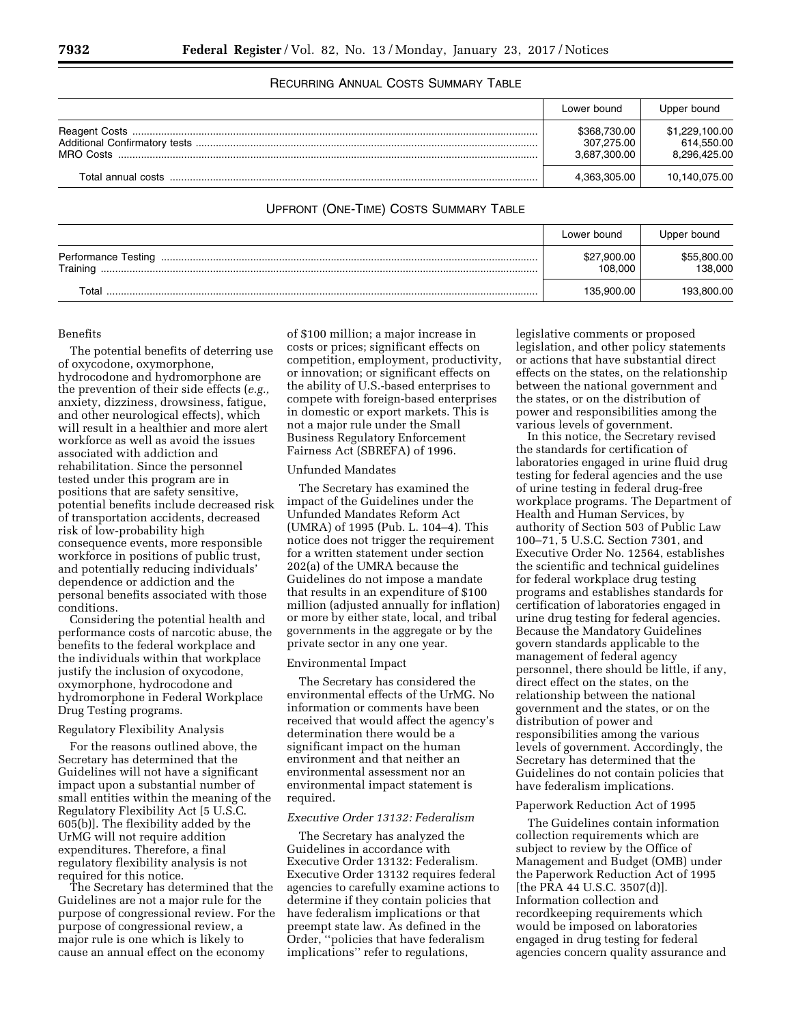# RECURRING ANNUAL COSTS SUMMARY TABLE

|                    | Lower bound                                | Upper bound                                  |
|--------------------|--------------------------------------------|----------------------------------------------|
|                    | \$368,730.00<br>307,275.00<br>3,687,300.00 | \$1,229,100.00<br>614,550.00<br>8,296,425.00 |
| Total annual costs | 4,363,305.00                               | 10,140,075.00                                |

# UPFRONT (ONE-TIME) COSTS SUMMARY TABLE

|          | Lower bound            | Upper bound            |
|----------|------------------------|------------------------|
| Training | \$27,900.00<br>108.000 | \$55,800.00<br>138.000 |
| ⊺ota     | 135.900.00             | 193.800.00             |

#### Benefits

The potential benefits of deterring use of oxycodone, oxymorphone, hydrocodone and hydromorphone are the prevention of their side effects (*e.g.,*  anxiety, dizziness, drowsiness, fatigue, and other neurological effects), which will result in a healthier and more alert workforce as well as avoid the issues associated with addiction and rehabilitation. Since the personnel tested under this program are in positions that are safety sensitive, potential benefits include decreased risk of transportation accidents, decreased risk of low-probability high consequence events, more responsible workforce in positions of public trust, and potentially reducing individuals' dependence or addiction and the personal benefits associated with those conditions.

Considering the potential health and performance costs of narcotic abuse, the benefits to the federal workplace and the individuals within that workplace justify the inclusion of oxycodone, oxymorphone, hydrocodone and hydromorphone in Federal Workplace Drug Testing programs.

### Regulatory Flexibility Analysis

For the reasons outlined above, the Secretary has determined that the Guidelines will not have a significant impact upon a substantial number of small entities within the meaning of the Regulatory Flexibility Act [5 U.S.C. 605(b)]. The flexibility added by the UrMG will not require addition expenditures. Therefore, a final regulatory flexibility analysis is not required for this notice.

The Secretary has determined that the Guidelines are not a major rule for the purpose of congressional review. For the purpose of congressional review, a major rule is one which is likely to cause an annual effect on the economy

of \$100 million; a major increase in costs or prices; significant effects on competition, employment, productivity, or innovation; or significant effects on the ability of U.S.-based enterprises to compete with foreign-based enterprises in domestic or export markets. This is not a major rule under the Small Business Regulatory Enforcement Fairness Act (SBREFA) of 1996.

#### Unfunded Mandates

The Secretary has examined the impact of the Guidelines under the Unfunded Mandates Reform Act (UMRA) of 1995 (Pub. L. 104–4). This notice does not trigger the requirement for a written statement under section 202(a) of the UMRA because the Guidelines do not impose a mandate that results in an expenditure of \$100 million (adjusted annually for inflation) or more by either state, local, and tribal governments in the aggregate or by the private sector in any one year.

#### Environmental Impact

The Secretary has considered the environmental effects of the UrMG. No information or comments have been received that would affect the agency's determination there would be a significant impact on the human environment and that neither an environmental assessment nor an environmental impact statement is required.

## *Executive Order 13132: Federalism*

The Secretary has analyzed the Guidelines in accordance with Executive Order 13132: Federalism. Executive Order 13132 requires federal agencies to carefully examine actions to determine if they contain policies that have federalism implications or that preempt state law. As defined in the Order, ''policies that have federalism implications'' refer to regulations,

legislative comments or proposed legislation, and other policy statements or actions that have substantial direct effects on the states, on the relationship between the national government and the states, or on the distribution of power and responsibilities among the various levels of government.

In this notice, the Secretary revised the standards for certification of laboratories engaged in urine fluid drug testing for federal agencies and the use of urine testing in federal drug-free workplace programs. The Department of Health and Human Services, by authority of Section 503 of Public Law 100–71, 5 U.S.C. Section 7301, and Executive Order No. 12564, establishes the scientific and technical guidelines for federal workplace drug testing programs and establishes standards for certification of laboratories engaged in urine drug testing for federal agencies. Because the Mandatory Guidelines govern standards applicable to the management of federal agency personnel, there should be little, if any, direct effect on the states, on the relationship between the national government and the states, or on the distribution of power and responsibilities among the various levels of government. Accordingly, the Secretary has determined that the Guidelines do not contain policies that have federalism implications.

#### Paperwork Reduction Act of 1995

The Guidelines contain information collection requirements which are subject to review by the Office of Management and Budget (OMB) under the Paperwork Reduction Act of 1995 [the PRA 44 U.S.C. 3507(d)]. Information collection and recordkeeping requirements which would be imposed on laboratories engaged in drug testing for federal agencies concern quality assurance and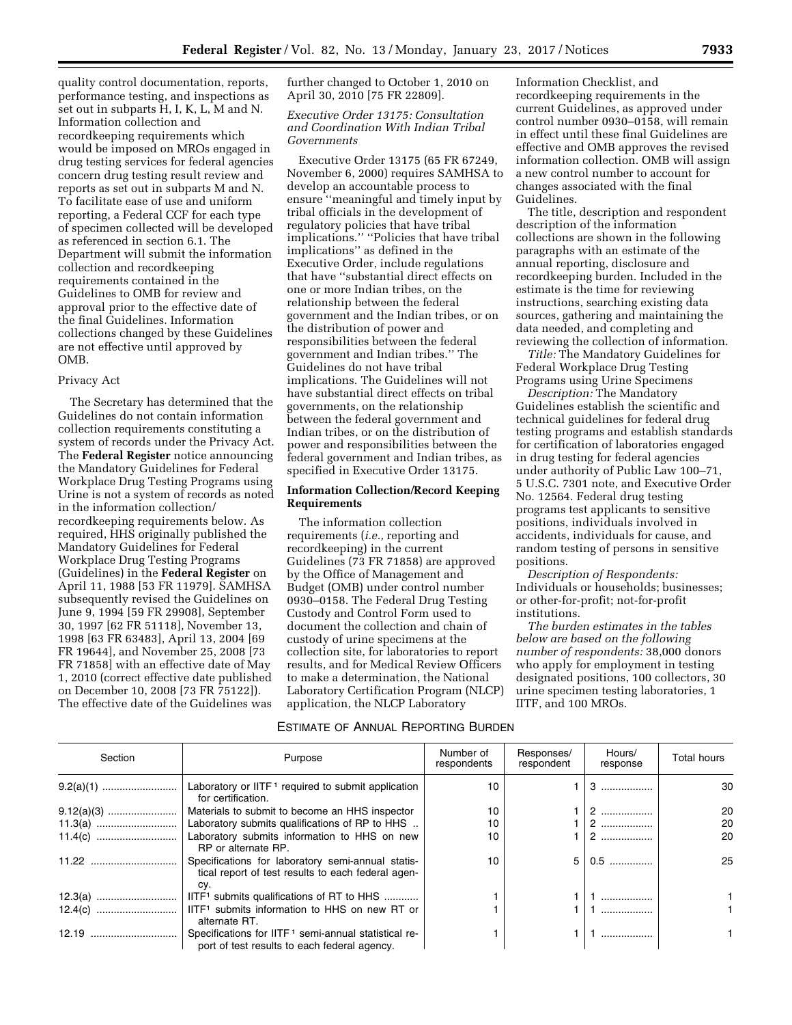quality control documentation, reports, performance testing, and inspections as set out in subparts H, I, K, L, M and N. Information collection and recordkeeping requirements which would be imposed on MROs engaged in drug testing services for federal agencies concern drug testing result review and reports as set out in subparts M and N. To facilitate ease of use and uniform reporting, a Federal CCF for each type of specimen collected will be developed as referenced in section 6.1. The Department will submit the information collection and recordkeeping requirements contained in the Guidelines to OMB for review and approval prior to the effective date of the final Guidelines. Information collections changed by these Guidelines are not effective until approved by OMB.

#### Privacy Act

The Secretary has determined that the Guidelines do not contain information collection requirements constituting a system of records under the Privacy Act. The **Federal Register** notice announcing the Mandatory Guidelines for Federal Workplace Drug Testing Programs using Urine is not a system of records as noted in the information collection/ recordkeeping requirements below. As required, HHS originally published the Mandatory Guidelines for Federal Workplace Drug Testing Programs (Guidelines) in the **Federal Register** on April 11, 1988 [53 FR 11979]. SAMHSA subsequently revised the Guidelines on June 9, 1994 [59 FR 29908], September 30, 1997 [62 FR 51118], November 13, 1998 [63 FR 63483], April 13, 2004 [69 FR 19644], and November 25, 2008 [73 FR 71858] with an effective date of May 1, 2010 (correct effective date published on December 10, 2008 [73 FR 75122]). The effective date of the Guidelines was

further changed to October 1, 2010 on April 30, 2010 [75 FR 22809].

# *Executive Order 13175: Consultation and Coordination With Indian Tribal Governments*

Executive Order 13175 (65 FR 67249, November 6, 2000) requires SAMHSA to develop an accountable process to ensure ''meaningful and timely input by tribal officials in the development of regulatory policies that have tribal implications.'' ''Policies that have tribal implications'' as defined in the Executive Order, include regulations that have ''substantial direct effects on one or more Indian tribes, on the relationship between the federal government and the Indian tribes, or on the distribution of power and responsibilities between the federal government and Indian tribes.'' The Guidelines do not have tribal implications. The Guidelines will not have substantial direct effects on tribal governments, on the relationship between the federal government and Indian tribes, or on the distribution of power and responsibilities between the federal government and Indian tribes, as specified in Executive Order 13175.

# **Information Collection/Record Keeping Requirements**

The information collection requirements (*i.e.,* reporting and recordkeeping) in the current Guidelines (73 FR 71858) are approved by the Office of Management and Budget (OMB) under control number 0930–0158. The Federal Drug Testing Custody and Control Form used to document the collection and chain of custody of urine specimens at the collection site, for laboratories to report results, and for Medical Review Officers to make a determination, the National Laboratory Certification Program (NLCP) application, the NLCP Laboratory

Information Checklist, and recordkeeping requirements in the current Guidelines, as approved under control number 0930–0158, will remain in effect until these final Guidelines are effective and OMB approves the revised information collection. OMB will assign a new control number to account for changes associated with the final Guidelines.

The title, description and respondent description of the information collections are shown in the following paragraphs with an estimate of the annual reporting, disclosure and recordkeeping burden. Included in the estimate is the time for reviewing instructions, searching existing data sources, gathering and maintaining the data needed, and completing and reviewing the collection of information.

*Title:* The Mandatory Guidelines for Federal Workplace Drug Testing Programs using Urine Specimens

*Description:* The Mandatory Guidelines establish the scientific and technical guidelines for federal drug testing programs and establish standards for certification of laboratories engaged in drug testing for federal agencies under authority of Public Law 100–71, 5 U.S.C. 7301 note, and Executive Order No. 12564. Federal drug testing programs test applicants to sensitive positions, individuals involved in accidents, individuals for cause, and random testing of persons in sensitive positions.

*Description of Respondents:*  Individuals or households; businesses; or other-for-profit; not-for-profit institutions.

*The burden estimates in the tables below are based on the following number of respondents:* 38,000 donors who apply for employment in testing designated positions, 100 collectors, 30 urine specimen testing laboratories, 1 IITF, and 100 MROs.

# ESTIMATE OF ANNUAL REPORTING BURDEN

| Section | Purpose                                                                                                          | Number of<br>respondents | Responses/<br>respondent | Hours/<br>response | <b>Total hours</b> |
|---------|------------------------------------------------------------------------------------------------------------------|--------------------------|--------------------------|--------------------|--------------------|
|         | Laboratory or IITF <sup>1</sup> required to submit application<br>for certification.                             | 10                       |                          | 3                  | 30                 |
|         | Materials to submit to become an HHS inspector                                                                   | 10                       |                          | 2                  | 20                 |
|         | Laboratory submits qualifications of RP to HHS                                                                   | 10                       |                          | 2                  | 20                 |
|         | Laboratory submits information to HHS on new<br>RP or alternate RP.                                              | 10                       |                          | 2                  | 20                 |
|         | Specifications for laboratory semi-annual statis-<br>tical report of test results to each federal agen-<br>CV.   | 10                       | 5                        | $0.5$              | 25                 |
|         | IITF <sup>1</sup> submits qualifications of RT to HHS                                                            |                          |                          | .                  |                    |
|         | alternate RT.                                                                                                    |                          |                          |                    |                    |
|         | Specifications for IITF <sup>1</sup> semi-annual statistical re-<br>port of test results to each federal agency. |                          |                          |                    |                    |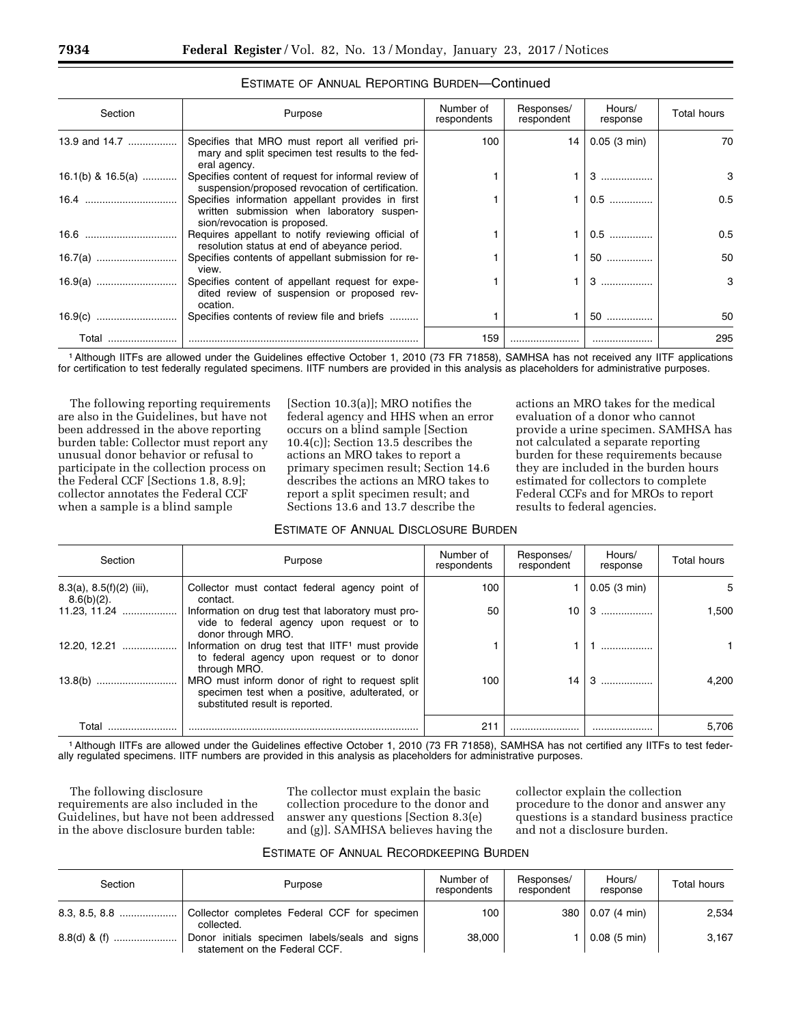| Section           | Purpose                                                                                                                         | Number of<br>respondents | Responses/<br>respondent | Hours/<br>response | <b>Total hours</b> |
|-------------------|---------------------------------------------------------------------------------------------------------------------------------|--------------------------|--------------------------|--------------------|--------------------|
| 13.9 and 14.7     | Specifies that MRO must report all verified pri-<br>mary and split specimen test results to the fed-<br>eral agency.            | 100                      | 14                       | $0.05$ (3 min)     | 70                 |
| 16.1(b) & 16.5(a) | Specifies content of request for informal review of<br>suspension/proposed revocation of certification.                         |                          |                          |                    | 3                  |
|                   | Specifies information appellant provides in first<br>written submission when laboratory suspen-<br>sion/revocation is proposed. |                          |                          | $0.5$              | 0.5                |
|                   | Requires appellant to notify reviewing official of<br>resolution status at end of abevance period.                              |                          |                          | $0.5$              | 0.5                |
|                   | Specifies contents of appellant submission for re-<br>view.                                                                     |                          |                          | 50                 | 50                 |
|                   | Specifies content of appellant request for expe-<br>dited review of suspension or proposed rev-<br>ocation.                     |                          |                          | 3                  | 3                  |
|                   | Specifies contents of review file and briefs                                                                                    |                          |                          | 50                 | 50                 |
| Total             |                                                                                                                                 | 159                      |                          |                    | 295                |

# ESTIMATE OF ANNUAL REPORTING BURDEN—Continued

1Although IITFs are allowed under the Guidelines effective October 1, 2010 (73 FR 71858), SAMHSA has not received any IITF applications for certification to test federally regulated specimens. IITF numbers are provided in this analysis as placeholders for administrative purposes.

The following reporting requirements are also in the Guidelines, but have not been addressed in the above reporting burden table: Collector must report any unusual donor behavior or refusal to participate in the collection process on the Federal CCF [Sections 1.8, 8.9]; collector annotates the Federal CCF when a sample is a blind sample

[Section 10.3(a)]; MRO notifies the federal agency and HHS when an error occurs on a blind sample [Section 10.4(c)]; Section 13.5 describes the actions an MRO takes to report a primary specimen result; Section 14.6 describes the actions an MRO takes to report a split specimen result; and Sections 13.6 and 13.7 describe the

ESTIMATE OF ANNUAL DISCLOSURE BURDEN

actions an MRO takes for the medical evaluation of a donor who cannot provide a urine specimen. SAMHSA has not calculated a separate reporting burden for these requirements because they are included in the burden hours estimated for collectors to complete Federal CCFs and for MROs to report results to federal agencies.

| Section                                        | Purpose                                                                                                                              | Number of<br>respondents | Responses/<br>respondent | Hours/<br>response | <b>Total hours</b> |
|------------------------------------------------|--------------------------------------------------------------------------------------------------------------------------------------|--------------------------|--------------------------|--------------------|--------------------|
| $8.3(a)$ , $8.5(f)(2)$ (iii),<br>$8.6(b)(2)$ . | Collector must contact federal agency point of<br>contact.                                                                           | 100                      |                          | 0.05(3 min)        | 5                  |
| 11.23, 11.24                                   | Information on drug test that laboratory must pro-<br>vide to federal agency upon request or to<br>donor through MRO.                | 50                       | 10                       | 3                  | 1,500              |
| 12.20, 12.21                                   | Information on drug test that IITF <sup>1</sup> must provide<br>to federal agency upon request or to donor<br>through MRO.           |                          |                          |                    |                    |
|                                                | MRO must inform donor of right to request split<br>specimen test when a positive, adulterated, or<br>substituted result is reported. | 100                      | 14                       | 3                  | 4.200              |
| Total                                          |                                                                                                                                      | 211                      |                          |                    | 5,706              |

1Although IITFs are allowed under the Guidelines effective October 1, 2010 (73 FR 71858), SAMHSA has not certified any IITFs to test federally regulated specimens. IITF numbers are provided in this analysis as placeholders for administrative purposes.

The following disclosure requirements are also included in the Guidelines, but have not been addressed in the above disclosure burden table:

The collector must explain the basic collection procedure to the donor and answer any questions [Section 8.3(e) and (g)]. SAMHSA believes having the collector explain the collection procedure to the donor and answer any questions is a standard business practice and not a disclosure burden.

### ESTIMATE OF ANNUAL RECORDKEEPING BURDEN

| Section | Purpose                                                                         | Number of<br>respondents | Responses/<br>respondent | Hours/<br>response    | Total hours |
|---------|---------------------------------------------------------------------------------|--------------------------|--------------------------|-----------------------|-------------|
|         | Collector completes Federal CCF for specimen<br>collected.                      | 100                      | 380                      | 0.07 (4 min)          | 2,534       |
|         | Donor initials specimen labels/seals and signs<br>statement on the Federal CCF. | 38,000                   |                          | $0.08(5 \text{ min})$ | 3.167       |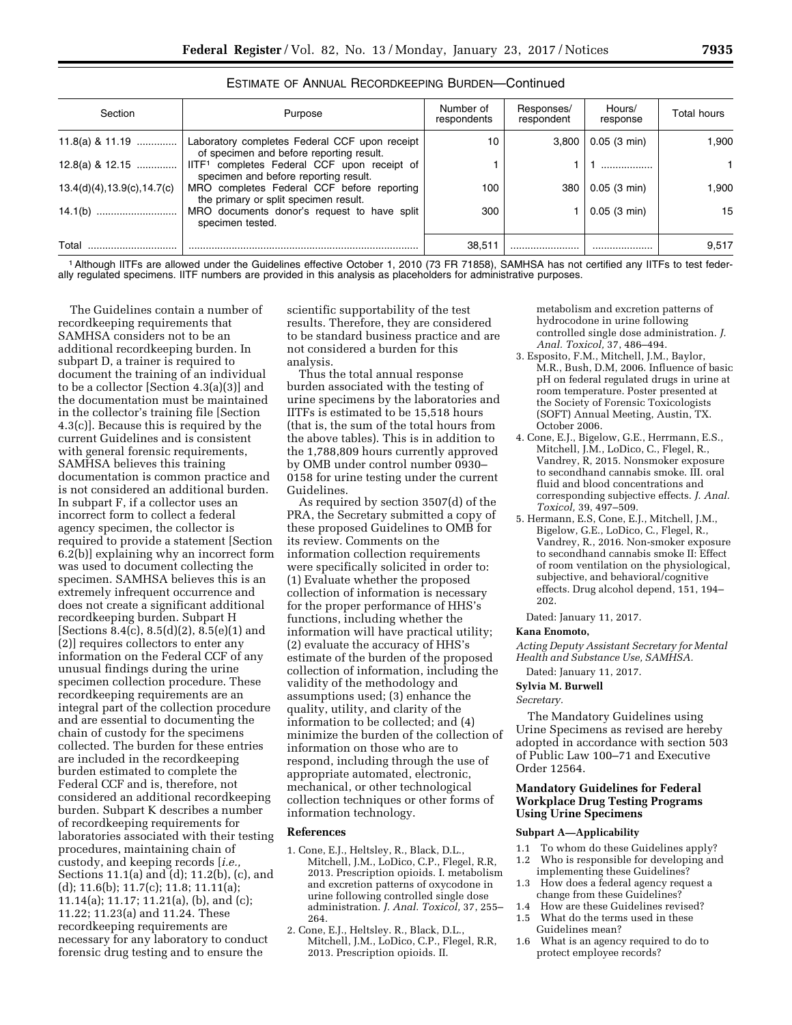| Section                      | Purpose                                                                                          | Number of<br>respondents | Responses/<br>respondent | Hours/<br>response | Total hours |
|------------------------------|--------------------------------------------------------------------------------------------------|--------------------------|--------------------------|--------------------|-------------|
| 11.8(a) & 11.19              | Laboratory completes Federal CCF upon receipt<br>of specimen and before reporting result.        | 10                       | 3.800                    | 0.05(3 min)        | 1.900       |
| 12.8(a) & 12.15              | IITF <sup>1</sup> completes Federal CCF upon receipt of<br>specimen and before reporting result. |                          |                          |                    |             |
| 13.4(d)(4), 13.9(c), 14.7(c) | MRO completes Federal CCF before reporting<br>the primary or split specimen result.              | 100                      | 380                      | 0.05(3 min)        | 1.900       |
|                              | MRO documents donor's request to have split<br>specimen tested.                                  | 300                      |                          | 0.05(3 min)        | 15          |
| Total                        |                                                                                                  | 38.511                   |                          |                    | 9,517       |

|  | ESTIMATE OF ANNUAL RECORDKEEPING BURDEN-Continued |
|--|---------------------------------------------------|
|--|---------------------------------------------------|

1Although IITFs are allowed under the Guidelines effective October 1, 2010 (73 FR 71858), SAMHSA has not certified any IITFs to test federally regulated specimens. IITF numbers are provided in this analysis as placeholders for administrative purposes.

The Guidelines contain a number of recordkeeping requirements that SAMHSA considers not to be an additional recordkeeping burden. In subpart D, a trainer is required to document the training of an individual to be a collector [Section 4.3(a)(3)] and the documentation must be maintained in the collector's training file [Section 4.3(c)]. Because this is required by the current Guidelines and is consistent with general forensic requirements, SAMHSA believes this training documentation is common practice and is not considered an additional burden. In subpart F, if a collector uses an incorrect form to collect a federal agency specimen, the collector is required to provide a statement [Section 6.2(b)] explaining why an incorrect form was used to document collecting the specimen. SAMHSA believes this is an extremely infrequent occurrence and does not create a significant additional recordkeeping burden. Subpart H [Sections 8.4(c), 8.5(d)(2), 8.5(e)(1) and (2)] requires collectors to enter any information on the Federal CCF of any unusual findings during the urine specimen collection procedure. These recordkeeping requirements are an integral part of the collection procedure and are essential to documenting the chain of custody for the specimens collected. The burden for these entries are included in the recordkeeping burden estimated to complete the Federal CCF and is, therefore, not considered an additional recordkeeping burden. Subpart K describes a number of recordkeeping requirements for laboratories associated with their testing procedures, maintaining chain of custody, and keeping records [*i.e.,*  Sections 11.1(a) and (d); 11.2(b), (c), and (d); 11.6(b); 11.7(c); 11.8; 11.11(a); 11.14(a); 11.17; 11.21(a), (b), and (c); 11.22; 11.23(a) and 11.24. These recordkeeping requirements are necessary for any laboratory to conduct forensic drug testing and to ensure the

scientific supportability of the test results. Therefore, they are considered to be standard business practice and are not considered a burden for this analysis.

Thus the total annual response burden associated with the testing of urine specimens by the laboratories and IITFs is estimated to be 15,518 hours (that is, the sum of the total hours from the above tables). This is in addition to the 1,788,809 hours currently approved by OMB under control number 0930– 0158 for urine testing under the current Guidelines.

As required by section 3507(d) of the PRA, the Secretary submitted a copy of these proposed Guidelines to OMB for its review. Comments on the information collection requirements were specifically solicited in order to: (1) Evaluate whether the proposed collection of information is necessary for the proper performance of HHS's functions, including whether the information will have practical utility; (2) evaluate the accuracy of HHS's estimate of the burden of the proposed collection of information, including the validity of the methodology and assumptions used; (3) enhance the quality, utility, and clarity of the information to be collected; and (4) minimize the burden of the collection of information on those who are to respond, including through the use of appropriate automated, electronic, mechanical, or other technological collection techniques or other forms of information technology.

# **References**

- 1. Cone, E.J., Heltsley, R., Black, D.L., Mitchell, J.M., LoDico, C.P., Flegel, R.R, 2013. Prescription opioids. I. metabolism and excretion patterns of oxycodone in urine following controlled single dose administration. *J. Anal. Toxicol,* 37, 255– 264.
- 2. Cone, E.J., Heltsley. R., Black, D.L., Mitchell, J.M., LoDico, C.P., Flegel, R.R, 2013. Prescription opioids. II.

metabolism and excretion patterns of hydrocodone in urine following controlled single dose administration. *J. Anal. Toxicol,* 37, 486–494.

- 3. Esposito, F.M., Mitchell, J.M., Baylor, M.R., Bush, D.M, 2006. Influence of basic pH on federal regulated drugs in urine at room temperature. Poster presented at the Society of Forensic Toxicologists (SOFT) Annual Meeting, Austin, TX. October 2006.
- 4. Cone, E.J., Bigelow, G.E., Herrmann, E.S., Mitchell, J.M., LoDico, C., Flegel, R., Vandrey, R, 2015. Nonsmoker exposure to secondhand cannabis smoke. III. oral fluid and blood concentrations and corresponding subjective effects. *J. Anal. Toxicol,* 39, 497–509.
- 5. Hermann, E.S, Cone, E.J., Mitchell, J.M., Bigelow, G.E., LoDico, C., Flegel, R., Vandrey, R., 2016. Non-smoker exposure to secondhand cannabis smoke II: Effect of room ventilation on the physiological, subjective, and behavioral/cognitive effects. Drug alcohol depend, 151, 194– 202.

Dated: January 11, 2017.

# **Kana Enomoto,**

*Acting Deputy Assistant Secretary for Mental Health and Substance Use, SAMHSA.* 

Dated: January 11, 2017.

#### **Sylvia M. Burwell**

#### *Secretary.*

The Mandatory Guidelines using Urine Specimens as revised are hereby adopted in accordance with section 503 of Public Law 100–71 and Executive Order 12564.

# **Mandatory Guidelines for Federal Workplace Drug Testing Programs Using Urine Specimens**

#### **Subpart A—Applicability**

- 1.1 To whom do these Guidelines apply?<br>1.2 Who is responsible for developing an Who is responsible for developing and
- implementing these Guidelines? 1.3 How does a federal agency request a
- change from these Guidelines? 1.4 How are these Guidelines revised?
- 
- 1.5 What do the terms used in these Guidelines mean?
- 1.6 What is an agency required to do to protect employee records?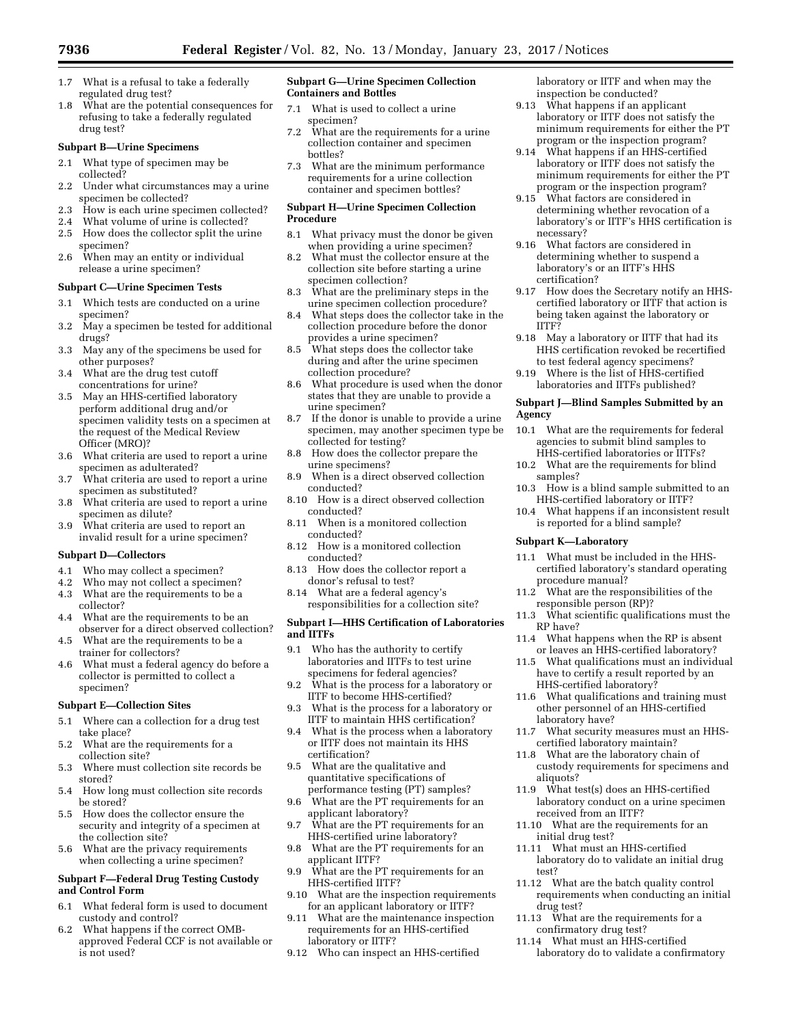- 1.7 What is a refusal to take a federally regulated drug test?
- 1.8 What are the potential consequences for refusing to take a federally regulated drug test?

#### **Subpart B—Urine Specimens**

- 2.1 What type of specimen may be collected?
- 2.2 Under what circumstances may a urine specimen be collected?
- 2.3 How is each urine specimen collected?
- 2.4 What volume of urine is collected?
- 2.5 How does the collector split the urine specimen?
- 2.6 When may an entity or individual release a urine specimen?

#### **Subpart C—Urine Specimen Tests**

- 3.1 Which tests are conducted on a urine specimen?
- 3.2 May a specimen be tested for additional drugs?
- 3.3 May any of the specimens be used for other purposes?
- 3.4 What are the drug test cutoff concentrations for urine?
- 3.5 May an HHS-certified laboratory perform additional drug and/or specimen validity tests on a specimen at the request of the Medical Review Officer (MRO)?
- 3.6 What criteria are used to report a urine specimen as adulterated?
- 3.7 What criteria are used to report a urine specimen as substituted?
- 3.8 What criteria are used to report a urine specimen as dilute?
- 3.9 What criteria are used to report an invalid result for a urine specimen?

#### **Subpart D—Collectors**

- 4.1 Who may collect a specimen?
- 4.2 Who may not collect a specimen?
- 4.3 What are the requirements to be a collector?
- 4.4 What are the requirements to be an observer for a direct observed collection?
- 4.5 What are the requirements to be a trainer for collectors?
- 4.6 What must a federal agency do before a collector is permitted to collect a specimen?

#### **Subpart E—Collection Sites**

- 5.1 Where can a collection for a drug test take place?
- 5.2 What are the requirements for a collection site?
- 5.3 Where must collection site records be stored?
- 5.4 How long must collection site records be stored?
- 5.5 How does the collector ensure the security and integrity of a specimen at the collection site?
- 5.6 What are the privacy requirements when collecting a urine specimen?

## **Subpart F—Federal Drug Testing Custody and Control Form**

- 6.1 What federal form is used to document custody and control?
- 6.2 What happens if the correct OMBapproved Federal CCF is not available or is not used?

#### **Subpart G—Urine Specimen Collection Containers and Bottles**

- 7.1 What is used to collect a urine specimen?
- 7.2 What are the requirements for a urine collection container and specimen bottles?
- 7.3 What are the minimum performance requirements for a urine collection container and specimen bottles?

#### **Subpart H—Urine Specimen Collection Procedure**

- 8.1 What privacy must the donor be given when providing a urine specimen?
- 8.2 What must the collector ensure at the collection site before starting a urine specimen collection?
- 8.3 What are the preliminary steps in the urine specimen collection procedure?
- 8.4 What steps does the collector take in the collection procedure before the donor provides a urine specimen?
- 8.5 What steps does the collector take during and after the urine specimen collection procedure?
- 8.6 What procedure is used when the donor states that they are unable to provide a urine specimen?
- 8.7 If the donor is unable to provide a urine specimen, may another specimen type be collected for testing?
- 8.8 How does the collector prepare the urine specimens?
- 8.9 When is a direct observed collection conducted?
- 8.10 How is a direct observed collection conducted?
- 8.11 When is a monitored collection conducted?
- 8.12 How is a monitored collection conducted?
- 8.13 How does the collector report a donor's refusal to test?
- 8.14 What are a federal agency's responsibilities for a collection site?

## **Subpart I—HHS Certification of Laboratories and IITFs**

- 9.1 Who has the authority to certify laboratories and IITFs to test urine specimens for federal agencies?
- 9.2 What is the process for a laboratory or IITF to become HHS-certified?
- 9.3 What is the process for a laboratory or IITF to maintain HHS certification?
- 9.4 What is the process when a laboratory or IITF does not maintain its HHS certification?
- 9.5 What are the qualitative and quantitative specifications of performance testing (PT) samples?
- 9.6 What are the PT requirements for an applicant laboratory?
- 9.7 What are the PT requirements for an HHS-certified urine laboratory?
- 9.8 What are the PT requirements for an applicant IITF?
- 9.9 What are the PT requirements for an HHS-certified IITF?
- 9.10 What are the inspection requirements for an applicant laboratory or IITF?
- 9.11 What are the maintenance inspection requirements for an HHS-certified laboratory or IITF?
- 9.12 Who can inspect an HHS-certified

laboratory or IITF and when may the inspection be conducted?

- 9.13 What happens if an applicant laboratory or IITF does not satisfy the minimum requirements for either the PT program or the inspection program?
- 9.14 What happens if an HHS-certified laboratory or IITF does not satisfy the minimum requirements for either the PT program or the inspection program?
- 9.15 What factors are considered in determining whether revocation of a laboratory's or IITF's HHS certification is necessary?
- 9.16 What factors are considered in determining whether to suspend a laboratory's or an IITF's HHS certification?
- 9.17 How does the Secretary notify an HHScertified laboratory or IITF that action is being taken against the laboratory or IITF?
- 9.18 May a laboratory or IITF that had its HHS certification revoked be recertified to test federal agency specimens?
- 9.19 Where is the list of HHS-certified laboratories and IITFs published?

#### **Subpart J—Blind Samples Submitted by an Agency**

- 10.1 What are the requirements for federal agencies to submit blind samples to HHS-certified laboratories or IITFs?
- 10.2 What are the requirements for blind samples?
- 10.3 How is a blind sample submitted to an HHS-certified laboratory or IITF?
- 10.4 What happens if an inconsistent result is reported for a blind sample?

#### **Subpart K—Laboratory**

- 11.1 What must be included in the HHScertified laboratory's standard operating procedure manual?
- 11.2 What are the responsibilities of the responsible person (RP)?
- 11.3 What scientific qualifications must the RP have?
- 11.4 What happens when the RP is absent or leaves an HHS-certified laboratory?
- 11.5 What qualifications must an individual have to certify a result reported by an HHS-certified laboratory?
- 11.6 What qualifications and training must other personnel of an HHS-certified laboratory have?
- 11.7 What security measures must an HHScertified laboratory maintain?
- 11.8 What are the laboratory chain of custody requirements for specimens and aliquots?
- 11.9 What test(s) does an HHS-certified laboratory conduct on a urine specimen received from an IITF?
- 11.10 What are the requirements for an initial drug test?
- 11.11 What must an HHS-certified laboratory do to validate an initial drug test?
- 11.12 What are the batch quality control requirements when conducting an initial drug test?
- 11.13 What are the requirements for a confirmatory drug test?
- 11.14 What must an HHS-certified laboratory do to validate a confirmatory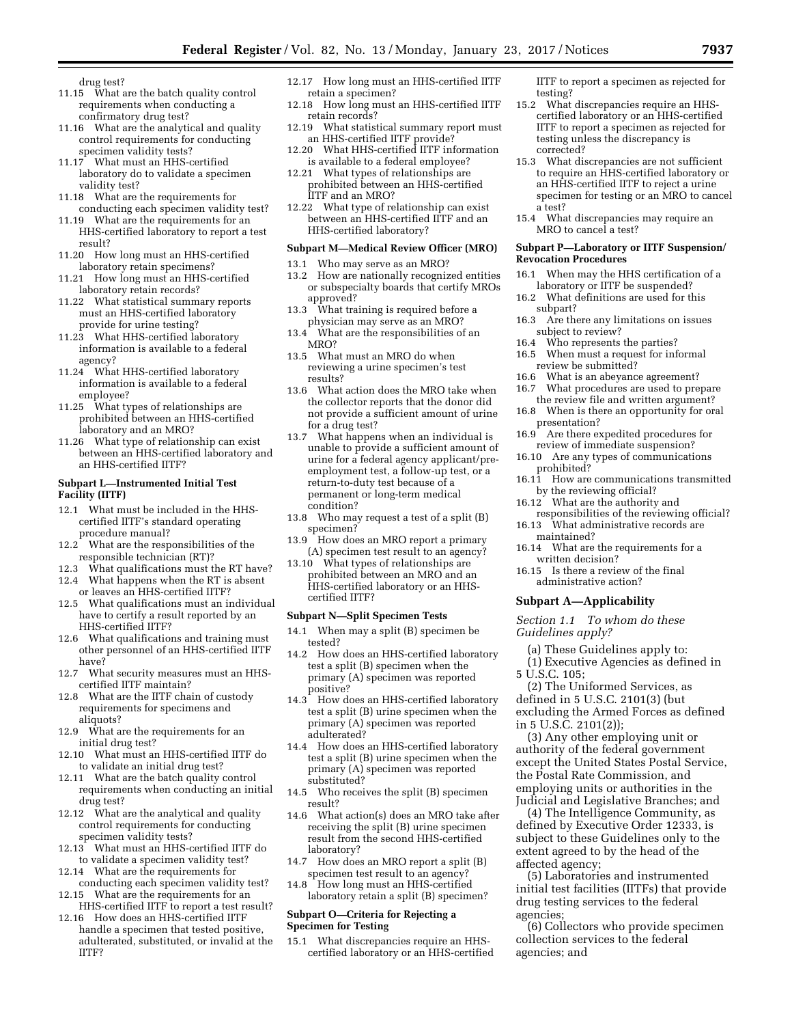drug test?

- 11.15 What are the batch quality control requirements when conducting a confirmatory drug test?
- 11.16 What are the analytical and quality control requirements for conducting specimen validity tests?
- 11.17 What must an HHS-certified laboratory do to validate a specimen validity test?
- 11.18 What are the requirements for conducting each specimen validity test?
- 11.19 What are the requirements for an HHS-certified laboratory to report a test result?
- 11.20 How long must an HHS-certified laboratory retain specimens?
- 11.21 How long must an HHS-certified laboratory retain records?
- 11.22 What statistical summary reports must an HHS-certified laboratory provide for urine testing?
- 11.23 What HHS-certified laboratory information is available to a federal agency?
- 11.24 What HHS-certified laboratory information is available to a federal employee?
- 11.25 What types of relationships are prohibited between an HHS-certified laboratory and an MRO?
- 11.26 What type of relationship can exist between an HHS-certified laboratory and an HHS-certified IITF?

#### **Subpart L—Instrumented Initial Test Facility (IITF)**

- 12.1 What must be included in the HHScertified IITF's standard operating procedure manual?
- 12.2 What are the responsibilities of the responsible technician (RT)?
- 12.3 What qualifications must the RT have? 12.4 What happens when the RT is absent
- or leaves an HHS-certified IITF? 12.5 What qualifications must an individual
- have to certify a result reported by an HHS-certified IITF?
- 12.6 What qualifications and training must other personnel of an HHS-certified IITF have?
- 12.7 What security measures must an HHScertified IITF maintain?
- 12.8 What are the IITF chain of custody requirements for specimens and aliquots?
- 12.9 What are the requirements for an initial drug test?
- 12.10 What must an HHS-certified IITF do to validate an initial drug test?
- 12.11 What are the batch quality control requirements when conducting an initial drug test?
- 12.12 What are the analytical and quality control requirements for conducting specimen validity tests?
- 12.13 What must an HHS-certified IITF do to validate a specimen validity test?
- 12.14 What are the requirements for conducting each specimen validity test?
- 12.15 What are the requirements for an HHS-certified IITF to report a test result?
- 12.16 How does an HHS-certified IITF handle a specimen that tested positive, adulterated, substituted, or invalid at the IITF?
- 12.17 How long must an HHS-certified IITF retain a specimen?
- 12.18 How long must an HHS-certified IITF retain records?
- 12.19 What statistical summary report must an HHS-certified IITF provide?
- 12.20 What HHS-certified IITF information is available to a federal employee?
- 12.21 What types of relationships are prohibited between an HHS-certified IITF and an MRO?
- 12.22 What type of relationship can exist between an HHS-certified IITF and an HHS-certified laboratory?

## **Subpart M—Medical Review Officer (MRO)**

- 13.1 Who may serve as an MRO?
- 13.2 How are nationally recognized entities or subspecialty boards that certify MROs approved?
- 13.3 What training is required before a physician may serve as an MRO?
- 13.4 What are the responsibilities of an MRO?
- 13.5 What must an MRO do when reviewing a urine specimen's test results?
- 13.6 What action does the MRO take when the collector reports that the donor did not provide a sufficient amount of urine for a drug test?<br>13.7 What happen
- What happens when an individual is unable to provide a sufficient amount of urine for a federal agency applicant/preemployment test, a follow-up test, or a return-to-duty test because of a permanent or long-term medical condition?
- 13.8 Who may request a test of a split (B) specimen?
- 13.9 How does an MRO report a primary (A) specimen test result to an agency?
- 13.10 What types of relationships are prohibited between an MRO and an HHS-certified laboratory or an HHScertified IITF?

#### **Subpart N—Split Specimen Tests**

- 14.1 When may a split (B) specimen be tested?
- 14.2 How does an HHS-certified laboratory test a split (B) specimen when the primary (A) specimen was reported positive?
- 14.3 How does an HHS-certified laboratory test a split (B) urine specimen when the primary (A) specimen was reported adulterated?
- 14.4 How does an HHS-certified laboratory test a split (B) urine specimen when the primary (A) specimen was reported substituted?
- 14.5 Who receives the split (B) specimen result?
- 14.6 What action(s) does an MRO take after receiving the split (B) urine specimen result from the second HHS-certified laboratory?
- 14.7 How does an MRO report a split (B) specimen test result to an agency?
- 14.8 How long must an HHS-certified laboratory retain a split (B) specimen?

### **Subpart O—Criteria for Rejecting a Specimen for Testing**

15.1 What discrepancies require an HHScertified laboratory or an HHS-certified IITF to report a specimen as rejected for testing?

- 15.2 What discrepancies require an HHScertified laboratory or an HHS-certified IITF to report a specimen as rejected for testing unless the discrepancy is corrected?
- 15.3 What discrepancies are not sufficient to require an HHS-certified laboratory or an HHS-certified IITF to reject a urine specimen for testing or an MRO to cancel a test?
- 15.4 What discrepancies may require an MRO to cancel a test?

#### **Subpart P—Laboratory or IITF Suspension/ Revocation Procedures**

- 16.1 When may the HHS certification of a laboratory or IITF be suspended?
- 16.2 What definitions are used for this subpart?
- 16.3 Are there any limitations on issues subject to review?
- 16.4 Who represents the parties?
- 16.5 When must a request for informal review be submitted?
- 16.6 What is an abeyance agreement?
- 16.7 What procedures are used to prepare the review file and written argument?
- 16.8 When is there an opportunity for oral presentation?
- 16.9 Are there expedited procedures for review of immediate suspension?
- 16.10 Are any types of communications prohibited?
- 16.11 How are communications transmitted by the reviewing official?
- 16.12 What are the authority and
- responsibilities of the reviewing official? 16.13 What administrative records are
- maintained? 16.14 What are the requirements for a
- written decision?
- 16.15 Is there a review of the final administrative action?

#### **Subpart A—Applicability**

*Section 1.1 To whom do these Guidelines apply?* 

(a) These Guidelines apply to:

(1) Executive Agencies as defined in 5 U.S.C. 105;

(2) The Uniformed Services, as defined in 5 U.S.C. 2101(3) (but excluding the Armed Forces as defined in 5 U.S.C. 2101(2));

(3) Any other employing unit or authority of the federal government except the United States Postal Service, the Postal Rate Commission, and employing units or authorities in the Judicial and Legislative Branches; and

(4) The Intelligence Community, as defined by Executive Order 12333, is subject to these Guidelines only to the extent agreed to by the head of the affected agency;

(5) Laboratories and instrumented initial test facilities (IITFs) that provide drug testing services to the federal agencies;

(6) Collectors who provide specimen collection services to the federal agencies; and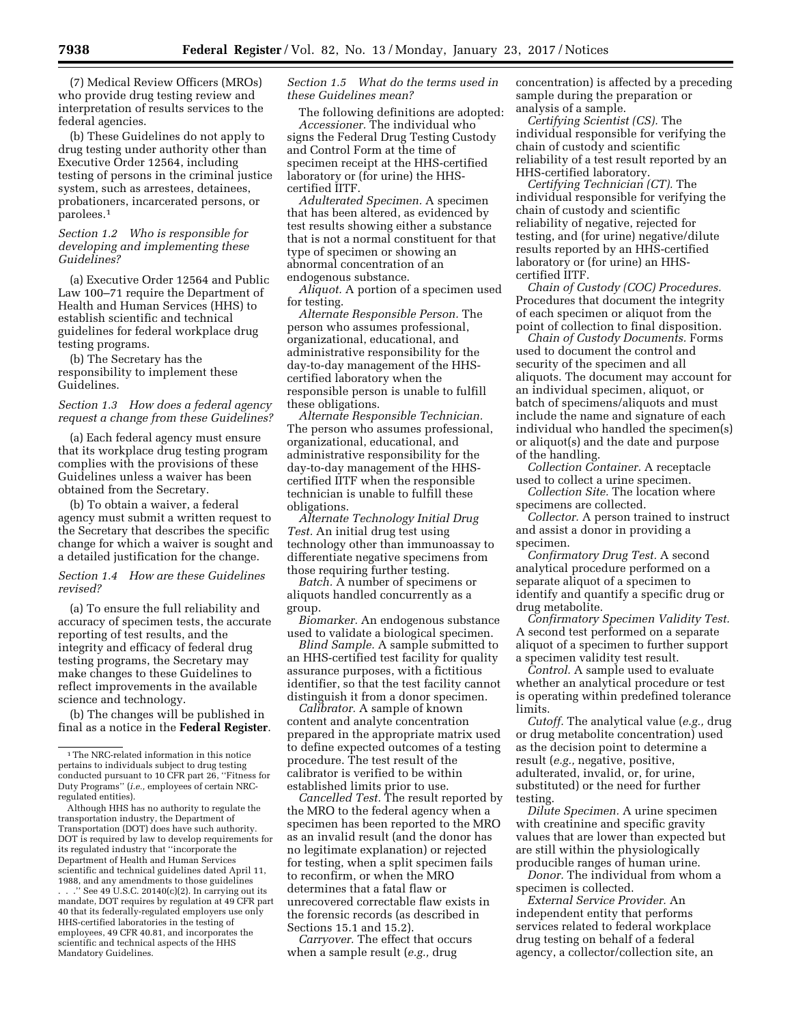(7) Medical Review Officers (MROs) who provide drug testing review and interpretation of results services to the federal agencies.

(b) These Guidelines do not apply to drug testing under authority other than Executive Order 12564, including testing of persons in the criminal justice system, such as arrestees, detainees, probationers, incarcerated persons, or parolees.1

## *Section 1.2 Who is responsible for developing and implementing these Guidelines?*

(a) Executive Order 12564 and Public Law 100–71 require the Department of Health and Human Services (HHS) to establish scientific and technical guidelines for federal workplace drug testing programs.

(b) The Secretary has the responsibility to implement these Guidelines.

### *Section 1.3 How does a federal agency request a change from these Guidelines?*

(a) Each federal agency must ensure that its workplace drug testing program complies with the provisions of these Guidelines unless a waiver has been obtained from the Secretary.

(b) To obtain a waiver, a federal agency must submit a written request to the Secretary that describes the specific change for which a waiver is sought and a detailed justification for the change.

### *Section 1.4 How are these Guidelines revised?*

(a) To ensure the full reliability and accuracy of specimen tests, the accurate reporting of test results, and the integrity and efficacy of federal drug testing programs, the Secretary may make changes to these Guidelines to reflect improvements in the available science and technology.

(b) The changes will be published in final as a notice in the **Federal Register**.

Although HHS has no authority to regulate the transportation industry, the Department of Transportation (DOT) does have such authority. DOT is required by law to develop requirements for its regulated industry that ''incorporate the Department of Health and Human Services scientific and technical guidelines dated April 11, 1988, and any amendments to those guidelines

. . .'' See 49 U.S.C. 20140(c)(2). In carrying out its mandate, DOT requires by regulation at 49 CFR part 40 that its federally-regulated employers use only HHS-certified laboratories in the testing of employees, 49 CFR 40.81, and incorporates the scientific and technical aspects of the HHS Mandatory Guidelines.

# *Section 1.5 What do the terms used in these Guidelines mean?*

The following definitions are adopted: *Accessioner.* The individual who signs the Federal Drug Testing Custody and Control Form at the time of specimen receipt at the HHS-certified laboratory or (for urine) the HHScertified IITF.

*Adulterated Specimen.* A specimen that has been altered, as evidenced by test results showing either a substance that is not a normal constituent for that type of specimen or showing an abnormal concentration of an endogenous substance.

*Aliquot.* A portion of a specimen used for testing.

*Alternate Responsible Person.* The person who assumes professional, organizational, educational, and administrative responsibility for the day-to-day management of the HHScertified laboratory when the responsible person is unable to fulfill these obligations.

*Alternate Responsible Technician.*  The person who assumes professional, organizational, educational, and administrative responsibility for the day-to-day management of the HHScertified IITF when the responsible technician is unable to fulfill these obligations.

*Alternate Technology Initial Drug Test.* An initial drug test using technology other than immunoassay to differentiate negative specimens from those requiring further testing.

*Batch.* A number of specimens or aliquots handled concurrently as a group.

*Biomarker.* An endogenous substance used to validate a biological specimen.

*Blind Sample.* A sample submitted to an HHS-certified test facility for quality assurance purposes, with a fictitious identifier, so that the test facility cannot distinguish it from a donor specimen.

*Calibrator.* A sample of known content and analyte concentration prepared in the appropriate matrix used to define expected outcomes of a testing procedure. The test result of the calibrator is verified to be within established limits prior to use.

*Cancelled Test.* The result reported by the MRO to the federal agency when a specimen has been reported to the MRO as an invalid result (and the donor has no legitimate explanation) or rejected for testing, when a split specimen fails to reconfirm, or when the MRO determines that a fatal flaw or unrecovered correctable flaw exists in the forensic records (as described in Sections 15.1 and 15.2).

*Carryover.* The effect that occurs when a sample result (*e.g.,* drug

concentration) is affected by a preceding sample during the preparation or analysis of a sample.

*Certifying Scientist (CS).* The individual responsible for verifying the chain of custody and scientific reliability of a test result reported by an HHS-certified laboratory.

*Certifying Technician (CT).* The individual responsible for verifying the chain of custody and scientific reliability of negative, rejected for testing, and (for urine) negative/dilute results reported by an HHS-certified laboratory or (for urine) an HHScertified IITF.

*Chain of Custody (COC) Procedures.*  Procedures that document the integrity of each specimen or aliquot from the point of collection to final disposition.

*Chain of Custody Documents.* Forms used to document the control and security of the specimen and all aliquots. The document may account for an individual specimen, aliquot, or batch of specimens/aliquots and must include the name and signature of each individual who handled the specimen(s) or aliquot(s) and the date and purpose of the handling.

*Collection Container.* A receptacle used to collect a urine specimen.

*Collection Site.* The location where specimens are collected.

*Collector.* A person trained to instruct and assist a donor in providing a specimen.

*Confirmatory Drug Test.* A second analytical procedure performed on a separate aliquot of a specimen to identify and quantify a specific drug or drug metabolite.

*Confirmatory Specimen Validity Test.*  A second test performed on a separate aliquot of a specimen to further support a specimen validity test result.

*Control.* A sample used to evaluate whether an analytical procedure or test is operating within predefined tolerance limits.

*Cutoff.* The analytical value (*e.g.,* drug or drug metabolite concentration) used as the decision point to determine a result (*e.g.,* negative, positive, adulterated, invalid, or, for urine, substituted) or the need for further testing.

*Dilute Specimen.* A urine specimen with creatinine and specific gravity values that are lower than expected but are still within the physiologically producible ranges of human urine.

*Donor.* The individual from whom a specimen is collected.

*External Service Provider.* An independent entity that performs services related to federal workplace drug testing on behalf of a federal agency, a collector/collection site, an

 $^{\rm 1}\!$  The NRC-related information in this notice pertains to individuals subject to drug testing conducted pursuant to 10 CFR part 26, ''Fitness for Duty Programs'' (*i.e.,* employees of certain NRCregulated entities).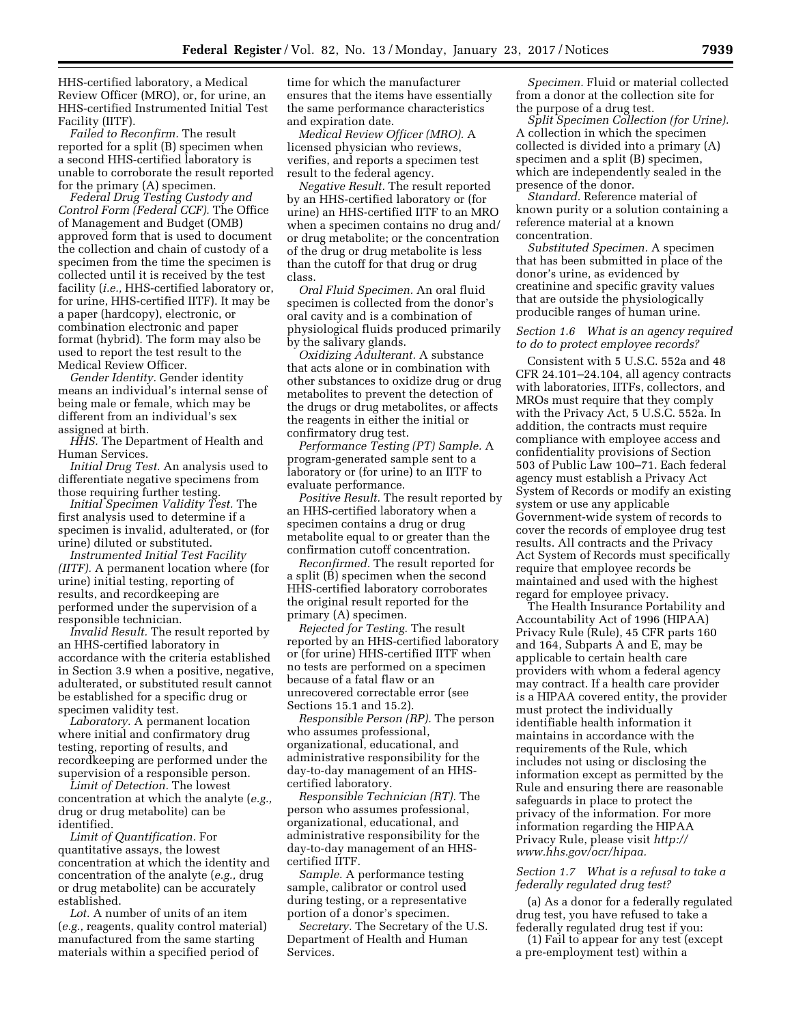HHS-certified laboratory, a Medical Review Officer (MRO), or, for urine, an HHS-certified Instrumented Initial Test Facility (IITF).

*Failed to Reconfirm.* The result reported for a split (B) specimen when a second HHS-certified laboratory is unable to corroborate the result reported for the primary (A) specimen.

*Federal Drug Testing Custody and Control Form (Federal CCF).* The Office of Management and Budget (OMB) approved form that is used to document the collection and chain of custody of a specimen from the time the specimen is collected until it is received by the test facility (*i.e.,* HHS-certified laboratory or, for urine, HHS-certified IITF). It may be a paper (hardcopy), electronic, or combination electronic and paper format (hybrid). The form may also be used to report the test result to the Medical Review Officer.

*Gender Identity.* Gender identity means an individual's internal sense of being male or female, which may be different from an individual's sex assigned at birth.

*HHS.* The Department of Health and Human Services.

*Initial Drug Test.* An analysis used to differentiate negative specimens from those requiring further testing.

*Initial Specimen Validity Test.* The first analysis used to determine if a specimen is invalid, adulterated, or (for urine) diluted or substituted.

*Instrumented Initial Test Facility (IITF).* A permanent location where (for urine) initial testing, reporting of results, and recordkeeping are performed under the supervision of a responsible technician.

*Invalid Result.* The result reported by an HHS-certified laboratory in accordance with the criteria established in Section 3.9 when a positive, negative, adulterated, or substituted result cannot be established for a specific drug or specimen validity test.

*Laboratory.* A permanent location where initial and confirmatory drug testing, reporting of results, and recordkeeping are performed under the supervision of a responsible person.

*Limit of Detection.* The lowest concentration at which the analyte (*e.g.,*  drug or drug metabolite) can be identified.

*Limit of Quantification.* For quantitative assays, the lowest concentration at which the identity and concentration of the analyte (*e.g.,* drug or drug metabolite) can be accurately established.

*Lot.* A number of units of an item (*e.g.,* reagents, quality control material) manufactured from the same starting materials within a specified period of

time for which the manufacturer ensures that the items have essentially the same performance characteristics and expiration date.

*Medical Review Officer (MRO).* A licensed physician who reviews, verifies, and reports a specimen test result to the federal agency.

*Negative Result.* The result reported by an HHS-certified laboratory or (for urine) an HHS-certified IITF to an MRO when a specimen contains no drug and/ or drug metabolite; or the concentration of the drug or drug metabolite is less than the cutoff for that drug or drug class.

*Oral Fluid Specimen.* An oral fluid specimen is collected from the donor's oral cavity and is a combination of physiological fluids produced primarily by the salivary glands.

*Oxidizing Adulterant.* A substance that acts alone or in combination with other substances to oxidize drug or drug metabolites to prevent the detection of the drugs or drug metabolites, or affects the reagents in either the initial or confirmatory drug test.

*Performance Testing (PT) Sample.* A program-generated sample sent to a laboratory or (for urine) to an IITF to evaluate performance.

*Positive Result.* The result reported by an HHS-certified laboratory when a specimen contains a drug or drug metabolite equal to or greater than the confirmation cutoff concentration.

*Reconfirmed.* The result reported for a split (B) specimen when the second HHS-certified laboratory corroborates the original result reported for the primary (A) specimen.

*Rejected for Testing.* The result reported by an HHS-certified laboratory or (for urine) HHS-certified IITF when no tests are performed on a specimen because of a fatal flaw or an unrecovered correctable error (see Sections 15.1 and 15.2).

*Responsible Person (RP).* The person who assumes professional, organizational, educational, and administrative responsibility for the day-to-day management of an HHScertified laboratory.

*Responsible Technician (RT).* The person who assumes professional, organizational, educational, and administrative responsibility for the day-to-day management of an HHScertified IITF.

*Sample.* A performance testing sample, calibrator or control used during testing, or a representative portion of a donor's specimen.

*Secretary.* The Secretary of the U.S. Department of Health and Human Services.

*Specimen.* Fluid or material collected from a donor at the collection site for the purpose of a drug test.

*Split Specimen Collection (for Urine).*  A collection in which the specimen collected is divided into a primary (A) specimen and a split (B) specimen, which are independently sealed in the presence of the donor.

*Standard.* Reference material of known purity or a solution containing a reference material at a known concentration.

*Substituted Specimen.* A specimen that has been submitted in place of the donor's urine, as evidenced by creatinine and specific gravity values that are outside the physiologically producible ranges of human urine.

# *Section 1.6 What is an agency required to do to protect employee records?*

Consistent with 5 U.S.C. 552a and 48 CFR 24.101–24.104, all agency contracts with laboratories, IITFs, collectors, and MROs must require that they comply with the Privacy Act, 5 U.S.C. 552a. In addition, the contracts must require compliance with employee access and confidentiality provisions of Section 503 of Public Law 100–71. Each federal agency must establish a Privacy Act System of Records or modify an existing system or use any applicable Government-wide system of records to cover the records of employee drug test results. All contracts and the Privacy Act System of Records must specifically require that employee records be maintained and used with the highest regard for employee privacy.

The Health Insurance Portability and Accountability Act of 1996 (HIPAA) Privacy Rule (Rule), 45 CFR parts 160 and 164, Subparts A and E, may be applicable to certain health care providers with whom a federal agency may contract. If a health care provider is a HIPAA covered entity, the provider must protect the individually identifiable health information it maintains in accordance with the requirements of the Rule, which includes not using or disclosing the information except as permitted by the Rule and ensuring there are reasonable safeguards in place to protect the privacy of the information. For more information regarding the HIPAA Privacy Rule, please visit *[http://](http://www.hhs.gov/ocr/hipaa) [www.hhs.gov/ocr/hipaa.](http://www.hhs.gov/ocr/hipaa)* 

#### *Section 1.7 What is a refusal to take a federally regulated drug test?*

(a) As a donor for a federally regulated drug test, you have refused to take a federally regulated drug test if you:

(1) Fail to appear for any test (except a pre-employment test) within a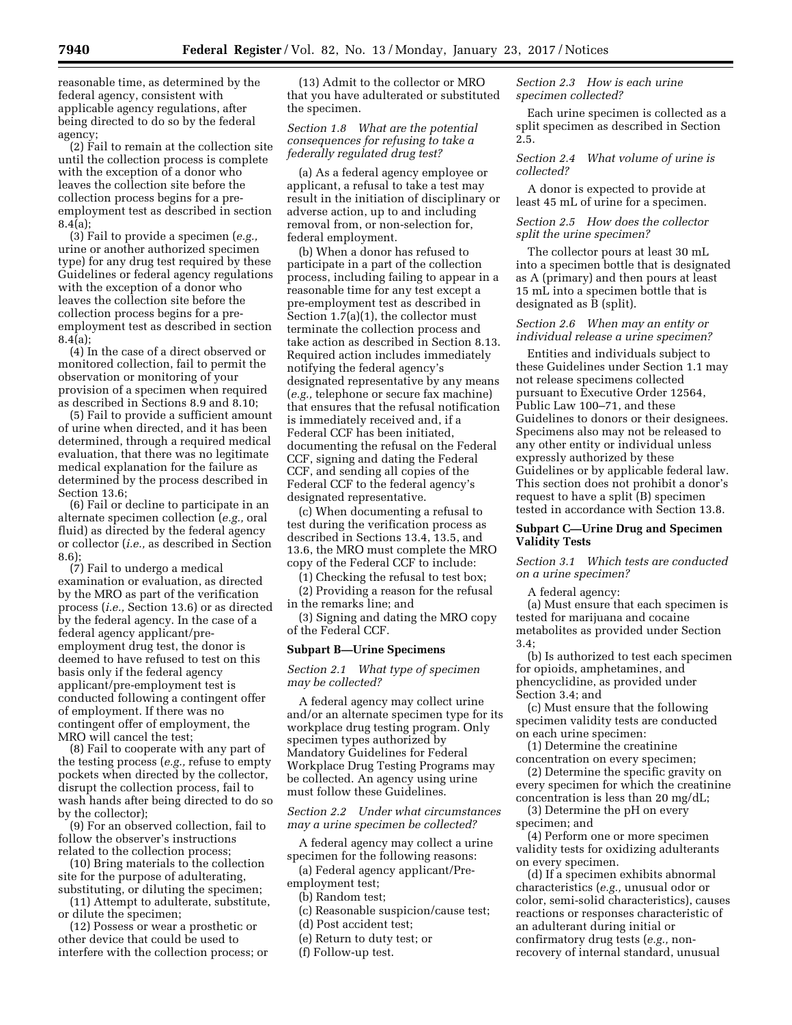reasonable time, as determined by the federal agency, consistent with applicable agency regulations, after being directed to do so by the federal agency;

(2) Fail to remain at the collection site until the collection process is complete with the exception of a donor who leaves the collection site before the collection process begins for a preemployment test as described in section 8.4(a);

(3) Fail to provide a specimen (*e.g.,*  urine or another authorized specimen type) for any drug test required by these Guidelines or federal agency regulations with the exception of a donor who leaves the collection site before the collection process begins for a preemployment test as described in section 8.4(a);

(4) In the case of a direct observed or monitored collection, fail to permit the observation or monitoring of your provision of a specimen when required as described in Sections 8.9 and 8.10;

(5) Fail to provide a sufficient amount of urine when directed, and it has been determined, through a required medical evaluation, that there was no legitimate medical explanation for the failure as determined by the process described in Section 13.6;

(6) Fail or decline to participate in an alternate specimen collection (*e.g.,* oral fluid) as directed by the federal agency or collector (*i.e.,* as described in Section 8.6);

(7) Fail to undergo a medical examination or evaluation, as directed by the MRO as part of the verification process (*i.e.,* Section 13.6) or as directed by the federal agency. In the case of a federal agency applicant/preemployment drug test, the donor is deemed to have refused to test on this basis only if the federal agency applicant/pre-employment test is conducted following a contingent offer of employment. If there was no contingent offer of employment, the MRO will cancel the test;

(8) Fail to cooperate with any part of the testing process (*e.g.,* refuse to empty pockets when directed by the collector, disrupt the collection process, fail to wash hands after being directed to do so by the collector);

(9) For an observed collection, fail to follow the observer's instructions related to the collection process;

(10) Bring materials to the collection site for the purpose of adulterating, substituting, or diluting the specimen;

(11) Attempt to adulterate, substitute, or dilute the specimen;

(12) Possess or wear a prosthetic or other device that could be used to interfere with the collection process; or

(13) Admit to the collector or MRO that you have adulterated or substituted the specimen.

*Section 1.8 What are the potential consequences for refusing to take a federally regulated drug test?* 

(a) As a federal agency employee or applicant, a refusal to take a test may result in the initiation of disciplinary or adverse action, up to and including removal from, or non-selection for, federal employment.

(b) When a donor has refused to participate in a part of the collection process, including failing to appear in a reasonable time for any test except a pre-employment test as described in Section 1.7(a)(1), the collector must terminate the collection process and take action as described in Section 8.13. Required action includes immediately notifying the federal agency's designated representative by any means (*e.g.,* telephone or secure fax machine) that ensures that the refusal notification is immediately received and, if a Federal CCF has been initiated, documenting the refusal on the Federal CCF, signing and dating the Federal CCF, and sending all copies of the Federal CCF to the federal agency's designated representative.

(c) When documenting a refusal to test during the verification process as described in Sections 13.4, 13.5, and 13.6, the MRO must complete the MRO copy of the Federal CCF to include:

(1) Checking the refusal to test box;

(2) Providing a reason for the refusal in the remarks line; and

(3) Signing and dating the MRO copy of the Federal CCF.

#### **Subpart B—Urine Specimens**

### *Section 2.1 What type of specimen may be collected?*

A federal agency may collect urine and/or an alternate specimen type for its workplace drug testing program. Only specimen types authorized by Mandatory Guidelines for Federal Workplace Drug Testing Programs may be collected. An agency using urine must follow these Guidelines.

*Section 2.2 Under what circumstances may a urine specimen be collected?* 

A federal agency may collect a urine specimen for the following reasons:

(a) Federal agency applicant/Preemployment test;

(b) Random test;

(c) Reasonable suspicion/cause test;

(d) Post accident test;

(e) Return to duty test; or

(f) Follow-up test.

*Section 2.3 How is each urine specimen collected?* 

Each urine specimen is collected as a split specimen as described in Section 2.5.

*Section 2.4 What volume of urine is collected?* 

A donor is expected to provide at least 45 mL of urine for a specimen.

*Section 2.5 How does the collector split the urine specimen?* 

The collector pours at least 30 mL into a specimen bottle that is designated as A (primary) and then pours at least 15 mL into a specimen bottle that is designated as B (split).

### *Section 2.6 When may an entity or individual release a urine specimen?*

Entities and individuals subject to these Guidelines under Section 1.1 may not release specimens collected pursuant to Executive Order 12564, Public Law 100–71, and these Guidelines to donors or their designees. Specimens also may not be released to any other entity or individual unless expressly authorized by these Guidelines or by applicable federal law. This section does not prohibit a donor's request to have a split (B) specimen tested in accordance with Section 13.8.

## **Subpart C—Urine Drug and Specimen Validity Tests**

*Section 3.1 Which tests are conducted on a urine specimen?* 

A federal agency:

(a) Must ensure that each specimen is tested for marijuana and cocaine metabolites as provided under Section 3.4;

(b) Is authorized to test each specimen for opioids, amphetamines, and phencyclidine, as provided under Section 3.4; and

(c) Must ensure that the following specimen validity tests are conducted on each urine specimen:

(1) Determine the creatinine concentration on every specimen;

(2) Determine the specific gravity on every specimen for which the creatinine concentration is less than 20 mg/dL;

(3) Determine the pH on every specimen; and

(4) Perform one or more specimen validity tests for oxidizing adulterants on every specimen.

(d) If a specimen exhibits abnormal characteristics (*e.g.,* unusual odor or color, semi-solid characteristics), causes reactions or responses characteristic of an adulterant during initial or confirmatory drug tests (*e.g.,* nonrecovery of internal standard, unusual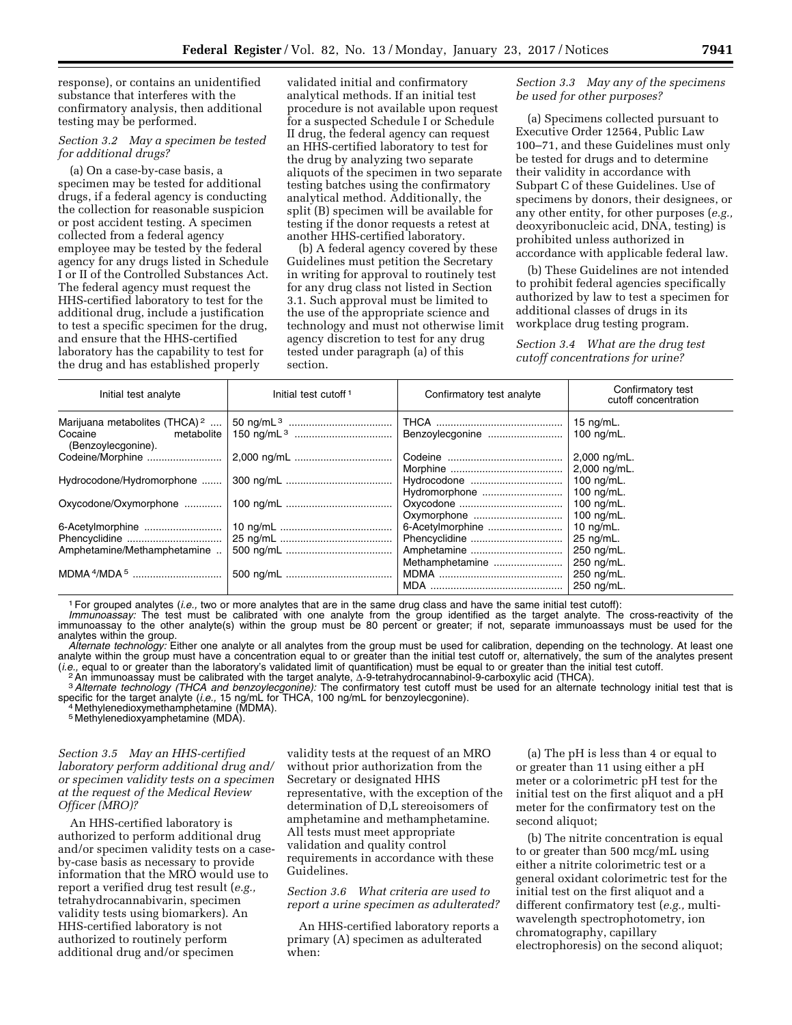response), or contains an unidentified substance that interferes with the confirmatory analysis, then additional testing may be performed.

# *Section 3.2 May a specimen be tested for additional drugs?*

(a) On a case-by-case basis, a specimen may be tested for additional drugs, if a federal agency is conducting the collection for reasonable suspicion or post accident testing. A specimen collected from a federal agency employee may be tested by the federal agency for any drugs listed in Schedule I or II of the Controlled Substances Act. The federal agency must request the HHS-certified laboratory to test for the additional drug, include a justification to test a specific specimen for the drug, and ensure that the HHS-certified laboratory has the capability to test for the drug and has established properly

validated initial and confirmatory analytical methods. If an initial test procedure is not available upon request for a suspected Schedule I or Schedule II drug, the federal agency can request an HHS-certified laboratory to test for the drug by analyzing two separate aliquots of the specimen in two separate testing batches using the confirmatory analytical method. Additionally, the split (B) specimen will be available for testing if the donor requests a retest at another HHS-certified laboratory.

(b) A federal agency covered by these Guidelines must petition the Secretary in writing for approval to routinely test for any drug class not listed in Section 3.1. Such approval must be limited to the use of the appropriate science and technology and must not otherwise limit agency discretion to test for any drug tested under paragraph (a) of this section.

# *Section 3.3 May any of the specimens be used for other purposes?*

(a) Specimens collected pursuant to Executive Order 12564, Public Law 100–71, and these Guidelines must only be tested for drugs and to determine their validity in accordance with Subpart C of these Guidelines. Use of specimens by donors, their designees, or any other entity, for other purposes (*e.g.,*  deoxyribonucleic acid, DNA, testing) is prohibited unless authorized in accordance with applicable federal law.

(b) These Guidelines are not intended to prohibit federal agencies specifically authorized by law to test a specimen for additional classes of drugs in its workplace drug testing program.

*Section 3.4 What are the drug test cutoff concentrations for urine?* 

| Initial test analyte                        | Initial test cutoff <sup>1</sup> | Confirmatory test analyte | Confirmatory test<br>cutoff concentration |
|---------------------------------------------|----------------------------------|---------------------------|-------------------------------------------|
| Marijuana metabolites (THCA) <sup>2</sup>   |                                  |                           | 15 $ng/mL$ .                              |
| metabolite<br>Cocaine<br>(Benzoylecgonine). |                                  | Benzoylecgonine           | 100 ng/mL.                                |
| Codeine/Morphine                            |                                  |                           | 2,000 ng/mL.                              |
|                                             |                                  |                           | 2,000 ng/mL.                              |
| Hydrocodone/Hydromorphone                   |                                  | Hydrocodone               | 100 ng/mL.                                |
|                                             |                                  | Hydromorphone             | 100 $ng/mL$ .                             |
| Oxycodone/Oxymorphone                       |                                  |                           | 100 $nq/mL$ .                             |
|                                             |                                  | Oxymorphone               | 100 $ng/mL$ .                             |
| 6-Acetylmorphine                            |                                  | 6-Acetylmorphine          | 10 $ng/mL$ .                              |
|                                             |                                  | Phencyclidine             | 25 ng/mL.                                 |
| Amphetamine/Methamphetamine                 |                                  | Amphetamine               | 250 ng/mL.                                |
|                                             |                                  | Methamphetamine           | 250 ng/mL.                                |
|                                             |                                  |                           | 250 ng/mL.                                |
|                                             |                                  |                           | 250 ng/mL.                                |

1For grouped analytes (*i.e.,* two or more analytes that are in the same drug class and have the same initial test cutoff):

*Immunoassay:* The test must be calibrated with one analyte from the group identified as the target analyte. The cross-reactivity of the immunoassay to the other analyte(s) within the group must be 80 percent or greater; if not, separate immunoassays must be used for the analytes within the group.

*Alternate technology:* Either one analyte or all analytes from the group must be used for calibration, depending on the technology. At least one analyte within the group must have a concentration equal to or greater than the initial test cutoff or, alternatively, the sum of the analytes present (*i.e.*, equal to or greater than the laboratory's validated limit of quantification) must be equal to or greater than the initial test cutoff.<br>An immunoassay must be calibrated with the target analyte, ∆-9-tetrahydrocann

specific for the target analyte (*i.e.,* 15 ng/mL for THCA, 100 ng/mL for benzoylecgonine). 4 Methylenedioxymethamphetamine (MDMA).

5 Methylenedioxyamphetamine (MDA).

*Section 3.5 May an HHS-certified laboratory perform additional drug and/ or specimen validity tests on a specimen at the request of the Medical Review Officer (MRO)?* 

An HHS-certified laboratory is authorized to perform additional drug and/or specimen validity tests on a caseby-case basis as necessary to provide information that the MRO would use to report a verified drug test result (*e.g.,*  tetrahydrocannabivarin, specimen validity tests using biomarkers). An HHS-certified laboratory is not authorized to routinely perform additional drug and/or specimen

validity tests at the request of an MRO without prior authorization from the Secretary or designated HHS representative, with the exception of the determination of D,L stereoisomers of amphetamine and methamphetamine. All tests must meet appropriate validation and quality control requirements in accordance with these Guidelines.

# *Section 3.6 What criteria are used to report a urine specimen as adulterated?*

An HHS-certified laboratory reports a primary (A) specimen as adulterated when:

(a) The pH is less than 4 or equal to or greater than 11 using either a pH meter or a colorimetric pH test for the initial test on the first aliquot and a pH meter for the confirmatory test on the second aliquot;

(b) The nitrite concentration is equal to or greater than 500 mcg/mL using either a nitrite colorimetric test or a general oxidant colorimetric test for the initial test on the first aliquot and a different confirmatory test (*e.g.,* multiwavelength spectrophotometry, ion chromatography, capillary electrophoresis) on the second aliquot;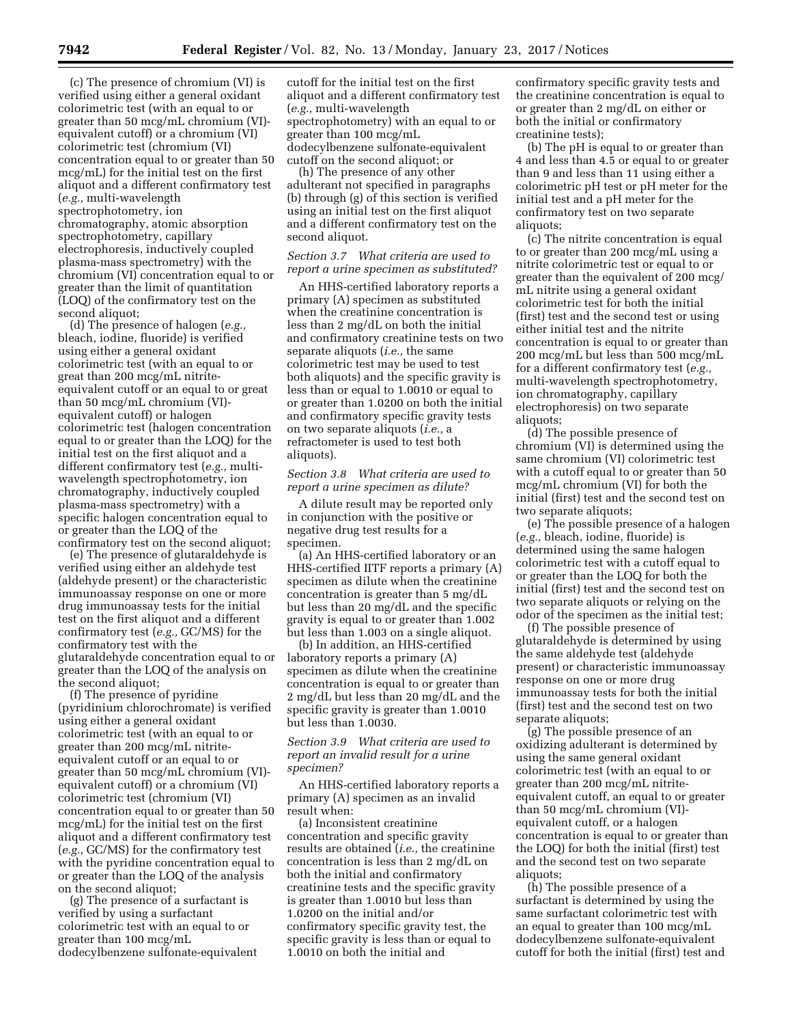(c) The presence of chromium (VI) is verified using either a general oxidant colorimetric test (with an equal to or greater than 50 mcg/mL chromium (VI) equivalent cutoff) or a chromium (VI) colorimetric test (chromium (VI) concentration equal to or greater than 50 mcg/mL) for the initial test on the first aliquot and a different confirmatory test (*e.g.,* multi-wavelength spectrophotometry, ion chromatography, atomic absorption spectrophotometry, capillary electrophoresis, inductively coupled plasma-mass spectrometry) with the

chromium (VI) concentration equal to or greater than the limit of quantitation (LOQ) of the confirmatory test on the second aliquot;

(d) The presence of halogen (*e.g.,*  bleach, iodine, fluoride) is verified using either a general oxidant colorimetric test (with an equal to or great than 200 mcg/mL nitriteequivalent cutoff or an equal to or great than 50 mcg/mL chromium (VI) equivalent cutoff) or halogen colorimetric test (halogen concentration equal to or greater than the LOQ) for the initial test on the first aliquot and a different confirmatory test (*e.g.,* multiwavelength spectrophotometry, ion chromatography, inductively coupled plasma-mass spectrometry) with a specific halogen concentration equal to or greater than the LOQ of the confirmatory test on the second aliquot;

(e) The presence of glutaraldehyde is verified using either an aldehyde test (aldehyde present) or the characteristic immunoassay response on one or more drug immunoassay tests for the initial test on the first aliquot and a different confirmatory test (*e.g.,* GC/MS) for the confirmatory test with the glutaraldehyde concentration equal to or greater than the LOQ of the analysis on the second aliquot;

(f) The presence of pyridine (pyridinium chlorochromate) is verified using either a general oxidant colorimetric test (with an equal to or greater than 200 mcg/mL nitriteequivalent cutoff or an equal to or greater than 50 mcg/mL chromium (VI) equivalent cutoff) or a chromium (VI) colorimetric test (chromium (VI) concentration equal to or greater than 50 mcg/mL) for the initial test on the first aliquot and a different confirmatory test (*e.g.,* GC/MS) for the confirmatory test with the pyridine concentration equal to or greater than the LOQ of the analysis on the second aliquot;

(g) The presence of a surfactant is verified by using a surfactant colorimetric test with an equal to or greater than 100 mcg/mL dodecylbenzene sulfonate-equivalent cutoff for the initial test on the first aliquot and a different confirmatory test (*e.g.,* multi-wavelength spectrophotometry) with an equal to or greater than 100 mcg/mL dodecylbenzene sulfonate-equivalent cutoff on the second aliquot; or

(h) The presence of any other adulterant not specified in paragraphs (b) through (g) of this section is verified using an initial test on the first aliquot and a different confirmatory test on the second aliquot.

# *Section 3.7 What criteria are used to report a urine specimen as substituted?*

An HHS-certified laboratory reports a primary (A) specimen as substituted when the creatinine concentration is less than 2 mg/dL on both the initial and confirmatory creatinine tests on two separate aliquots (*i.e.,* the same colorimetric test may be used to test both aliquots) and the specific gravity is less than or equal to 1.0010 or equal to or greater than 1.0200 on both the initial and confirmatory specific gravity tests on two separate aliquots (*i.e.,* a refractometer is used to test both aliquots).

# *Section 3.8 What criteria are used to report a urine specimen as dilute?*

A dilute result may be reported only in conjunction with the positive or negative drug test results for a specimen.

(a) An HHS-certified laboratory or an HHS-certified IITF reports a primary (A) specimen as dilute when the creatinine concentration is greater than 5 mg/dL but less than 20 mg/dL and the specific gravity is equal to or greater than 1.002 but less than 1.003 on a single aliquot.

(b) In addition, an HHS-certified laboratory reports a primary (A) specimen as dilute when the creatinine concentration is equal to or greater than 2 mg/dL but less than 20 mg/dL and the specific gravity is greater than 1.0010 but less than 1.0030.

## *Section 3.9 What criteria are used to report an invalid result for a urine specimen?*

An HHS-certified laboratory reports a primary (A) specimen as an invalid result when:

(a) Inconsistent creatinine concentration and specific gravity results are obtained (*i.e.,* the creatinine concentration is less than 2 mg/dL on both the initial and confirmatory creatinine tests and the specific gravity is greater than 1.0010 but less than 1.0200 on the initial and/or confirmatory specific gravity test, the specific gravity is less than or equal to 1.0010 on both the initial and

confirmatory specific gravity tests and the creatinine concentration is equal to or greater than 2 mg/dL on either or both the initial or confirmatory creatinine tests);

(b) The pH is equal to or greater than 4 and less than 4.5 or equal to or greater than 9 and less than 11 using either a colorimetric pH test or pH meter for the initial test and a pH meter for the confirmatory test on two separate aliquots;

(c) The nitrite concentration is equal to or greater than 200 mcg/mL using a nitrite colorimetric test or equal to or greater than the equivalent of 200 mcg/ mL nitrite using a general oxidant colorimetric test for both the initial (first) test and the second test or using either initial test and the nitrite concentration is equal to or greater than 200 mcg/mL but less than 500 mcg/mL for a different confirmatory test (*e.g.,*  multi-wavelength spectrophotometry, ion chromatography, capillary electrophoresis) on two separate aliquots;

(d) The possible presence of chromium (VI) is determined using the same chromium (VI) colorimetric test with a cutoff equal to or greater than 50 mcg/mL chromium (VI) for both the initial (first) test and the second test on two separate aliquots;

(e) The possible presence of a halogen (*e.g.,* bleach, iodine, fluoride) is determined using the same halogen colorimetric test with a cutoff equal to or greater than the LOQ for both the initial (first) test and the second test on two separate aliquots or relying on the odor of the specimen as the initial test;

(f) The possible presence of glutaraldehyde is determined by using the same aldehyde test (aldehyde present) or characteristic immunoassay response on one or more drug immunoassay tests for both the initial (first) test and the second test on two separate aliquots;

(g) The possible presence of an oxidizing adulterant is determined by using the same general oxidant colorimetric test (with an equal to or greater than 200 mcg/mL nitriteequivalent cutoff, an equal to or greater than 50 mcg/mL chromium (VI) equivalent cutoff, or a halogen concentration is equal to or greater than the LOQ) for both the initial (first) test and the second test on two separate aliquots;

(h) The possible presence of a surfactant is determined by using the same surfactant colorimetric test with an equal to greater than 100 mcg/mL dodecylbenzene sulfonate-equivalent cutoff for both the initial (first) test and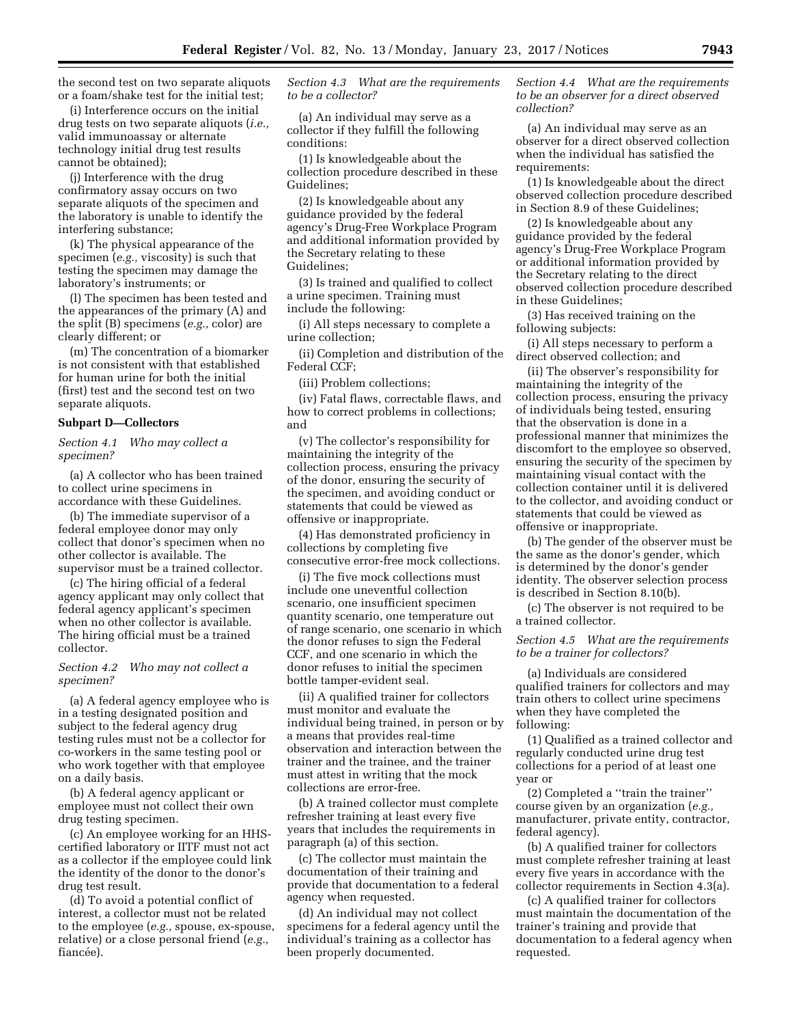the second test on two separate aliquots or a foam/shake test for the initial test;

(i) Interference occurs on the initial drug tests on two separate aliquots (*i.e.,*  valid immunoassay or alternate technology initial drug test results cannot be obtained);

(j) Interference with the drug confirmatory assay occurs on two separate aliquots of the specimen and the laboratory is unable to identify the interfering substance;

(k) The physical appearance of the specimen (*e.g.,* viscosity) is such that testing the specimen may damage the laboratory's instruments; or

(l) The specimen has been tested and the appearances of the primary (A) and the split (B) specimens (*e.g.,* color) are clearly different; or

(m) The concentration of a biomarker is not consistent with that established for human urine for both the initial (first) test and the second test on two separate aliquots.

# **Subpart D—Collectors**

*Section 4.1 Who may collect a specimen?* 

(a) A collector who has been trained to collect urine specimens in accordance with these Guidelines.

(b) The immediate supervisor of a federal employee donor may only collect that donor's specimen when no other collector is available. The supervisor must be a trained collector.

(c) The hiring official of a federal agency applicant may only collect that federal agency applicant's specimen when no other collector is available. The hiring official must be a trained collector.

## *Section 4.2 Who may not collect a specimen?*

(a) A federal agency employee who is in a testing designated position and subject to the federal agency drug testing rules must not be a collector for co-workers in the same testing pool or who work together with that employee on a daily basis.

(b) A federal agency applicant or employee must not collect their own drug testing specimen.

(c) An employee working for an HHScertified laboratory or IITF must not act as a collector if the employee could link the identity of the donor to the donor's drug test result.

(d) To avoid a potential conflict of interest, a collector must not be related to the employee (*e.g.,* spouse, ex-spouse, relative) or a close personal friend (*e.g.,*  fiancée).

*Section 4.3 What are the requirements to be a collector?* 

(a) An individual may serve as a collector if they fulfill the following conditions:

(1) Is knowledgeable about the collection procedure described in these Guidelines;

(2) Is knowledgeable about any guidance provided by the federal agency's Drug-Free Workplace Program and additional information provided by the Secretary relating to these Guidelines;

(3) Is trained and qualified to collect a urine specimen. Training must include the following:

(i) All steps necessary to complete a urine collection;

(ii) Completion and distribution of the Federal CCF;

(iii) Problem collections;

(iv) Fatal flaws, correctable flaws, and how to correct problems in collections; and

(v) The collector's responsibility for maintaining the integrity of the collection process, ensuring the privacy of the donor, ensuring the security of the specimen, and avoiding conduct or statements that could be viewed as offensive or inappropriate.

(4) Has demonstrated proficiency in collections by completing five consecutive error-free mock collections.

(i) The five mock collections must include one uneventful collection scenario, one insufficient specimen quantity scenario, one temperature out of range scenario, one scenario in which the donor refuses to sign the Federal CCF, and one scenario in which the donor refuses to initial the specimen bottle tamper-evident seal.

(ii) A qualified trainer for collectors must monitor and evaluate the individual being trained, in person or by a means that provides real-time observation and interaction between the trainer and the trainee, and the trainer must attest in writing that the mock collections are error-free.

(b) A trained collector must complete refresher training at least every five years that includes the requirements in paragraph (a) of this section.

(c) The collector must maintain the documentation of their training and provide that documentation to a federal agency when requested.

(d) An individual may not collect specimens for a federal agency until the individual's training as a collector has been properly documented.

*Section 4.4 What are the requirements to be an observer for a direct observed collection?* 

(a) An individual may serve as an observer for a direct observed collection when the individual has satisfied the requirements:

(1) Is knowledgeable about the direct observed collection procedure described in Section 8.9 of these Guidelines;

(2) Is knowledgeable about any guidance provided by the federal agency's Drug-Free Workplace Program or additional information provided by the Secretary relating to the direct observed collection procedure described in these Guidelines;

(3) Has received training on the following subjects:

(i) All steps necessary to perform a direct observed collection; and

(ii) The observer's responsibility for maintaining the integrity of the collection process, ensuring the privacy of individuals being tested, ensuring that the observation is done in a professional manner that minimizes the discomfort to the employee so observed, ensuring the security of the specimen by maintaining visual contact with the collection container until it is delivered to the collector, and avoiding conduct or statements that could be viewed as offensive or inappropriate.

(b) The gender of the observer must be the same as the donor's gender, which is determined by the donor's gender identity. The observer selection process is described in Section 8.10(b).

(c) The observer is not required to be a trained collector.

*Section 4.5 What are the requirements to be a trainer for collectors?* 

(a) Individuals are considered qualified trainers for collectors and may train others to collect urine specimens when they have completed the following:

(1) Qualified as a trained collector and regularly conducted urine drug test collections for a period of at least one year or

(2) Completed a ''train the trainer'' course given by an organization (*e.g.,*  manufacturer, private entity, contractor, federal agency).

(b) A qualified trainer for collectors must complete refresher training at least every five years in accordance with the collector requirements in Section 4.3(a).

(c) A qualified trainer for collectors must maintain the documentation of the trainer's training and provide that documentation to a federal agency when requested.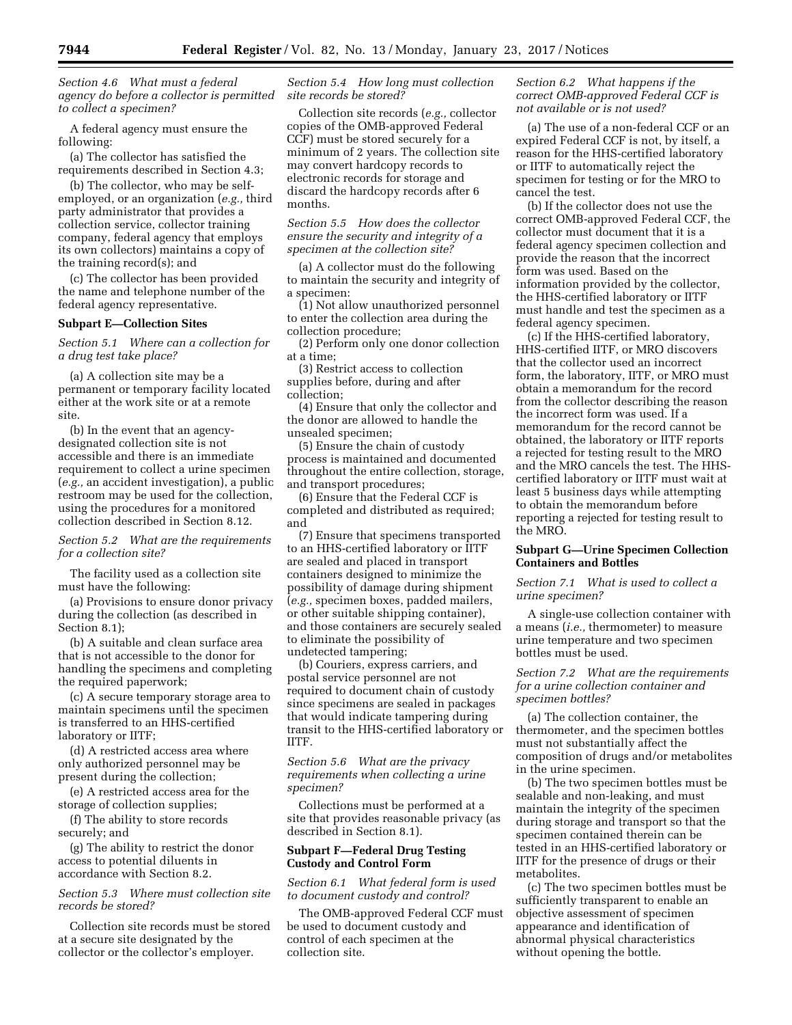*Section 4.6 What must a federal agency do before a collector is permitted to collect a specimen?* 

A federal agency must ensure the following:

(a) The collector has satisfied the requirements described in Section 4.3;

(b) The collector, who may be selfemployed, or an organization (*e.g.,* third party administrator that provides a collection service, collector training company, federal agency that employs its own collectors) maintains a copy of the training record(s); and

(c) The collector has been provided the name and telephone number of the federal agency representative.

### **Subpart E—Collection Sites**

*Section 5.1 Where can a collection for a drug test take place?* 

(a) A collection site may be a permanent or temporary facility located either at the work site or at a remote site.

(b) In the event that an agencydesignated collection site is not accessible and there is an immediate requirement to collect a urine specimen (*e.g.,* an accident investigation), a public restroom may be used for the collection, using the procedures for a monitored collection described in Section 8.12.

*Section 5.2 What are the requirements for a collection site?* 

The facility used as a collection site must have the following:

(a) Provisions to ensure donor privacy during the collection (as described in Section 8.1);

(b) A suitable and clean surface area that is not accessible to the donor for handling the specimens and completing the required paperwork;

(c) A secure temporary storage area to maintain specimens until the specimen is transferred to an HHS-certified laboratory or IITF;

(d) A restricted access area where only authorized personnel may be present during the collection;

(e) A restricted access area for the storage of collection supplies;

(f) The ability to store records securely; and

(g) The ability to restrict the donor access to potential diluents in accordance with Section 8.2.

# *Section 5.3 Where must collection site records be stored?*

Collection site records must be stored at a secure site designated by the collector or the collector's employer.

*Section 5.4 How long must collection site records be stored?* 

Collection site records (*e.g.,* collector copies of the OMB-approved Federal CCF) must be stored securely for a minimum of 2 years. The collection site may convert hardcopy records to electronic records for storage and discard the hardcopy records after 6 months.

*Section 5.5 How does the collector ensure the security and integrity of a specimen at the collection site?* 

(a) A collector must do the following to maintain the security and integrity of a specimen:

(1) Not allow unauthorized personnel to enter the collection area during the collection procedure;

(2) Perform only one donor collection at a time;

(3) Restrict access to collection supplies before, during and after collection;

(4) Ensure that only the collector and the donor are allowed to handle the unsealed specimen;

(5) Ensure the chain of custody process is maintained and documented throughout the entire collection, storage, and transport procedures;

(6) Ensure that the Federal CCF is completed and distributed as required; and

(7) Ensure that specimens transported to an HHS-certified laboratory or IITF are sealed and placed in transport containers designed to minimize the possibility of damage during shipment (*e.g.,* specimen boxes, padded mailers, or other suitable shipping container), and those containers are securely sealed to eliminate the possibility of undetected tampering;

(b) Couriers, express carriers, and postal service personnel are not required to document chain of custody since specimens are sealed in packages that would indicate tampering during transit to the HHS-certified laboratory or IITF.

*Section 5.6 What are the privacy requirements when collecting a urine specimen?* 

Collections must be performed at a site that provides reasonable privacy (as described in Section 8.1).

# **Subpart F—Federal Drug Testing Custody and Control Form**

*Section 6.1 What federal form is used to document custody and control?* 

The OMB-approved Federal CCF must be used to document custody and control of each specimen at the collection site.

# *Section 6.2 What happens if the correct OMB-approved Federal CCF is not available or is not used?*

(a) The use of a non-federal CCF or an expired Federal CCF is not, by itself, a reason for the HHS-certified laboratory or IITF to automatically reject the specimen for testing or for the MRO to cancel the test.

(b) If the collector does not use the correct OMB-approved Federal CCF, the collector must document that it is a federal agency specimen collection and provide the reason that the incorrect form was used. Based on the information provided by the collector, the HHS-certified laboratory or IITF must handle and test the specimen as a federal agency specimen.

(c) If the HHS-certified laboratory, HHS-certified IITF, or MRO discovers that the collector used an incorrect form, the laboratory, IITF, or MRO must obtain a memorandum for the record from the collector describing the reason the incorrect form was used. If a memorandum for the record cannot be obtained, the laboratory or IITF reports a rejected for testing result to the MRO and the MRO cancels the test. The HHScertified laboratory or IITF must wait at least 5 business days while attempting to obtain the memorandum before reporting a rejected for testing result to the MRO.

# **Subpart G—Urine Specimen Collection Containers and Bottles**

*Section 7.1 What is used to collect a urine specimen?* 

A single-use collection container with a means (*i.e.,* thermometer) to measure urine temperature and two specimen bottles must be used.

*Section 7.2 What are the requirements for a urine collection container and specimen bottles?* 

(a) The collection container, the thermometer, and the specimen bottles must not substantially affect the composition of drugs and/or metabolites in the urine specimen.

(b) The two specimen bottles must be sealable and non-leaking, and must maintain the integrity of the specimen during storage and transport so that the specimen contained therein can be tested in an HHS-certified laboratory or IITF for the presence of drugs or their metabolites.

(c) The two specimen bottles must be sufficiently transparent to enable an objective assessment of specimen appearance and identification of abnormal physical characteristics without opening the bottle.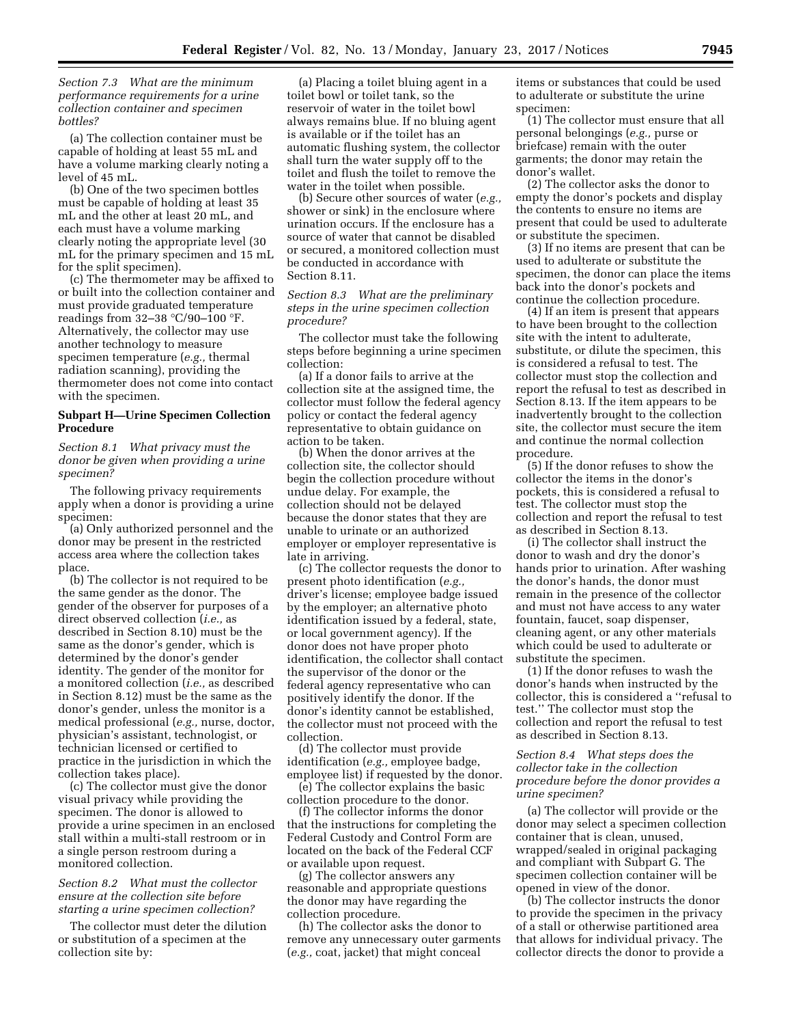# *Section 7.3 What are the minimum performance requirements for a urine collection container and specimen bottles?*

(a) The collection container must be capable of holding at least 55 mL and have a volume marking clearly noting a level of 45 mL.

(b) One of the two specimen bottles must be capable of holding at least 35 mL and the other at least 20 mL, and each must have a volume marking clearly noting the appropriate level (30 mL for the primary specimen and 15 mL for the split specimen).

(c) The thermometer may be affixed to or built into the collection container and must provide graduated temperature readings from 32–38 °C/90–100 °F. Alternatively, the collector may use another technology to measure specimen temperature (*e.g.,* thermal radiation scanning), providing the thermometer does not come into contact with the specimen.

### **Subpart H—Urine Specimen Collection Procedure**

*Section 8.1 What privacy must the donor be given when providing a urine specimen?* 

The following privacy requirements apply when a donor is providing a urine specimen:

(a) Only authorized personnel and the donor may be present in the restricted access area where the collection takes place.

(b) The collector is not required to be the same gender as the donor. The gender of the observer for purposes of a direct observed collection (*i.e.,* as described in Section 8.10) must be the same as the donor's gender, which is determined by the donor's gender identity. The gender of the monitor for a monitored collection (*i.e.,* as described in Section 8.12) must be the same as the donor's gender, unless the monitor is a medical professional (*e.g.,* nurse, doctor, physician's assistant, technologist, or technician licensed or certified to practice in the jurisdiction in which the collection takes place).

(c) The collector must give the donor visual privacy while providing the specimen. The donor is allowed to provide a urine specimen in an enclosed stall within a multi-stall restroom or in a single person restroom during a monitored collection.

# *Section 8.2 What must the collector ensure at the collection site before starting a urine specimen collection?*

The collector must deter the dilution or substitution of a specimen at the collection site by:

(a) Placing a toilet bluing agent in a toilet bowl or toilet tank, so the reservoir of water in the toilet bowl always remains blue. If no bluing agent is available or if the toilet has an automatic flushing system, the collector shall turn the water supply off to the toilet and flush the toilet to remove the water in the toilet when possible.

(b) Secure other sources of water (*e.g.,*  shower or sink) in the enclosure where urination occurs. If the enclosure has a source of water that cannot be disabled or secured, a monitored collection must be conducted in accordance with Section 8.11.

*Section 8.3 What are the preliminary steps in the urine specimen collection procedure?* 

The collector must take the following steps before beginning a urine specimen collection:

(a) If a donor fails to arrive at the collection site at the assigned time, the collector must follow the federal agency policy or contact the federal agency representative to obtain guidance on action to be taken.

(b) When the donor arrives at the collection site, the collector should begin the collection procedure without undue delay. For example, the collection should not be delayed because the donor states that they are unable to urinate or an authorized employer or employer representative is late in arriving.

(c) The collector requests the donor to present photo identification (*e.g.,*  driver's license; employee badge issued by the employer; an alternative photo identification issued by a federal, state, or local government agency). If the donor does not have proper photo identification, the collector shall contact the supervisor of the donor or the federal agency representative who can positively identify the donor. If the donor's identity cannot be established, the collector must not proceed with the collection.

(d) The collector must provide identification (*e.g.,* employee badge, employee list) if requested by the donor.

(e) The collector explains the basic collection procedure to the donor.

(f) The collector informs the donor that the instructions for completing the Federal Custody and Control Form are located on the back of the Federal CCF or available upon request.

(g) The collector answers any reasonable and appropriate questions the donor may have regarding the collection procedure.

(h) The collector asks the donor to remove any unnecessary outer garments (*e.g.,* coat, jacket) that might conceal

items or substances that could be used to adulterate or substitute the urine specimen:

(1) The collector must ensure that all personal belongings (*e.g.,* purse or briefcase) remain with the outer garments; the donor may retain the donor's wallet.

(2) The collector asks the donor to empty the donor's pockets and display the contents to ensure no items are present that could be used to adulterate or substitute the specimen.

(3) If no items are present that can be used to adulterate or substitute the specimen, the donor can place the items back into the donor's pockets and continue the collection procedure.

(4) If an item is present that appears to have been brought to the collection site with the intent to adulterate, substitute, or dilute the specimen, this is considered a refusal to test. The collector must stop the collection and report the refusal to test as described in Section 8.13. If the item appears to be inadvertently brought to the collection site, the collector must secure the item and continue the normal collection procedure.

(5) If the donor refuses to show the collector the items in the donor's pockets, this is considered a refusal to test. The collector must stop the collection and report the refusal to test as described in Section 8.13.

(i) The collector shall instruct the donor to wash and dry the donor's hands prior to urination. After washing the donor's hands, the donor must remain in the presence of the collector and must not have access to any water fountain, faucet, soap dispenser, cleaning agent, or any other materials which could be used to adulterate or substitute the specimen.

(1) If the donor refuses to wash the donor's hands when instructed by the collector, this is considered a ''refusal to test.'' The collector must stop the collection and report the refusal to test as described in Section 8.13.

# *Section 8.4 What steps does the collector take in the collection procedure before the donor provides a urine specimen?*

(a) The collector will provide or the donor may select a specimen collection container that is clean, unused, wrapped/sealed in original packaging and compliant with Subpart G. The specimen collection container will be opened in view of the donor.

(b) The collector instructs the donor to provide the specimen in the privacy of a stall or otherwise partitioned area that allows for individual privacy. The collector directs the donor to provide a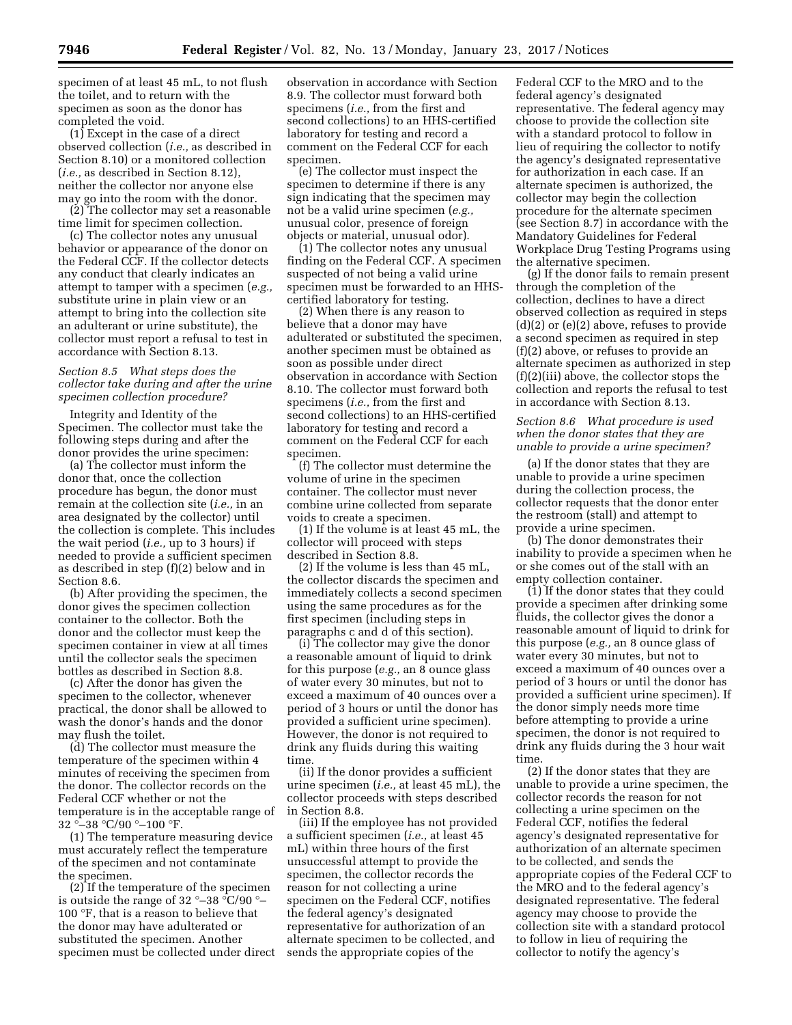specimen of at least 45 mL, to not flush the toilet, and to return with the specimen as soon as the donor has completed the void.

(1) Except in the case of a direct observed collection (*i.e.,* as described in Section 8.10) or a monitored collection (*i.e.,* as described in Section 8.12), neither the collector nor anyone else may go into the room with the donor.

(2) The collector may set a reasonable time limit for specimen collection.

(c) The collector notes any unusual behavior or appearance of the donor on the Federal CCF. If the collector detects any conduct that clearly indicates an attempt to tamper with a specimen (*e.g.,*  substitute urine in plain view or an attempt to bring into the collection site an adulterant or urine substitute), the collector must report a refusal to test in accordance with Section 8.13.

# *Section 8.5 What steps does the collector take during and after the urine specimen collection procedure?*

Integrity and Identity of the Specimen. The collector must take the following steps during and after the donor provides the urine specimen:

(a) The collector must inform the donor that, once the collection procedure has begun, the donor must remain at the collection site (*i.e.,* in an area designated by the collector) until the collection is complete. This includes the wait period (*i.e.,* up to 3 hours) if needed to provide a sufficient specimen as described in step (f)(2) below and in Section 8.6.

(b) After providing the specimen, the donor gives the specimen collection container to the collector. Both the donor and the collector must keep the specimen container in view at all times until the collector seals the specimen bottles as described in Section 8.8.

(c) After the donor has given the specimen to the collector, whenever practical, the donor shall be allowed to wash the donor's hands and the donor may flush the toilet.

(d) The collector must measure the temperature of the specimen within 4 minutes of receiving the specimen from the donor. The collector records on the Federal CCF whether or not the temperature is in the acceptable range of 32 °–38 °C/90 °–100 °F.

(1) The temperature measuring device must accurately reflect the temperature of the specimen and not contaminate the specimen.

(2) If the temperature of the specimen is outside the range of 32 °–38 °C/90 °– 100 °F, that is a reason to believe that the donor may have adulterated or substituted the specimen. Another specimen must be collected under direct

observation in accordance with Section 8.9. The collector must forward both specimens (*i.e.,* from the first and second collections) to an HHS-certified laboratory for testing and record a comment on the Federal CCF for each specimen.

(e) The collector must inspect the specimen to determine if there is any sign indicating that the specimen may not be a valid urine specimen (*e.g.,*  unusual color, presence of foreign objects or material, unusual odor).

(1) The collector notes any unusual finding on the Federal CCF. A specimen suspected of not being a valid urine specimen must be forwarded to an HHScertified laboratory for testing.

(2) When there is any reason to believe that a donor may have adulterated or substituted the specimen, another specimen must be obtained as soon as possible under direct observation in accordance with Section 8.10. The collector must forward both specimens (*i.e.,* from the first and second collections) to an HHS-certified laboratory for testing and record a comment on the Federal CCF for each specimen.

(f) The collector must determine the volume of urine in the specimen container. The collector must never combine urine collected from separate voids to create a specimen.

(1) If the volume is at least 45 mL, the collector will proceed with steps described in Section 8.8.

(2) If the volume is less than 45 mL, the collector discards the specimen and immediately collects a second specimen using the same procedures as for the first specimen (including steps in paragraphs c and d of this section).

(i) The collector may give the donor a reasonable amount of liquid to drink for this purpose (*e.g.,* an 8 ounce glass of water every 30 minutes, but not to exceed a maximum of 40 ounces over a period of 3 hours or until the donor has provided a sufficient urine specimen). However, the donor is not required to drink any fluids during this waiting time.

(ii) If the donor provides a sufficient urine specimen (*i.e.,* at least 45 mL), the collector proceeds with steps described in Section 8.8.

(iii) If the employee has not provided a sufficient specimen (*i.e.,* at least 45 mL) within three hours of the first unsuccessful attempt to provide the specimen, the collector records the reason for not collecting a urine specimen on the Federal CCF, notifies the federal agency's designated representative for authorization of an alternate specimen to be collected, and sends the appropriate copies of the

Federal CCF to the MRO and to the federal agency's designated representative. The federal agency may choose to provide the collection site with a standard protocol to follow in lieu of requiring the collector to notify the agency's designated representative for authorization in each case. If an alternate specimen is authorized, the collector may begin the collection procedure for the alternate specimen (see Section 8.7) in accordance with the Mandatory Guidelines for Federal Workplace Drug Testing Programs using the alternative specimen.

(g) If the donor fails to remain present through the completion of the collection, declines to have a direct observed collection as required in steps (d)(2) or (e)(2) above, refuses to provide a second specimen as required in step (f)(2) above, or refuses to provide an alternate specimen as authorized in step (f)(2)(iii) above, the collector stops the collection and reports the refusal to test in accordance with Section 8.13.

# *Section 8.6 What procedure is used when the donor states that they are unable to provide a urine specimen?*

(a) If the donor states that they are unable to provide a urine specimen during the collection process, the collector requests that the donor enter the restroom (stall) and attempt to provide a urine specimen.

(b) The donor demonstrates their inability to provide a specimen when he or she comes out of the stall with an empty collection container.

(1) If the donor states that they could provide a specimen after drinking some fluids, the collector gives the donor a reasonable amount of liquid to drink for this purpose (*e.g.,* an 8 ounce glass of water every 30 minutes, but not to exceed a maximum of 40 ounces over a period of 3 hours or until the donor has provided a sufficient urine specimen). If the donor simply needs more time before attempting to provide a urine specimen, the donor is not required to drink any fluids during the 3 hour wait time.

(2) If the donor states that they are unable to provide a urine specimen, the collector records the reason for not collecting a urine specimen on the Federal CCF, notifies the federal agency's designated representative for authorization of an alternate specimen to be collected, and sends the appropriate copies of the Federal CCF to the MRO and to the federal agency's designated representative. The federal agency may choose to provide the collection site with a standard protocol to follow in lieu of requiring the collector to notify the agency's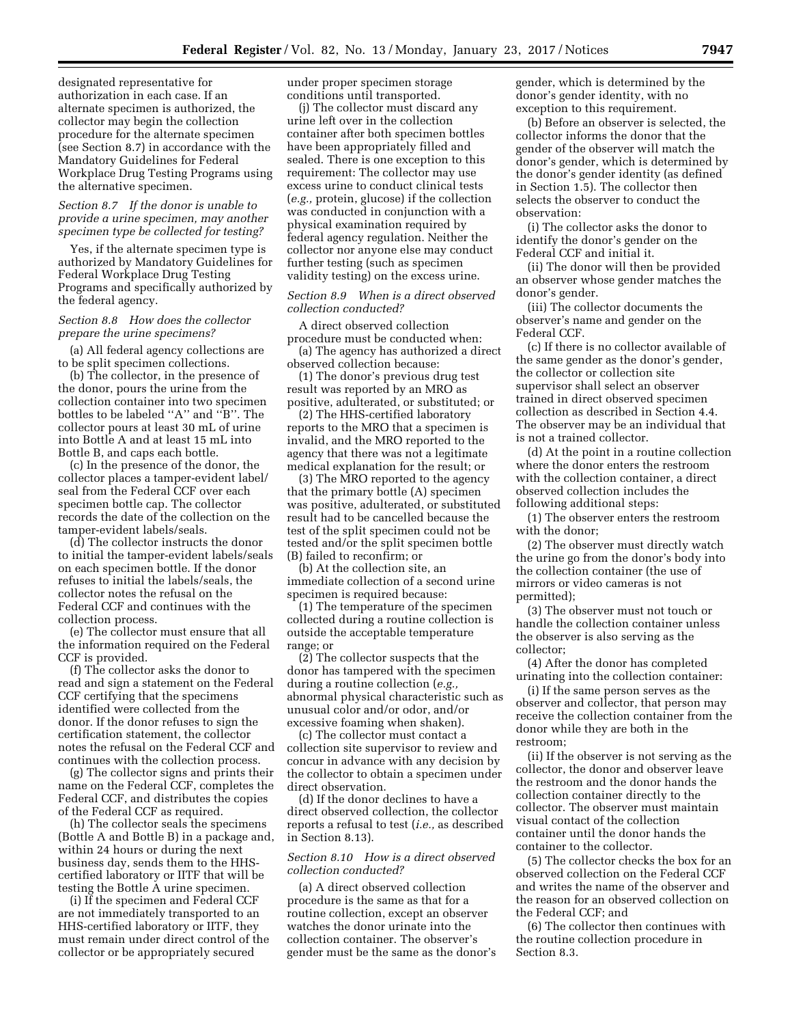designated representative for authorization in each case. If an alternate specimen is authorized, the collector may begin the collection procedure for the alternate specimen (see Section 8.7) in accordance with the Mandatory Guidelines for Federal Workplace Drug Testing Programs using the alternative specimen.

# *Section 8.7 If the donor is unable to provide a urine specimen, may another specimen type be collected for testing?*

Yes, if the alternate specimen type is authorized by Mandatory Guidelines for Federal Workplace Drug Testing Programs and specifically authorized by the federal agency.

# *Section 8.8 How does the collector prepare the urine specimens?*

(a) All federal agency collections are to be split specimen collections.

(b) The collector, in the presence of the donor, pours the urine from the collection container into two specimen bottles to be labeled ''A'' and ''B''. The collector pours at least 30 mL of urine into Bottle A and at least 15 mL into Bottle B, and caps each bottle.

(c) In the presence of the donor, the collector places a tamper-evident label/ seal from the Federal CCF over each specimen bottle cap. The collector records the date of the collection on the tamper-evident labels/seals.

(d) The collector instructs the donor to initial the tamper-evident labels/seals on each specimen bottle. If the donor refuses to initial the labels/seals, the collector notes the refusal on the Federal CCF and continues with the collection process.

(e) The collector must ensure that all the information required on the Federal CCF is provided.

(f) The collector asks the donor to read and sign a statement on the Federal CCF certifying that the specimens identified were collected from the donor. If the donor refuses to sign the certification statement, the collector notes the refusal on the Federal CCF and continues with the collection process.

(g) The collector signs and prints their name on the Federal CCF, completes the Federal CCF, and distributes the copies of the Federal CCF as required.

(h) The collector seals the specimens (Bottle A and Bottle B) in a package and, within 24 hours or during the next business day, sends them to the HHScertified laboratory or IITF that will be testing the Bottle A urine specimen.

(i) If the specimen and Federal CCF are not immediately transported to an HHS-certified laboratory or IITF, they must remain under direct control of the collector or be appropriately secured

under proper specimen storage conditions until transported.

(j) The collector must discard any urine left over in the collection container after both specimen bottles have been appropriately filled and sealed. There is one exception to this requirement: The collector may use excess urine to conduct clinical tests (*e.g.,* protein, glucose) if the collection was conducted in conjunction with a physical examination required by federal agency regulation. Neither the collector nor anyone else may conduct further testing (such as specimen validity testing) on the excess urine.

## *Section 8.9 When is a direct observed collection conducted?*

A direct observed collection procedure must be conducted when: (a) The agency has authorized a direct

observed collection because:

(1) The donor's previous drug test result was reported by an MRO as positive, adulterated, or substituted; or

(2) The HHS-certified laboratory reports to the MRO that a specimen is invalid, and the MRO reported to the agency that there was not a legitimate medical explanation for the result; or

(3) The MRO reported to the agency that the primary bottle (A) specimen was positive, adulterated, or substituted result had to be cancelled because the test of the split specimen could not be tested and/or the split specimen bottle (B) failed to reconfirm; or

(b) At the collection site, an immediate collection of a second urine specimen is required because:

(1) The temperature of the specimen collected during a routine collection is outside the acceptable temperature range; or

(2) The collector suspects that the donor has tampered with the specimen during a routine collection (*e.g.,*  abnormal physical characteristic such as unusual color and/or odor, and/or excessive foaming when shaken).

(c) The collector must contact a collection site supervisor to review and concur in advance with any decision by the collector to obtain a specimen under direct observation.

(d) If the donor declines to have a direct observed collection, the collector reports a refusal to test (*i.e.,* as described in Section 8.13).

# *Section 8.10 How is a direct observed collection conducted?*

(a) A direct observed collection procedure is the same as that for a routine collection, except an observer watches the donor urinate into the collection container. The observer's gender must be the same as the donor's gender, which is determined by the donor's gender identity, with no exception to this requirement.

(b) Before an observer is selected, the collector informs the donor that the gender of the observer will match the donor's gender, which is determined by the donor's gender identity (as defined in Section 1.5). The collector then selects the observer to conduct the observation:

(i) The collector asks the donor to identify the donor's gender on the Federal CCF and initial it.

(ii) The donor will then be provided an observer whose gender matches the donor's gender.

(iii) The collector documents the observer's name and gender on the Federal CCF.

(c) If there is no collector available of the same gender as the donor's gender, the collector or collection site supervisor shall select an observer trained in direct observed specimen collection as described in Section 4.4. The observer may be an individual that is not a trained collector.

(d) At the point in a routine collection where the donor enters the restroom with the collection container, a direct observed collection includes the following additional steps:

(1) The observer enters the restroom with the donor;

(2) The observer must directly watch the urine go from the donor's body into the collection container (the use of mirrors or video cameras is not permitted);

(3) The observer must not touch or handle the collection container unless the observer is also serving as the collector;

(4) After the donor has completed urinating into the collection container:

(i) If the same person serves as the observer and collector, that person may receive the collection container from the donor while they are both in the restroom;

(ii) If the observer is not serving as the collector, the donor and observer leave the restroom and the donor hands the collection container directly to the collector. The observer must maintain visual contact of the collection container until the donor hands the container to the collector.

(5) The collector checks the box for an observed collection on the Federal CCF and writes the name of the observer and the reason for an observed collection on the Federal CCF; and

(6) The collector then continues with the routine collection procedure in Section 8.3.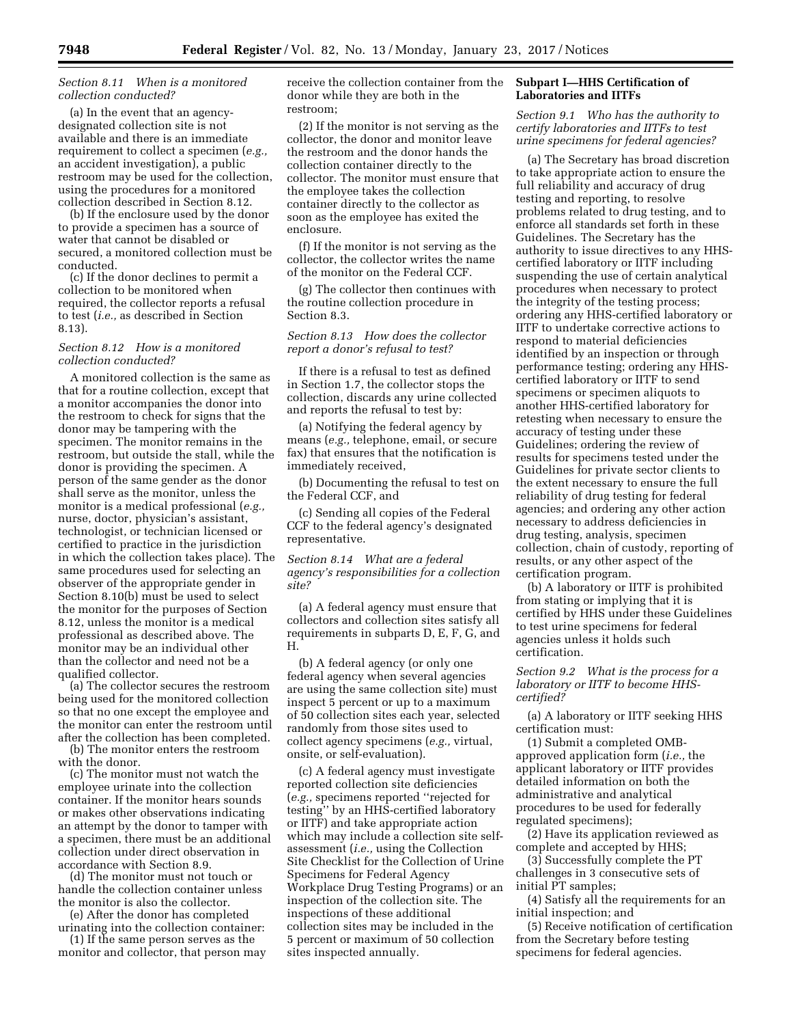# *Section 8.11 When is a monitored collection conducted?*

(a) In the event that an agencydesignated collection site is not available and there is an immediate requirement to collect a specimen (*e.g.,*  an accident investigation), a public restroom may be used for the collection, using the procedures for a monitored collection described in Section 8.12.

(b) If the enclosure used by the donor to provide a specimen has a source of water that cannot be disabled or secured, a monitored collection must be conducted.

(c) If the donor declines to permit a collection to be monitored when required, the collector reports a refusal to test (*i.e.,* as described in Section 8.13).

# *Section 8.12 How is a monitored collection conducted?*

A monitored collection is the same as that for a routine collection, except that a monitor accompanies the donor into the restroom to check for signs that the donor may be tampering with the specimen. The monitor remains in the restroom, but outside the stall, while the donor is providing the specimen. A person of the same gender as the donor shall serve as the monitor, unless the monitor is a medical professional (*e.g.,*  nurse, doctor, physician's assistant, technologist, or technician licensed or certified to practice in the jurisdiction in which the collection takes place). The same procedures used for selecting an observer of the appropriate gender in Section 8.10(b) must be used to select the monitor for the purposes of Section 8.12, unless the monitor is a medical professional as described above. The monitor may be an individual other than the collector and need not be a qualified collector.

(a) The collector secures the restroom being used for the monitored collection so that no one except the employee and the monitor can enter the restroom until after the collection has been completed.

(b) The monitor enters the restroom with the donor.

(c) The monitor must not watch the employee urinate into the collection container. If the monitor hears sounds or makes other observations indicating an attempt by the donor to tamper with a specimen, there must be an additional collection under direct observation in accordance with Section 8.9.

(d) The monitor must not touch or handle the collection container unless the monitor is also the collector.

(e) After the donor has completed urinating into the collection container:

(1) If the same person serves as the monitor and collector, that person may receive the collection container from the donor while they are both in the restroom;

(2) If the monitor is not serving as the collector, the donor and monitor leave the restroom and the donor hands the collection container directly to the collector. The monitor must ensure that the employee takes the collection container directly to the collector as soon as the employee has exited the enclosure.

(f) If the monitor is not serving as the collector, the collector writes the name of the monitor on the Federal CCF.

(g) The collector then continues with the routine collection procedure in Section 8.3.

# *Section 8.13 How does the collector report a donor's refusal to test?*

If there is a refusal to test as defined in Section 1.7, the collector stops the collection, discards any urine collected and reports the refusal to test by:

(a) Notifying the federal agency by means (*e.g.,* telephone, email, or secure fax) that ensures that the notification is immediately received,

(b) Documenting the refusal to test on the Federal CCF, and

(c) Sending all copies of the Federal CCF to the federal agency's designated representative.

*Section 8.14 What are a federal agency's responsibilities for a collection site?* 

(a) A federal agency must ensure that collectors and collection sites satisfy all requirements in subparts D, E, F, G, and H.

(b) A federal agency (or only one federal agency when several agencies are using the same collection site) must inspect 5 percent or up to a maximum of 50 collection sites each year, selected randomly from those sites used to collect agency specimens (*e.g.,* virtual, onsite, or self-evaluation).

(c) A federal agency must investigate reported collection site deficiencies (*e.g.,* specimens reported ''rejected for testing'' by an HHS-certified laboratory or IITF) and take appropriate action which may include a collection site selfassessment (*i.e.,* using the Collection Site Checklist for the Collection of Urine Specimens for Federal Agency Workplace Drug Testing Programs) or an inspection of the collection site. The inspections of these additional collection sites may be included in the 5 percent or maximum of 50 collection sites inspected annually.

# **Subpart I—HHS Certification of Laboratories and IITFs**

*Section 9.1 Who has the authority to certify laboratories and IITFs to test urine specimens for federal agencies?* 

(a) The Secretary has broad discretion to take appropriate action to ensure the full reliability and accuracy of drug testing and reporting, to resolve problems related to drug testing, and to enforce all standards set forth in these Guidelines. The Secretary has the authority to issue directives to any HHScertified laboratory or IITF including suspending the use of certain analytical procedures when necessary to protect the integrity of the testing process; ordering any HHS-certified laboratory or IITF to undertake corrective actions to respond to material deficiencies identified by an inspection or through performance testing; ordering any HHScertified laboratory or IITF to send specimens or specimen aliquots to another HHS-certified laboratory for retesting when necessary to ensure the accuracy of testing under these Guidelines; ordering the review of results for specimens tested under the Guidelines for private sector clients to the extent necessary to ensure the full reliability of drug testing for federal agencies; and ordering any other action necessary to address deficiencies in drug testing, analysis, specimen collection, chain of custody, reporting of results, or any other aspect of the certification program.

(b) A laboratory or IITF is prohibited from stating or implying that it is certified by HHS under these Guidelines to test urine specimens for federal agencies unless it holds such certification.

# *Section 9.2 What is the process for a laboratory or IITF to become HHScertified?*

(a) A laboratory or IITF seeking HHS certification must:

(1) Submit a completed OMBapproved application form (*i.e.,* the applicant laboratory or IITF provides detailed information on both the administrative and analytical procedures to be used for federally regulated specimens);

(2) Have its application reviewed as complete and accepted by HHS;

(3) Successfully complete the PT challenges in 3 consecutive sets of initial PT samples;

(4) Satisfy all the requirements for an initial inspection; and

(5) Receive notification of certification from the Secretary before testing specimens for federal agencies.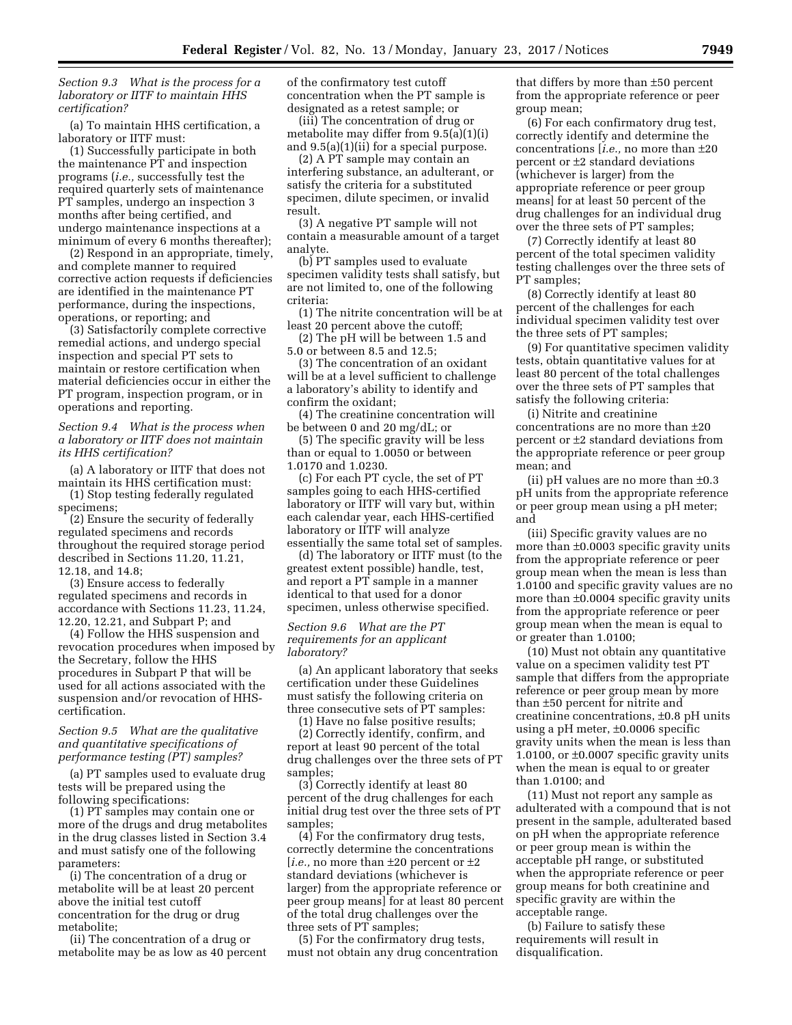*Section 9.3 What is the process for a laboratory or IITF to maintain HHS certification?* 

(a) To maintain HHS certification, a laboratory or IITF must:

(1) Successfully participate in both the maintenance PT and inspection programs (*i.e.,* successfully test the required quarterly sets of maintenance PT samples, undergo an inspection 3 months after being certified, and undergo maintenance inspections at a minimum of every 6 months thereafter);

(2) Respond in an appropriate, timely, and complete manner to required corrective action requests if deficiencies are identified in the maintenance PT performance, during the inspections, operations, or reporting; and

(3) Satisfactorily complete corrective remedial actions, and undergo special inspection and special PT sets to maintain or restore certification when material deficiencies occur in either the PT program, inspection program, or in operations and reporting.

*Section 9.4 What is the process when a laboratory or IITF does not maintain its HHS certification?* 

(a) A laboratory or IITF that does not maintain its HHS certification must:

(1) Stop testing federally regulated specimens;

(2) Ensure the security of federally regulated specimens and records throughout the required storage period described in Sections 11.20, 11.21, 12.18, and 14.8;

(3) Ensure access to federally regulated specimens and records in accordance with Sections 11.23, 11.24, 12.20, 12.21, and Subpart P; and

(4) Follow the HHS suspension and revocation procedures when imposed by the Secretary, follow the HHS procedures in Subpart P that will be used for all actions associated with the suspension and/or revocation of HHScertification.

# *Section 9.5 What are the qualitative and quantitative specifications of performance testing (PT) samples?*

(a) PT samples used to evaluate drug tests will be prepared using the following specifications:

(1) PT samples may contain one or more of the drugs and drug metabolites in the drug classes listed in Section 3.4 and must satisfy one of the following parameters:

(i) The concentration of a drug or metabolite will be at least 20 percent above the initial test cutoff concentration for the drug or drug metabolite;

(ii) The concentration of a drug or metabolite may be as low as 40 percent of the confirmatory test cutoff concentration when the PT sample is designated as a retest sample; or

(iii) The concentration of drug or metabolite may differ from 9.5(a)(1)(i) and 9.5(a)(1)(ii) for a special purpose.

(2) A PT sample may contain an interfering substance, an adulterant, or satisfy the criteria for a substituted specimen, dilute specimen, or invalid result.

(3) A negative PT sample will not contain a measurable amount of a target analyte.

(b) PT samples used to evaluate specimen validity tests shall satisfy, but are not limited to, one of the following criteria:

(1) The nitrite concentration will be at least 20 percent above the cutoff;

(2) The pH will be between 1.5 and 5.0 or between 8.5 and 12.5;

(3) The concentration of an oxidant will be at a level sufficient to challenge a laboratory's ability to identify and confirm the oxidant;

(4) The creatinine concentration will be between 0 and 20 mg/dL; or

(5) The specific gravity will be less than or equal to 1.0050 or between 1.0170 and 1.0230.

(c) For each PT cycle, the set of PT samples going to each HHS-certified laboratory or IITF will vary but, within each calendar year, each HHS-certified laboratory or IITF will analyze essentially the same total set of samples.

(d) The laboratory or IITF must (to the greatest extent possible) handle, test, and report a PT sample in a manner identical to that used for a donor specimen, unless otherwise specified.

#### *Section 9.6 What are the PT requirements for an applicant laboratory?*

(a) An applicant laboratory that seeks certification under these Guidelines must satisfy the following criteria on three consecutive sets of PT samples:

(1) Have no false positive results;

(2) Correctly identify, confirm, and report at least 90 percent of the total drug challenges over the three sets of PT samples;

(3) Correctly identify at least 80 percent of the drug challenges for each initial drug test over the three sets of PT samples;

(4) For the confirmatory drug tests, correctly determine the concentrations [*i.e.,* no more than ±20 percent or ±2 standard deviations (whichever is larger) from the appropriate reference or peer group means] for at least 80 percent of the total drug challenges over the three sets of PT samples;

(5) For the confirmatory drug tests, must not obtain any drug concentration

that differs by more than ±50 percent from the appropriate reference or peer group mean;

(6) For each confirmatory drug test, correctly identify and determine the concentrations [*i.e.,* no more than ±20 percent or ±2 standard deviations (whichever is larger) from the appropriate reference or peer group means] for at least 50 percent of the drug challenges for an individual drug over the three sets of PT samples;

(7) Correctly identify at least 80 percent of the total specimen validity testing challenges over the three sets of PT samples;

(8) Correctly identify at least 80 percent of the challenges for each individual specimen validity test over the three sets of PT samples;

(9) For quantitative specimen validity tests, obtain quantitative values for at least 80 percent of the total challenges over the three sets of PT samples that satisfy the following criteria:

(i) Nitrite and creatinine concentrations are no more than ±20 percent or ±2 standard deviations from the appropriate reference or peer group mean; and

(ii) pH values are no more than  $\pm 0.3$ pH units from the appropriate reference or peer group mean using a pH meter; and

(iii) Specific gravity values are no more than ±0.0003 specific gravity units from the appropriate reference or peer group mean when the mean is less than 1.0100 and specific gravity values are no more than ±0.0004 specific gravity units from the appropriate reference or peer group mean when the mean is equal to or greater than 1.0100;

(10) Must not obtain any quantitative value on a specimen validity test PT sample that differs from the appropriate reference or peer group mean by more than ±50 percent for nitrite and creatinine concentrations, ±0.8 pH units using a pH meter, ±0.0006 specific gravity units when the mean is less than 1.0100, or ±0.0007 specific gravity units when the mean is equal to or greater than 1.0100; and

(11) Must not report any sample as adulterated with a compound that is not present in the sample, adulterated based on pH when the appropriate reference or peer group mean is within the acceptable pH range, or substituted when the appropriate reference or peer group means for both creatinine and specific gravity are within the acceptable range.

(b) Failure to satisfy these requirements will result in disqualification.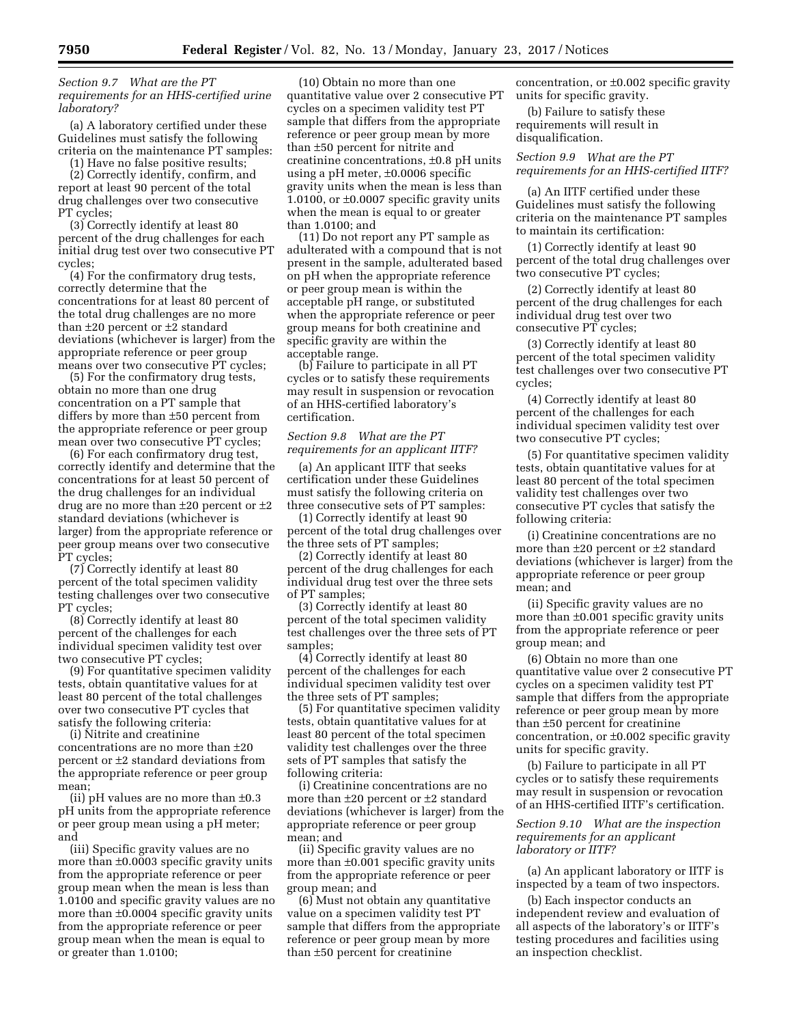*Section 9.7 What are the PT requirements for an HHS-certified urine laboratory?* 

(a) A laboratory certified under these Guidelines must satisfy the following criteria on the maintenance PT samples:

(1) Have no false positive results; (2) Correctly identify, confirm, and report at least 90 percent of the total drug challenges over two consecutive PT cycles;

(3) Correctly identify at least 80 percent of the drug challenges for each initial drug test over two consecutive PT cycles;

(4) For the confirmatory drug tests, correctly determine that the concentrations for at least 80 percent of the total drug challenges are no more than ±20 percent or ±2 standard deviations (whichever is larger) from the appropriate reference or peer group means over two consecutive PT cycles;

(5) For the confirmatory drug tests, obtain no more than one drug concentration on a PT sample that differs by more than ±50 percent from the appropriate reference or peer group mean over two consecutive PT cycles;

(6) For each confirmatory drug test, correctly identify and determine that the concentrations for at least 50 percent of the drug challenges for an individual drug are no more than ±20 percent or ±2 standard deviations (whichever is larger) from the appropriate reference or peer group means over two consecutive PT cycles;

(7) Correctly identify at least 80 percent of the total specimen validity testing challenges over two consecutive PT cycles;

(8) Correctly identify at least 80 percent of the challenges for each individual specimen validity test over two consecutive PT cycles;

(9) For quantitative specimen validity tests, obtain quantitative values for at least 80 percent of the total challenges over two consecutive PT cycles that satisfy the following criteria:

(i) Nitrite and creatinine concentrations are no more than ±20 percent or ±2 standard deviations from the appropriate reference or peer group mean;

(ii) pH values are no more than ±0.3 pH units from the appropriate reference or peer group mean using a pH meter; and

(iii) Specific gravity values are no more than ±0.0003 specific gravity units from the appropriate reference or peer group mean when the mean is less than 1.0100 and specific gravity values are no more than ±0.0004 specific gravity units from the appropriate reference or peer group mean when the mean is equal to or greater than 1.0100;

(10) Obtain no more than one quantitative value over 2 consecutive PT cycles on a specimen validity test PT sample that differs from the appropriate reference or peer group mean by more than ±50 percent for nitrite and creatinine concentrations, ±0.8 pH units using a pH meter, ±0.0006 specific gravity units when the mean is less than 1.0100, or ±0.0007 specific gravity units when the mean is equal to or greater than 1.0100; and

(11) Do not report any PT sample as adulterated with a compound that is not present in the sample, adulterated based on pH when the appropriate reference or peer group mean is within the acceptable pH range, or substituted when the appropriate reference or peer group means for both creatinine and specific gravity are within the acceptable range.

(b) Failure to participate in all PT cycles or to satisfy these requirements may result in suspension or revocation of an HHS-certified laboratory's certification.

## *Section 9.8 What are the PT requirements for an applicant IITF?*

(a) An applicant IITF that seeks certification under these Guidelines must satisfy the following criteria on three consecutive sets of PT samples:

(1) Correctly identify at least 90 percent of the total drug challenges over the three sets of PT samples;

(2) Correctly identify at least 80 percent of the drug challenges for each individual drug test over the three sets of PT samples;

(3) Correctly identify at least 80 percent of the total specimen validity test challenges over the three sets of PT samples;

(4) Correctly identify at least 80 percent of the challenges for each individual specimen validity test over the three sets of PT samples;

(5) For quantitative specimen validity tests, obtain quantitative values for at least 80 percent of the total specimen validity test challenges over the three sets of PT samples that satisfy the following criteria:

(i) Creatinine concentrations are no more than ±20 percent or ±2 standard deviations (whichever is larger) from the appropriate reference or peer group mean; and

(ii) Specific gravity values are no more than ±0.001 specific gravity units from the appropriate reference or peer group mean; and

(6) Must not obtain any quantitative value on a specimen validity test PT sample that differs from the appropriate reference or peer group mean by more than ±50 percent for creatinine

concentration, or ±0.002 specific gravity units for specific gravity.

(b) Failure to satisfy these requirements will result in disqualification.

# *Section 9.9 What are the PT requirements for an HHS-certified IITF?*

(a) An IITF certified under these Guidelines must satisfy the following criteria on the maintenance PT samples to maintain its certification:

(1) Correctly identify at least 90 percent of the total drug challenges over two consecutive PT cycles;

(2) Correctly identify at least 80 percent of the drug challenges for each individual drug test over two consecutive PT cycles;

(3) Correctly identify at least 80 percent of the total specimen validity test challenges over two consecutive PT cycles;

(4) Correctly identify at least 80 percent of the challenges for each individual specimen validity test over two consecutive PT cycles;

(5) For quantitative specimen validity tests, obtain quantitative values for at least 80 percent of the total specimen validity test challenges over two consecutive PT cycles that satisfy the following criteria:

(i) Creatinine concentrations are no more than ±20 percent or ±2 standard deviations (whichever is larger) from the appropriate reference or peer group mean; and

(ii) Specific gravity values are no more than ±0.001 specific gravity units from the appropriate reference or peer group mean; and

(6) Obtain no more than one quantitative value over 2 consecutive PT cycles on a specimen validity test PT sample that differs from the appropriate reference or peer group mean by more than ±50 percent for creatinine concentration, or  $\pm 0.002$  specific gravity units for specific gravity.

(b) Failure to participate in all PT cycles or to satisfy these requirements may result in suspension or revocation of an HHS-certified IITF's certification.

# *Section 9.10 What are the inspection requirements for an applicant laboratory or IITF?*

(a) An applicant laboratory or IITF is inspected by a team of two inspectors.

(b) Each inspector conducts an independent review and evaluation of all aspects of the laboratory's or IITF's testing procedures and facilities using an inspection checklist.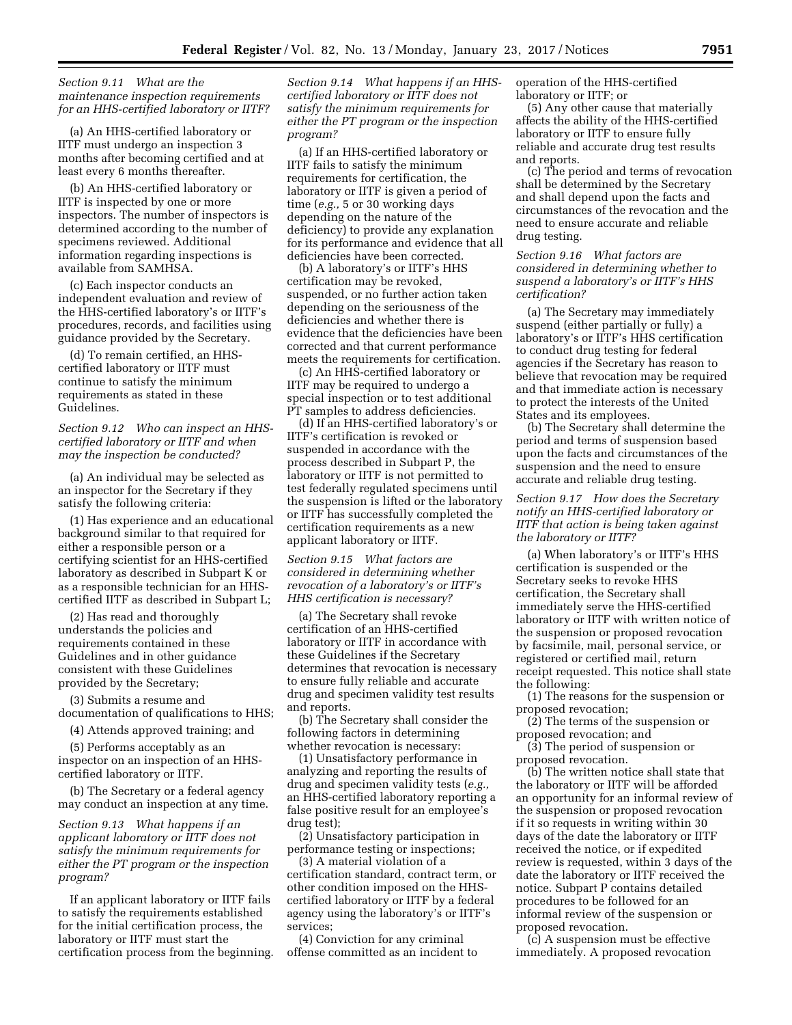# *Section 9.11 What are the maintenance inspection requirements for an HHS-certified laboratory or IITF?*

(a) An HHS-certified laboratory or IITF must undergo an inspection 3 months after becoming certified and at least every 6 months thereafter.

(b) An HHS-certified laboratory or IITF is inspected by one or more inspectors. The number of inspectors is determined according to the number of specimens reviewed. Additional information regarding inspections is available from SAMHSA.

(c) Each inspector conducts an independent evaluation and review of the HHS-certified laboratory's or IITF's procedures, records, and facilities using guidance provided by the Secretary.

(d) To remain certified, an HHScertified laboratory or IITF must continue to satisfy the minimum requirements as stated in these Guidelines.

*Section 9.12 Who can inspect an HHScertified laboratory or IITF and when may the inspection be conducted?* 

(a) An individual may be selected as an inspector for the Secretary if they satisfy the following criteria:

(1) Has experience and an educational background similar to that required for either a responsible person or a certifying scientist for an HHS-certified laboratory as described in Subpart K or as a responsible technician for an HHScertified IITF as described in Subpart L;

(2) Has read and thoroughly understands the policies and requirements contained in these Guidelines and in other guidance consistent with these Guidelines provided by the Secretary;

(3) Submits a resume and documentation of qualifications to HHS;

(4) Attends approved training; and

(5) Performs acceptably as an inspector on an inspection of an HHScertified laboratory or IITF.

(b) The Secretary or a federal agency may conduct an inspection at any time.

*Section 9.13 What happens if an applicant laboratory or IITF does not satisfy the minimum requirements for either the PT program or the inspection program?* 

If an applicant laboratory or IITF fails to satisfy the requirements established for the initial certification process, the laboratory or IITF must start the certification process from the beginning. *Section 9.14 What happens if an HHScertified laboratory or IITF does not satisfy the minimum requirements for either the PT program or the inspection program?* 

(a) If an HHS-certified laboratory or IITF fails to satisfy the minimum requirements for certification, the laboratory or IITF is given a period of time (*e.g.,* 5 or 30 working days depending on the nature of the deficiency) to provide any explanation for its performance and evidence that all deficiencies have been corrected.

(b) A laboratory's or IITF's HHS certification may be revoked, suspended, or no further action taken depending on the seriousness of the deficiencies and whether there is evidence that the deficiencies have been corrected and that current performance meets the requirements for certification.

(c) An HHS-certified laboratory or IITF may be required to undergo a special inspection or to test additional PT samples to address deficiencies.

(d) If an HHS-certified laboratory's or IITF's certification is revoked or suspended in accordance with the process described in Subpart P, the laboratory or IITF is not permitted to test federally regulated specimens until the suspension is lifted or the laboratory or IITF has successfully completed the certification requirements as a new applicant laboratory or IITF.

*Section 9.15 What factors are considered in determining whether revocation of a laboratory's or IITF's HHS certification is necessary?* 

(a) The Secretary shall revoke certification of an HHS-certified laboratory or IITF in accordance with these Guidelines if the Secretary determines that revocation is necessary to ensure fully reliable and accurate drug and specimen validity test results and reports.

(b) The Secretary shall consider the following factors in determining whether revocation is necessary:

(1) Unsatisfactory performance in analyzing and reporting the results of drug and specimen validity tests (*e.g.,*  an HHS-certified laboratory reporting a false positive result for an employee's drug test);

(2) Unsatisfactory participation in performance testing or inspections;

(3) A material violation of a certification standard, contract term, or other condition imposed on the HHScertified laboratory or IITF by a federal agency using the laboratory's or IITF's services;

(4) Conviction for any criminal offense committed as an incident to operation of the HHS-certified laboratory or IITF; or

(5) Any other cause that materially affects the ability of the HHS-certified laboratory or IITF to ensure fully reliable and accurate drug test results and reports.

(c) The period and terms of revocation shall be determined by the Secretary and shall depend upon the facts and circumstances of the revocation and the need to ensure accurate and reliable drug testing.

*Section 9.16 What factors are considered in determining whether to suspend a laboratory's or IITF's HHS certification?* 

(a) The Secretary may immediately suspend (either partially or fully) a laboratory's or IITF's HHS certification to conduct drug testing for federal agencies if the Secretary has reason to believe that revocation may be required and that immediate action is necessary to protect the interests of the United States and its employees.

(b) The Secretary shall determine the period and terms of suspension based upon the facts and circumstances of the suspension and the need to ensure accurate and reliable drug testing.

*Section 9.17 How does the Secretary notify an HHS-certified laboratory or IITF that action is being taken against the laboratory or IITF?* 

(a) When laboratory's or IITF's HHS certification is suspended or the Secretary seeks to revoke HHS certification, the Secretary shall immediately serve the HHS-certified laboratory or IITF with written notice of the suspension or proposed revocation by facsimile, mail, personal service, or registered or certified mail, return receipt requested. This notice shall state the following:

(1) The reasons for the suspension or proposed revocation;

(2) The terms of the suspension or proposed revocation; and

(3) The period of suspension or proposed revocation.

(b) The written notice shall state that the laboratory or IITF will be afforded an opportunity for an informal review of the suspension or proposed revocation if it so requests in writing within 30 days of the date the laboratory or IITF received the notice, or if expedited review is requested, within 3 days of the date the laboratory or IITF received the notice. Subpart P contains detailed procedures to be followed for an informal review of the suspension or proposed revocation.

(c) A suspension must be effective immediately. A proposed revocation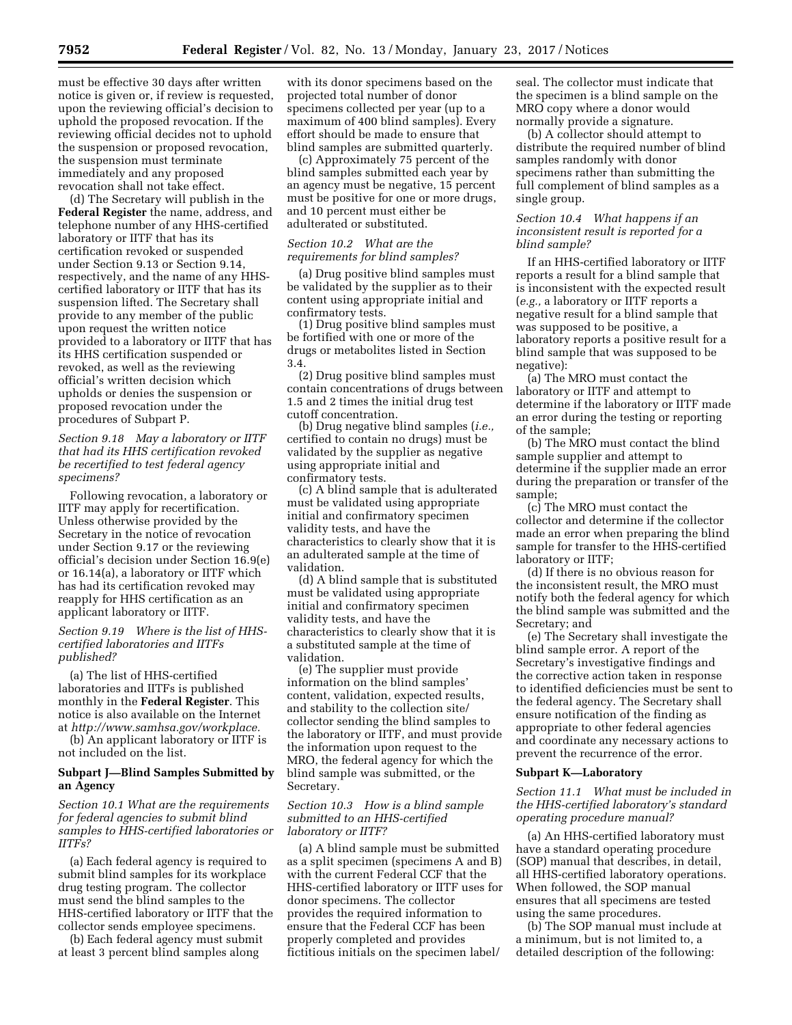must be effective 30 days after written notice is given or, if review is requested, upon the reviewing official's decision to uphold the proposed revocation. If the reviewing official decides not to uphold the suspension or proposed revocation, the suspension must terminate immediately and any proposed revocation shall not take effect.

(d) The Secretary will publish in the **Federal Register** the name, address, and telephone number of any HHS-certified laboratory or IITF that has its certification revoked or suspended under Section 9.13 or Section 9.14, respectively, and the name of any HHScertified laboratory or IITF that has its suspension lifted. The Secretary shall provide to any member of the public upon request the written notice provided to a laboratory or IITF that has its HHS certification suspended or revoked, as well as the reviewing official's written decision which upholds or denies the suspension or proposed revocation under the procedures of Subpart P.

# *Section 9.18 May a laboratory or IITF that had its HHS certification revoked be recertified to test federal agency specimens?*

Following revocation, a laboratory or IITF may apply for recertification. Unless otherwise provided by the Secretary in the notice of revocation under Section 9.17 or the reviewing official's decision under Section 16.9(e) or 16.14(a), a laboratory or IITF which has had its certification revoked may reapply for HHS certification as an applicant laboratory or IITF.

# *Section 9.19 Where is the list of HHScertified laboratories and IITFs published?*

(a) The list of HHS-certified laboratories and IITFs is published monthly in the **Federal Register**. This notice is also available on the Internet at *[http://www.samhsa.gov/workplace.](http://www.samhsa.gov/workplace)* 

(b) An applicant laboratory or IITF is not included on the list.

# **Subpart J—Blind Samples Submitted by an Agency**

*Section 10.1 What are the requirements for federal agencies to submit blind samples to HHS-certified laboratories or IITFs?* 

(a) Each federal agency is required to submit blind samples for its workplace drug testing program. The collector must send the blind samples to the HHS-certified laboratory or IITF that the collector sends employee specimens.

(b) Each federal agency must submit at least 3 percent blind samples along

with its donor specimens based on the projected total number of donor specimens collected per year (up to a maximum of 400 blind samples). Every effort should be made to ensure that blind samples are submitted quarterly.

(c) Approximately 75 percent of the blind samples submitted each year by an agency must be negative, 15 percent must be positive for one or more drugs, and 10 percent must either be adulterated or substituted.

# *Section 10.2 What are the requirements for blind samples?*

(a) Drug positive blind samples must be validated by the supplier as to their content using appropriate initial and confirmatory tests.

(1) Drug positive blind samples must be fortified with one or more of the drugs or metabolites listed in Section 3.4.

(2) Drug positive blind samples must contain concentrations of drugs between 1.5 and 2 times the initial drug test cutoff concentration.

(b) Drug negative blind samples (*i.e.,*  certified to contain no drugs) must be validated by the supplier as negative using appropriate initial and confirmatory tests.

(c) A blind sample that is adulterated must be validated using appropriate initial and confirmatory specimen validity tests, and have the characteristics to clearly show that it is an adulterated sample at the time of validation.

(d) A blind sample that is substituted must be validated using appropriate initial and confirmatory specimen validity tests, and have the characteristics to clearly show that it is a substituted sample at the time of validation.

(e) The supplier must provide information on the blind samples' content, validation, expected results, and stability to the collection site/ collector sending the blind samples to the laboratory or IITF, and must provide the information upon request to the MRO, the federal agency for which the blind sample was submitted, or the Secretary.

# *Section 10.3 How is a blind sample submitted to an HHS-certified laboratory or IITF?*

(a) A blind sample must be submitted as a split specimen (specimens A and B) with the current Federal CCF that the HHS-certified laboratory or IITF uses for donor specimens. The collector provides the required information to ensure that the Federal CCF has been properly completed and provides fictitious initials on the specimen label/

seal. The collector must indicate that the specimen is a blind sample on the MRO copy where a donor would normally provide a signature.

(b) A collector should attempt to distribute the required number of blind samples randomly with donor specimens rather than submitting the full complement of blind samples as a single group.

# *Section 10.4 What happens if an inconsistent result is reported for a blind sample?*

If an HHS-certified laboratory or IITF reports a result for a blind sample that is inconsistent with the expected result (*e.g.,* a laboratory or IITF reports a negative result for a blind sample that was supposed to be positive, a laboratory reports a positive result for a blind sample that was supposed to be negative):

(a) The MRO must contact the laboratory or IITF and attempt to determine if the laboratory or IITF made an error during the testing or reporting of the sample;

(b) The MRO must contact the blind sample supplier and attempt to determine if the supplier made an error during the preparation or transfer of the sample;

(c) The MRO must contact the collector and determine if the collector made an error when preparing the blind sample for transfer to the HHS-certified laboratory or IITF;

(d) If there is no obvious reason for the inconsistent result, the MRO must notify both the federal agency for which the blind sample was submitted and the Secretary; and

(e) The Secretary shall investigate the blind sample error. A report of the Secretary's investigative findings and the corrective action taken in response to identified deficiencies must be sent to the federal agency. The Secretary shall ensure notification of the finding as appropriate to other federal agencies and coordinate any necessary actions to prevent the recurrence of the error.

#### **Subpart K—Laboratory**

# *Section 11.1 What must be included in the HHS-certified laboratory's standard operating procedure manual?*

(a) An HHS-certified laboratory must have a standard operating procedure (SOP) manual that describes, in detail, all HHS-certified laboratory operations. When followed, the SOP manual ensures that all specimens are tested using the same procedures.

(b) The SOP manual must include at a minimum, but is not limited to, a detailed description of the following: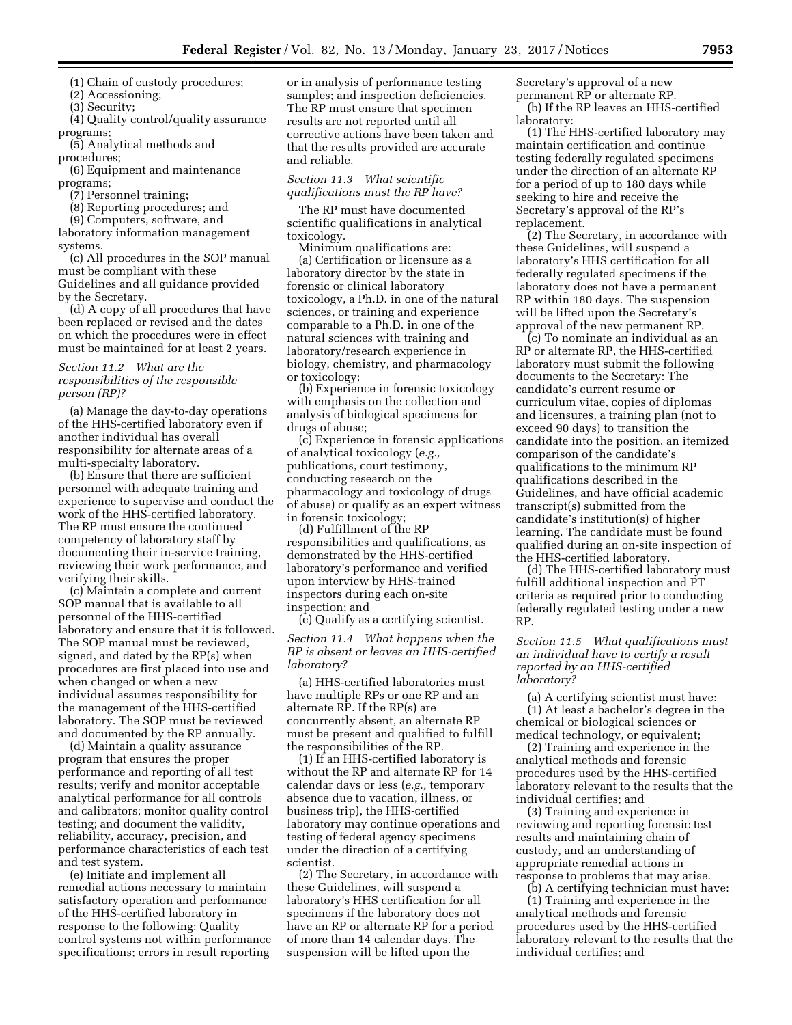(1) Chain of custody procedures;

(2) Accessioning;

(3) Security;

(4) Quality control/quality assurance programs;

(5) Analytical methods and

procedures;

(6) Equipment and maintenance programs;

(7) Personnel training;

(8) Reporting procedures; and

(9) Computers, software, and laboratory information management systems.

(c) All procedures in the SOP manual must be compliant with these Guidelines and all guidance provided by the Secretary.

(d) A copy of all procedures that have been replaced or revised and the dates on which the procedures were in effect must be maintained for at least 2 years.

# *Section 11.2 What are the responsibilities of the responsible person (RP)?*

(a) Manage the day-to-day operations of the HHS-certified laboratory even if another individual has overall responsibility for alternate areas of a multi-specialty laboratory.

(b) Ensure that there are sufficient personnel with adequate training and experience to supervise and conduct the work of the HHS-certified laboratory. The RP must ensure the continued competency of laboratory staff by documenting their in-service training, reviewing their work performance, and verifying their skills.

(c) Maintain a complete and current SOP manual that is available to all personnel of the HHS-certified laboratory and ensure that it is followed. The SOP manual must be reviewed, signed, and dated by the RP(s) when procedures are first placed into use and when changed or when a new individual assumes responsibility for the management of the HHS-certified laboratory. The SOP must be reviewed and documented by the RP annually.

(d) Maintain a quality assurance program that ensures the proper performance and reporting of all test results; verify and monitor acceptable analytical performance for all controls and calibrators; monitor quality control testing; and document the validity, reliability, accuracy, precision, and performance characteristics of each test and test system.

(e) Initiate and implement all remedial actions necessary to maintain satisfactory operation and performance of the HHS-certified laboratory in response to the following: Quality control systems not within performance specifications; errors in result reporting

or in analysis of performance testing samples; and inspection deficiencies. The RP must ensure that specimen results are not reported until all corrective actions have been taken and that the results provided are accurate and reliable.

### *Section 11.3 What scientific qualifications must the RP have?*

The RP must have documented scientific qualifications in analytical toxicology.

Minimum qualifications are: (a) Certification or licensure as a laboratory director by the state in forensic or clinical laboratory toxicology, a Ph.D. in one of the natural sciences, or training and experience comparable to a Ph.D. in one of the natural sciences with training and laboratory/research experience in biology, chemistry, and pharmacology or toxicology;

(b) Experience in forensic toxicology with emphasis on the collection and analysis of biological specimens for drugs of abuse;

(c) Experience in forensic applications of analytical toxicology (*e.g.,*  publications, court testimony, conducting research on the pharmacology and toxicology of drugs of abuse) or qualify as an expert witness in forensic toxicology;

(d) Fulfillment of the RP responsibilities and qualifications, as demonstrated by the HHS-certified laboratory's performance and verified upon interview by HHS-trained inspectors during each on-site inspection; and

(e) Qualify as a certifying scientist.

*Section 11.4 What happens when the RP is absent or leaves an HHS-certified laboratory?* 

(a) HHS-certified laboratories must have multiple RPs or one RP and an alternate RP. If the RP(s) are concurrently absent, an alternate RP must be present and qualified to fulfill the responsibilities of the RP.

(1) If an HHS-certified laboratory is without the RP and alternate RP for 14 calendar days or less (*e.g.,* temporary absence due to vacation, illness, or business trip), the HHS-certified laboratory may continue operations and testing of federal agency specimens under the direction of a certifying scientist.

(2) The Secretary, in accordance with these Guidelines, will suspend a laboratory's HHS certification for all specimens if the laboratory does not have an RP or alternate RP for a period of more than 14 calendar days. The suspension will be lifted upon the

Secretary's approval of a new permanent RP or alternate RP. (b) If the RP leaves an HHS-certified laboratory:

(1) The HHS-certified laboratory may maintain certification and continue testing federally regulated specimens under the direction of an alternate RP for a period of up to 180 days while seeking to hire and receive the Secretary's approval of the RP's replacement.

(2) The Secretary, in accordance with these Guidelines, will suspend a laboratory's HHS certification for all federally regulated specimens if the laboratory does not have a permanent RP within 180 days. The suspension will be lifted upon the Secretary's approval of the new permanent RP.

(c) To nominate an individual as an RP or alternate RP, the HHS-certified laboratory must submit the following documents to the Secretary: The candidate's current resume or curriculum vitae, copies of diplomas and licensures, a training plan (not to exceed 90 days) to transition the candidate into the position, an itemized comparison of the candidate's qualifications to the minimum RP qualifications described in the Guidelines, and have official academic transcript(s) submitted from the candidate's institution(s) of higher learning. The candidate must be found qualified during an on-site inspection of the HHS-certified laboratory.

(d) The HHS-certified laboratory must fulfill additional inspection and PT criteria as required prior to conducting federally regulated testing under a new RP.

*Section 11.5 What qualifications must an individual have to certify a result reported by an HHS-certified laboratory?* 

(a) A certifying scientist must have: (1) At least a bachelor's degree in the chemical or biological sciences or medical technology, or equivalent;

(2) Training and experience in the analytical methods and forensic procedures used by the HHS-certified laboratory relevant to the results that the individual certifies; and

(3) Training and experience in reviewing and reporting forensic test results and maintaining chain of custody, and an understanding of appropriate remedial actions in response to problems that may arise.

(b) A certifying technician must have: (1) Training and experience in the analytical methods and forensic procedures used by the HHS-certified laboratory relevant to the results that the individual certifies; and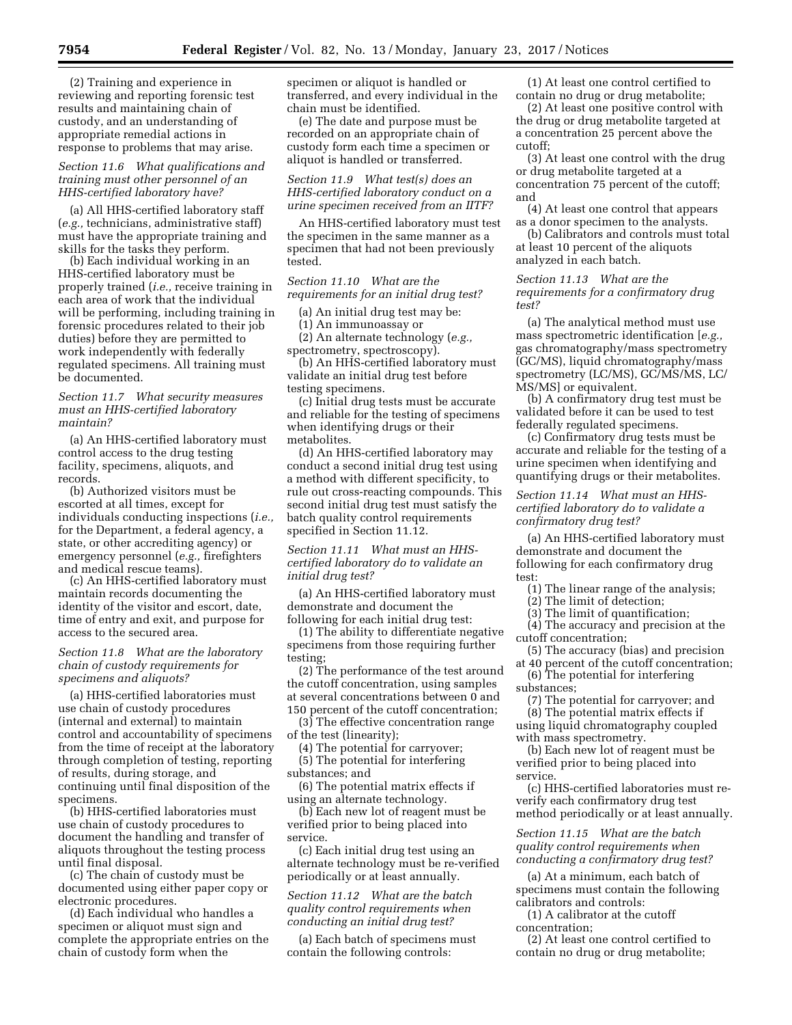(2) Training and experience in reviewing and reporting forensic test results and maintaining chain of custody, and an understanding of appropriate remedial actions in response to problems that may arise.

# *Section 11.6 What qualifications and training must other personnel of an HHS-certified laboratory have?*

(a) All HHS-certified laboratory staff (*e.g.,* technicians, administrative staff) must have the appropriate training and skills for the tasks they perform.

(b) Each individual working in an HHS-certified laboratory must be properly trained (*i.e.,* receive training in each area of work that the individual will be performing, including training in forensic procedures related to their job duties) before they are permitted to work independently with federally regulated specimens. All training must be documented.

# *Section 11.7 What security measures must an HHS-certified laboratory maintain?*

(a) An HHS-certified laboratory must control access to the drug testing facility, specimens, aliquots, and records.

(b) Authorized visitors must be escorted at all times, except for individuals conducting inspections (*i.e.,*  for the Department, a federal agency, a state, or other accrediting agency) or emergency personnel (*e.g.,* firefighters and medical rescue teams).

(c) An HHS-certified laboratory must maintain records documenting the identity of the visitor and escort, date, time of entry and exit, and purpose for access to the secured area.

# *Section 11.8 What are the laboratory chain of custody requirements for specimens and aliquots?*

(a) HHS-certified laboratories must use chain of custody procedures (internal and external) to maintain control and accountability of specimens from the time of receipt at the laboratory through completion of testing, reporting of results, during storage, and continuing until final disposition of the specimens.

(b) HHS-certified laboratories must use chain of custody procedures to document the handling and transfer of aliquots throughout the testing process until final disposal.

(c) The chain of custody must be documented using either paper copy or electronic procedures.

(d) Each individual who handles a specimen or aliquot must sign and complete the appropriate entries on the chain of custody form when the

specimen or aliquot is handled or transferred, and every individual in the chain must be identified.

(e) The date and purpose must be recorded on an appropriate chain of custody form each time a specimen or aliquot is handled or transferred.

*Section 11.9 What test(s) does an HHS-certified laboratory conduct on a urine specimen received from an IITF?* 

An HHS-certified laboratory must test the specimen in the same manner as a specimen that had not been previously tested.

*Section 11.10 What are the requirements for an initial drug test?* 

(a) An initial drug test may be:

(1) An immunoassay or

(2) An alternate technology (*e.g.,* 

spectrometry, spectroscopy).

(b) An HHS-certified laboratory must validate an initial drug test before testing specimens.

(c) Initial drug tests must be accurate and reliable for the testing of specimens when identifying drugs or their metabolites.

(d) An HHS-certified laboratory may conduct a second initial drug test using a method with different specificity, to rule out cross-reacting compounds. This second initial drug test must satisfy the batch quality control requirements specified in Section 11.12.

## *Section 11.11 What must an HHScertified laboratory do to validate an initial drug test?*

(a) An HHS-certified laboratory must demonstrate and document the following for each initial drug test:

(1) The ability to differentiate negative specimens from those requiring further testing;

(2) The performance of the test around the cutoff concentration, using samples at several concentrations between 0 and 150 percent of the cutoff concentration;

(3) The effective concentration range of the test (linearity);

(4) The potential for carryover; (5) The potential for interfering

substances; and

(6) The potential matrix effects if using an alternate technology.

(b) Each new lot of reagent must be verified prior to being placed into service.

(c) Each initial drug test using an alternate technology must be re-verified periodically or at least annually.

# *Section 11.12 What are the batch quality control requirements when conducting an initial drug test?*

(a) Each batch of specimens must contain the following controls:

(1) At least one control certified to contain no drug or drug metabolite;

(2) At least one positive control with the drug or drug metabolite targeted at a concentration 25 percent above the cutoff;

(3) At least one control with the drug or drug metabolite targeted at a concentration 75 percent of the cutoff; and

(4) At least one control that appears as a donor specimen to the analysts.

(b) Calibrators and controls must total at least 10 percent of the aliquots analyzed in each batch.

# *Section 11.13 What are the requirements for a confirmatory drug test?*

(a) The analytical method must use mass spectrometric identification [*e.g.,*  gas chromatography/mass spectrometry (GC/MS), liquid chromatography/mass spectrometry (LC/MS), GC/MS/MS, LC/ MS/MS] or equivalent.

(b) A confirmatory drug test must be validated before it can be used to test federally regulated specimens.

(c) Confirmatory drug tests must be accurate and reliable for the testing of a urine specimen when identifying and quantifying drugs or their metabolites.

## *Section 11.14 What must an HHScertified laboratory do to validate a confirmatory drug test?*

(a) An HHS-certified laboratory must demonstrate and document the following for each confirmatory drug test:

(1) The linear range of the analysis;

(2) The limit of detection;

(3) The limit of quantification;

(4) The accuracy and precision at the cutoff concentration;

(5) The accuracy (bias) and precision at 40 percent of the cutoff concentration;

(6) The potential for interfering substances;

(7) The potential for carryover; and

(8) The potential matrix effects if

using liquid chromatography coupled with mass spectrometry.

(b) Each new lot of reagent must be verified prior to being placed into service.

(c) HHS-certified laboratories must reverify each confirmatory drug test method periodically or at least annually.

*Section 11.15 What are the batch quality control requirements when conducting a confirmatory drug test?* 

(a) At a minimum, each batch of specimens must contain the following calibrators and controls:

(1) A calibrator at the cutoff concentration;

(2) At least one control certified to contain no drug or drug metabolite;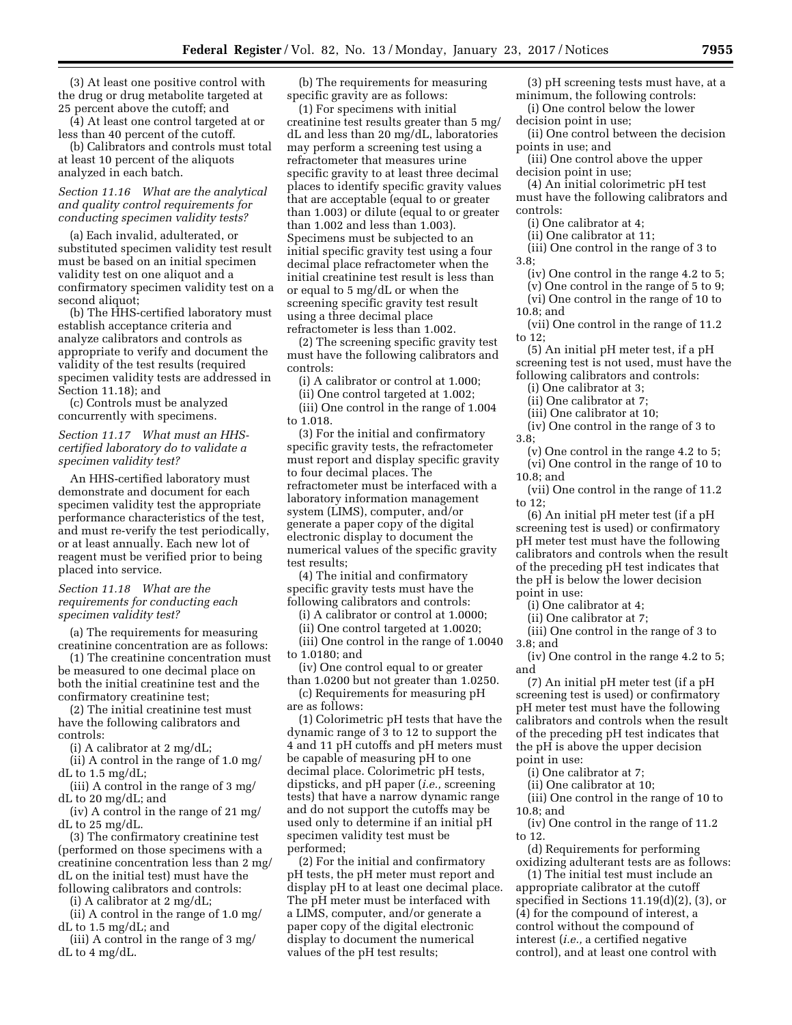(3) At least one positive control with the drug or drug metabolite targeted at 25 percent above the cutoff; and

(4) At least one control targeted at or less than 40 percent of the cutoff.

(b) Calibrators and controls must total at least 10 percent of the aliquots analyzed in each batch.

# *Section 11.16 What are the analytical and quality control requirements for conducting specimen validity tests?*

(a) Each invalid, adulterated, or substituted specimen validity test result must be based on an initial specimen validity test on one aliquot and a confirmatory specimen validity test on a second aliquot;

(b) The HHS-certified laboratory must establish acceptance criteria and analyze calibrators and controls as appropriate to verify and document the validity of the test results (required specimen validity tests are addressed in Section 11.18); and

(c) Controls must be analyzed concurrently with specimens.

## *Section 11.17 What must an HHScertified laboratory do to validate a specimen validity test?*

An HHS-certified laboratory must demonstrate and document for each specimen validity test the appropriate performance characteristics of the test, and must re-verify the test periodically, or at least annually. Each new lot of reagent must be verified prior to being placed into service.

## *Section 11.18 What are the requirements for conducting each specimen validity test?*

(a) The requirements for measuring creatinine concentration are as follows:

(1) The creatinine concentration must be measured to one decimal place on both the initial creatinine test and the confirmatory creatinine test;

(2) The initial creatinine test must have the following calibrators and controls:

(i) A calibrator at 2 mg/dL;

(ii) A control in the range of 1.0 mg/ dL to  $1.5 \text{ mg/dL}$ ;

(iii) A control in the range of 3 mg/ dL to 20 mg/dL; and

(iv) A control in the range of 21 mg/ dL to 25 mg/dL.

(3) The confirmatory creatinine test (performed on those specimens with a creatinine concentration less than 2 mg/ dL on the initial test) must have the following calibrators and controls:

(i) A calibrator at 2 mg/dL;

(ii) A control in the range of 1.0 mg/ dL to 1.5 mg/dL; and

(iii) A control in the range of 3 mg/ dL to 4 mg/dL.

(b) The requirements for measuring specific gravity are as follows:

(1) For specimens with initial creatinine test results greater than 5 mg/ dL and less than 20 mg/dL, laboratories may perform a screening test using a refractometer that measures urine specific gravity to at least three decimal places to identify specific gravity values that are acceptable (equal to or greater than 1.003) or dilute (equal to or greater than 1.002 and less than 1.003). Specimens must be subjected to an initial specific gravity test using a four decimal place refractometer when the initial creatinine test result is less than or equal to 5 mg/dL or when the screening specific gravity test result using a three decimal place refractometer is less than 1.002.

(2) The screening specific gravity test must have the following calibrators and controls:

(i) A calibrator or control at 1.000;

(ii) One control targeted at 1.002; (iii) One control in the range of 1.004 to 1.018.

(3) For the initial and confirmatory specific gravity tests, the refractometer must report and display specific gravity to four decimal places. The refractometer must be interfaced with a laboratory information management system (LIMS), computer, and/or generate a paper copy of the digital electronic display to document the numerical values of the specific gravity test results;

(4) The initial and confirmatory specific gravity tests must have the following calibrators and controls:

(i) A calibrator or control at 1.0000;

(ii) One control targeted at 1.0020;

(iii) One control in the range of 1.0040 to 1.0180; and

(iv) One control equal to or greater than 1.0200 but not greater than 1.0250. (c) Requirements for measuring pH

are as follows:

(1) Colorimetric pH tests that have the dynamic range of 3 to 12 to support the 4 and 11 pH cutoffs and pH meters must be capable of measuring pH to one decimal place. Colorimetric pH tests, dipsticks, and pH paper (*i.e.,* screening tests) that have a narrow dynamic range and do not support the cutoffs may be used only to determine if an initial pH specimen validity test must be performed;

(2) For the initial and confirmatory pH tests, the pH meter must report and display pH to at least one decimal place. The pH meter must be interfaced with a LIMS, computer, and/or generate a paper copy of the digital electronic display to document the numerical values of the pH test results;

(3) pH screening tests must have, at a minimum, the following controls:

(i) One control below the lower decision point in use;

(ii) One control between the decision points in use; and

(iii) One control above the upper decision point in use;

(4) An initial colorimetric pH test must have the following calibrators and controls:

(i) One calibrator at 4;

(ii) One calibrator at 11;

(iii) One control in the range of 3 to

3.8;

(iv) One control in the range 4.2 to 5;

(v) One control in the range of 5 to 9; (vi) One control in the range of 10 to

10.8; and

(vii) One control in the range of 11.2 to 12;

(5) An initial pH meter test, if a pH screening test is not used, must have the following calibrators and controls:

(i) One calibrator at 3;

(ii) One calibrator at 7;

(iii) One calibrator at 10;

(iv) One control in the range of 3 to 3.8;

(v) One control in the range 4.2 to 5; (vi) One control in the range of 10 to 10.8; and

(vii) One control in the range of 11.2 to 12;

(6) An initial pH meter test (if a pH screening test is used) or confirmatory pH meter test must have the following calibrators and controls when the result of the preceding pH test indicates that the pH is below the lower decision point in use:

(i) One calibrator at 4;

(ii) One calibrator at 7;

(iii) One control in the range of 3 to 3.8; and

(iv) One control in the range 4.2 to 5; and

(7) An initial pH meter test (if a pH screening test is used) or confirmatory pH meter test must have the following calibrators and controls when the result of the preceding pH test indicates that the pH is above the upper decision point in use:

(i) One calibrator at 7;

(ii) One calibrator at 10;

(iii) One control in the range of 10 to  $10.8$ ; and

(iv) One control in the range of 11.2 to 12.

(d) Requirements for performing oxidizing adulterant tests are as follows:

(1) The initial test must include an appropriate calibrator at the cutoff specified in Sections 11.19(d)(2), (3), or (4) for the compound of interest, a control without the compound of interest (*i.e.,* a certified negative control), and at least one control with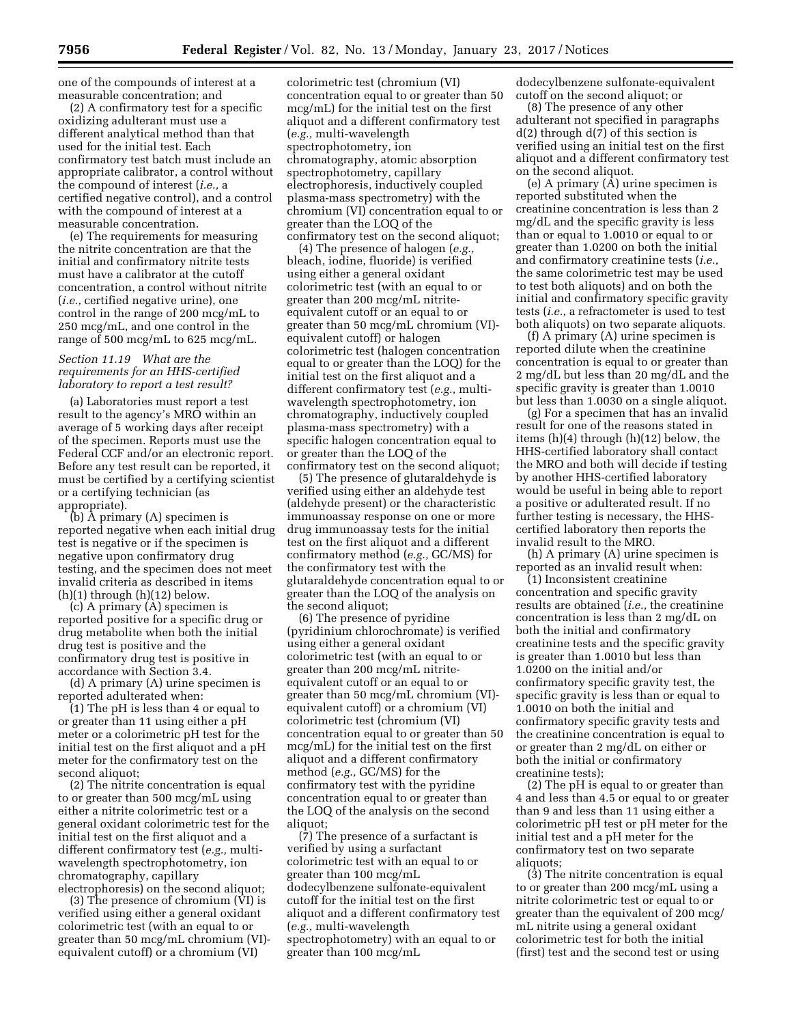one of the compounds of interest at a measurable concentration; and

(2) A confirmatory test for a specific oxidizing adulterant must use a different analytical method than that used for the initial test. Each confirmatory test batch must include an appropriate calibrator, a control without the compound of interest (*i.e.,* a certified negative control), and a control with the compound of interest at a measurable concentration.

(e) The requirements for measuring the nitrite concentration are that the initial and confirmatory nitrite tests must have a calibrator at the cutoff concentration, a control without nitrite (*i.e.,* certified negative urine), one control in the range of 200 mcg/mL to 250 mcg/mL, and one control in the range of 500 mcg/mL to 625 mcg/mL.

# *Section 11.19 What are the requirements for an HHS-certified laboratory to report a test result?*

(a) Laboratories must report a test result to the agency's MRO within an average of 5 working days after receipt of the specimen. Reports must use the Federal CCF and/or an electronic report. Before any test result can be reported, it must be certified by a certifying scientist or a certifying technician (as appropriate).

(b) A primary (A) specimen is reported negative when each initial drug test is negative or if the specimen is negative upon confirmatory drug testing, and the specimen does not meet invalid criteria as described in items  $(h)(1)$  through  $(h)(12)$  below.

(c) A primary (A) specimen is reported positive for a specific drug or drug metabolite when both the initial drug test is positive and the confirmatory drug test is positive in accordance with Section 3.4.

(d) A primary (A) urine specimen is reported adulterated when:

(1) The pH is less than 4 or equal to or greater than 11 using either a pH meter or a colorimetric pH test for the initial test on the first aliquot and a pH meter for the confirmatory test on the second aliquot;

(2) The nitrite concentration is equal to or greater than 500 mcg/mL using either a nitrite colorimetric test or a general oxidant colorimetric test for the initial test on the first aliquot and a different confirmatory test (*e.g.,* multiwavelength spectrophotometry, ion chromatography, capillary electrophoresis) on the second aliquot;

(3) The presence of chromium  $(VI)$  is verified using either a general oxidant colorimetric test (with an equal to or greater than 50 mcg/mL chromium (VI) equivalent cutoff) or a chromium (VI)

colorimetric test (chromium (VI) concentration equal to or greater than 50 mcg/mL) for the initial test on the first aliquot and a different confirmatory test (*e.g.,* multi-wavelength spectrophotometry, ion chromatography, atomic absorption spectrophotometry, capillary electrophoresis, inductively coupled plasma-mass spectrometry) with the chromium (VI) concentration equal to or greater than the LOQ of the confirmatory test on the second aliquot;

(4) The presence of halogen (*e.g.,*  bleach, iodine, fluoride) is verified using either a general oxidant colorimetric test (with an equal to or greater than 200 mcg/mL nitriteequivalent cutoff or an equal to or greater than 50 mcg/mL chromium (VI) equivalent cutoff) or halogen colorimetric test (halogen concentration equal to or greater than the LOQ) for the initial test on the first aliquot and a different confirmatory test (*e.g.,* multiwavelength spectrophotometry, ion chromatography, inductively coupled plasma-mass spectrometry) with a specific halogen concentration equal to or greater than the LOQ of the confirmatory test on the second aliquot;

(5) The presence of glutaraldehyde is verified using either an aldehyde test (aldehyde present) or the characteristic immunoassay response on one or more drug immunoassay tests for the initial test on the first aliquot and a different confirmatory method (*e.g.,* GC/MS) for the confirmatory test with the glutaraldehyde concentration equal to or greater than the LOQ of the analysis on the second aliquot;

(6) The presence of pyridine (pyridinium chlorochromate) is verified using either a general oxidant colorimetric test (with an equal to or greater than 200 mcg/mL nitriteequivalent cutoff or an equal to or greater than 50 mcg/mL chromium (VI) equivalent cutoff) or a chromium (VI) colorimetric test (chromium (VI) concentration equal to or greater than 50 mcg/mL) for the initial test on the first aliquot and a different confirmatory method (*e.g.,* GC/MS) for the confirmatory test with the pyridine concentration equal to or greater than the LOQ of the analysis on the second aliquot:

(7) The presence of a surfactant is verified by using a surfactant colorimetric test with an equal to or greater than 100 mcg/mL dodecylbenzene sulfonate-equivalent cutoff for the initial test on the first aliquot and a different confirmatory test (*e.g.,* multi-wavelength spectrophotometry) with an equal to or greater than 100 mcg/mL

dodecylbenzene sulfonate-equivalent cutoff on the second aliquot; or

(8) The presence of any other adulterant not specified in paragraphs  $d(2)$  through  $d(7)$  of this section is verified using an initial test on the first aliquot and a different confirmatory test on the second aliquot.

(e) A primary  $(A)$  urine specimen is reported substituted when the creatinine concentration is less than 2 mg/dL and the specific gravity is less than or equal to 1.0010 or equal to or greater than 1.0200 on both the initial and confirmatory creatinine tests (*i.e.,*  the same colorimetric test may be used to test both aliquots) and on both the initial and confirmatory specific gravity tests (*i.e.,* a refractometer is used to test both aliquots) on two separate aliquots.

(f) A primary (A) urine specimen is reported dilute when the creatinine concentration is equal to or greater than 2 mg/dL but less than 20 mg/dL and the specific gravity is greater than 1.0010 but less than 1.0030 on a single aliquot.

(g) For a specimen that has an invalid result for one of the reasons stated in items (h)(4) through (h)(12) below, the HHS-certified laboratory shall contact the MRO and both will decide if testing by another HHS-certified laboratory would be useful in being able to report a positive or adulterated result. If no further testing is necessary, the HHScertified laboratory then reports the invalid result to the MRO.

(h) A primary (A) urine specimen is reported as an invalid result when:

(1) Inconsistent creatinine concentration and specific gravity results are obtained (*i.e.,* the creatinine concentration is less than 2 mg/dL on both the initial and confirmatory creatinine tests and the specific gravity is greater than 1.0010 but less than 1.0200 on the initial and/or confirmatory specific gravity test, the specific gravity is less than or equal to 1.0010 on both the initial and confirmatory specific gravity tests and the creatinine concentration is equal to or greater than 2 mg/dL on either or both the initial or confirmatory creatinine tests);

(2) The pH is equal to or greater than 4 and less than 4.5 or equal to or greater than 9 and less than 11 using either a colorimetric pH test or pH meter for the initial test and a pH meter for the confirmatory test on two separate aliquots;

(3) The nitrite concentration is equal to or greater than 200 mcg/mL using a nitrite colorimetric test or equal to or greater than the equivalent of 200 mcg/ mL nitrite using a general oxidant colorimetric test for both the initial (first) test and the second test or using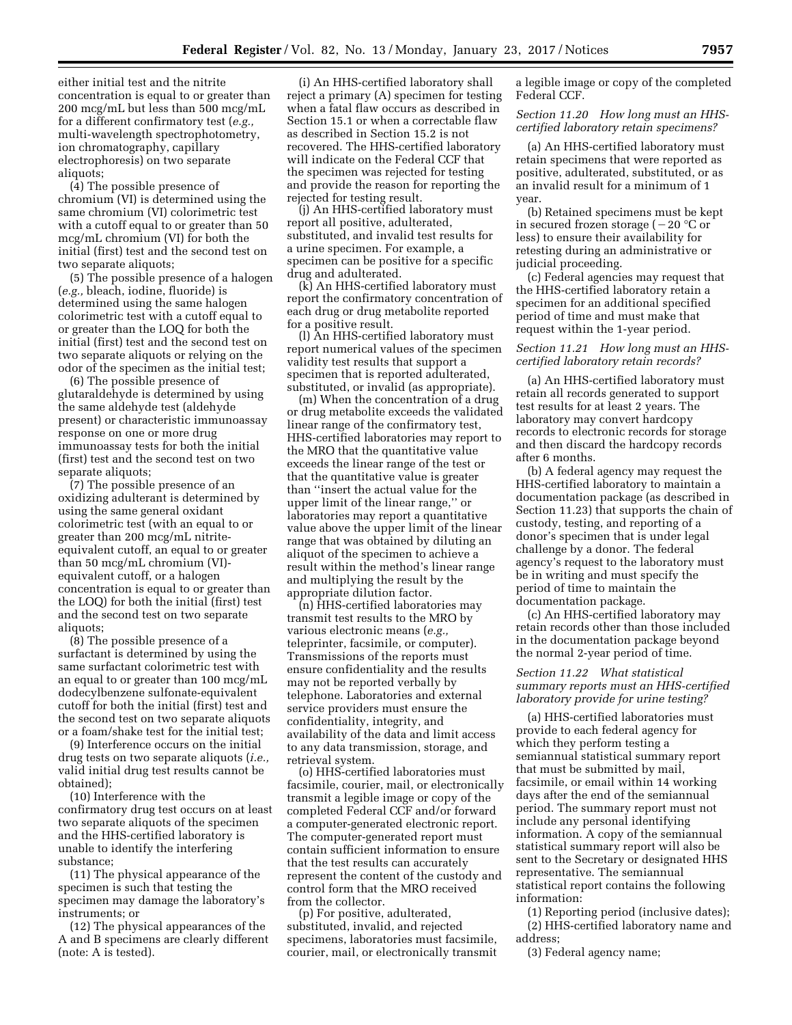either initial test and the nitrite concentration is equal to or greater than 200 mcg/mL but less than 500 mcg/mL for a different confirmatory test (*e.g.,*  multi-wavelength spectrophotometry, ion chromatography, capillary electrophoresis) on two separate aliquots;

(4) The possible presence of chromium (VI) is determined using the same chromium (VI) colorimetric test with a cutoff equal to or greater than 50 mcg/mL chromium (VI) for both the initial (first) test and the second test on two separate aliquots;

(5) The possible presence of a halogen (*e.g.,* bleach, iodine, fluoride) is determined using the same halogen colorimetric test with a cutoff equal to or greater than the LOQ for both the initial (first) test and the second test on two separate aliquots or relying on the odor of the specimen as the initial test;

(6) The possible presence of glutaraldehyde is determined by using the same aldehyde test (aldehyde present) or characteristic immunoassay response on one or more drug immunoassay tests for both the initial (first) test and the second test on two separate aliquots;

(7) The possible presence of an oxidizing adulterant is determined by using the same general oxidant colorimetric test (with an equal to or greater than 200 mcg/mL nitriteequivalent cutoff, an equal to or greater than 50 mcg/mL chromium (VI) equivalent cutoff, or a halogen concentration is equal to or greater than the LOQ) for both the initial (first) test and the second test on two separate aliquots;

(8) The possible presence of a surfactant is determined by using the same surfactant colorimetric test with an equal to or greater than 100 mcg/mL dodecylbenzene sulfonate-equivalent cutoff for both the initial (first) test and the second test on two separate aliquots or a foam/shake test for the initial test;

(9) Interference occurs on the initial drug tests on two separate aliquots (*i.e.,*  valid initial drug test results cannot be obtained);

(10) Interference with the confirmatory drug test occurs on at least two separate aliquots of the specimen and the HHS-certified laboratory is unable to identify the interfering substance;

(11) The physical appearance of the specimen is such that testing the specimen may damage the laboratory's instruments; or

(12) The physical appearances of the A and B specimens are clearly different (note: A is tested).

(i) An HHS-certified laboratory shall reject a primary (A) specimen for testing when a fatal flaw occurs as described in Section 15.1 or when a correctable flaw as described in Section 15.2 is not recovered. The HHS-certified laboratory will indicate on the Federal CCF that the specimen was rejected for testing and provide the reason for reporting the rejected for testing result.

(j) An HHS-certified laboratory must report all positive, adulterated, substituted, and invalid test results for a urine specimen. For example, a specimen can be positive for a specific drug and adulterated.

(k) An HHS-certified laboratory must report the confirmatory concentration of each drug or drug metabolite reported for a positive result.

(l) An HHS-certified laboratory must report numerical values of the specimen validity test results that support a specimen that is reported adulterated, substituted, or invalid (as appropriate).

(m) When the concentration of a drug or drug metabolite exceeds the validated linear range of the confirmatory test, HHS-certified laboratories may report to the MRO that the quantitative value exceeds the linear range of the test or that the quantitative value is greater than ''insert the actual value for the upper limit of the linear range,'' or laboratories may report a quantitative value above the upper limit of the linear range that was obtained by diluting an aliquot of the specimen to achieve a result within the method's linear range and multiplying the result by the appropriate dilution factor.

(n) HHS-certified laboratories may transmit test results to the MRO by various electronic means (*e.g.,*  teleprinter, facsimile, or computer). Transmissions of the reports must ensure confidentiality and the results may not be reported verbally by telephone. Laboratories and external service providers must ensure the confidentiality, integrity, and availability of the data and limit access to any data transmission, storage, and retrieval system.

(o) HHS-certified laboratories must facsimile, courier, mail, or electronically transmit a legible image or copy of the completed Federal CCF and/or forward a computer-generated electronic report. The computer-generated report must contain sufficient information to ensure that the test results can accurately represent the content of the custody and control form that the MRO received from the collector.

(p) For positive, adulterated, substituted, invalid, and rejected specimens, laboratories must facsimile, courier, mail, or electronically transmit

a legible image or copy of the completed Federal CCF.

*Section 11.20 How long must an HHScertified laboratory retain specimens?* 

(a) An HHS-certified laboratory must retain specimens that were reported as positive, adulterated, substituted, or as an invalid result for a minimum of 1 year.

(b) Retained specimens must be kept in secured frozen storage ( $-20$  °C or less) to ensure their availability for retesting during an administrative or judicial proceeding.

(c) Federal agencies may request that the HHS-certified laboratory retain a specimen for an additional specified period of time and must make that request within the 1-year period.

## *Section 11.21 How long must an HHScertified laboratory retain records?*

(a) An HHS-certified laboratory must retain all records generated to support test results for at least 2 years. The laboratory may convert hardcopy records to electronic records for storage and then discard the hardcopy records after 6 months.

(b) A federal agency may request the HHS-certified laboratory to maintain a documentation package (as described in Section 11.23) that supports the chain of custody, testing, and reporting of a donor's specimen that is under legal challenge by a donor. The federal agency's request to the laboratory must be in writing and must specify the period of time to maintain the documentation package.

(c) An HHS-certified laboratory may retain records other than those included in the documentation package beyond the normal 2-year period of time.

# *Section 11.22 What statistical summary reports must an HHS-certified laboratory provide for urine testing?*

(a) HHS-certified laboratories must provide to each federal agency for which they perform testing a semiannual statistical summary report that must be submitted by mail, facsimile, or email within 14 working days after the end of the semiannual period. The summary report must not include any personal identifying information. A copy of the semiannual statistical summary report will also be sent to the Secretary or designated HHS representative. The semiannual statistical report contains the following information:

(1) Reporting period (inclusive dates); (2) HHS-certified laboratory name and

address;

(3) Federal agency name;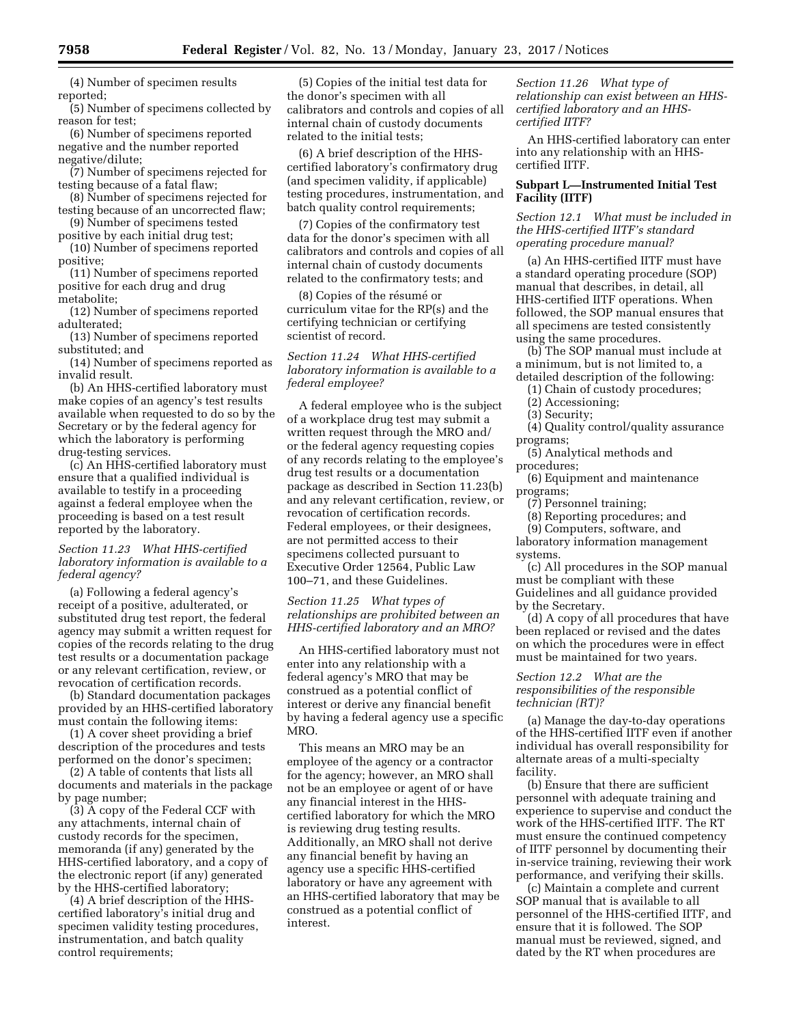(4) Number of specimen results reported;

(5) Number of specimens collected by reason for test;

(6) Number of specimens reported negative and the number reported negative/dilute;

(7) Number of specimens rejected for testing because of a fatal flaw;

(8) Number of specimens rejected for testing because of an uncorrected flaw;

(9) Number of specimens tested positive by each initial drug test;

(10) Number of specimens reported positive;

(11) Number of specimens reported positive for each drug and drug

metabolite;

(12) Number of specimens reported adulterated;

(13) Number of specimens reported substituted; and

(14) Number of specimens reported as invalid result.

(b) An HHS-certified laboratory must make copies of an agency's test results available when requested to do so by the Secretary or by the federal agency for which the laboratory is performing drug-testing services.

(c) An HHS-certified laboratory must ensure that a qualified individual is available to testify in a proceeding against a federal employee when the proceeding is based on a test result reported by the laboratory.

# *Section 11.23 What HHS-certified laboratory information is available to a federal agency?*

(a) Following a federal agency's receipt of a positive, adulterated, or substituted drug test report, the federal agency may submit a written request for copies of the records relating to the drug test results or a documentation package or any relevant certification, review, or revocation of certification records.

(b) Standard documentation packages provided by an HHS-certified laboratory must contain the following items:

(1) A cover sheet providing a brief description of the procedures and tests performed on the donor's specimen;

(2) A table of contents that lists all documents and materials in the package by page number;

(3) A copy of the Federal CCF with any attachments, internal chain of custody records for the specimen, memoranda (if any) generated by the HHS-certified laboratory, and a copy of the electronic report (if any) generated by the HHS-certified laboratory;

(4) A brief description of the HHScertified laboratory's initial drug and specimen validity testing procedures, instrumentation, and batch quality control requirements;

(5) Copies of the initial test data for the donor's specimen with all calibrators and controls and copies of all internal chain of custody documents related to the initial tests;

(6) A brief description of the HHScertified laboratory's confirmatory drug (and specimen validity, if applicable) testing procedures, instrumentation, and batch quality control requirements;

(7) Copies of the confirmatory test data for the donor's specimen with all calibrators and controls and copies of all internal chain of custody documents related to the confirmatory tests; and

(8) Copies of the résumé or curriculum vitae for the RP(s) and the certifying technician or certifying scientist of record.

*Section 11.24 What HHS-certified laboratory information is available to a federal employee?* 

A federal employee who is the subject of a workplace drug test may submit a written request through the MRO and/ or the federal agency requesting copies of any records relating to the employee's drug test results or a documentation package as described in Section 11.23(b) and any relevant certification, review, or revocation of certification records. Federal employees, or their designees, are not permitted access to their specimens collected pursuant to Executive Order 12564, Public Law 100–71, and these Guidelines.

*Section 11.25 What types of relationships are prohibited between an HHS-certified laboratory and an MRO?* 

An HHS-certified laboratory must not enter into any relationship with a federal agency's MRO that may be construed as a potential conflict of interest or derive any financial benefit by having a federal agency use a specific MRO.

This means an MRO may be an employee of the agency or a contractor for the agency; however, an MRO shall not be an employee or agent of or have any financial interest in the HHScertified laboratory for which the MRO is reviewing drug testing results. Additionally, an MRO shall not derive any financial benefit by having an agency use a specific HHS-certified laboratory or have any agreement with an HHS-certified laboratory that may be construed as a potential conflict of interest.

*Section 11.26 What type of relationship can exist between an HHScertified laboratory and an HHScertified IITF?* 

An HHS-certified laboratory can enter into any relationship with an HHScertified IITF.

# **Subpart L—Instrumented Initial Test Facility (IITF)**

*Section 12.1 What must be included in the HHS-certified IITF's standard operating procedure manual?* 

(a) An HHS-certified IITF must have a standard operating procedure (SOP) manual that describes, in detail, all HHS-certified IITF operations. When followed, the SOP manual ensures that all specimens are tested consistently using the same procedures.

(b) The SOP manual must include at a minimum, but is not limited to, a detailed description of the following:

(1) Chain of custody procedures;

(2) Accessioning;

(3) Security;

(4) Quality control/quality assurance programs;

(5) Analytical methods and procedures;

(6) Equipment and maintenance programs;

(7) Personnel training;

(8) Reporting procedures; and

(9) Computers, software, and laboratory information management systems.

(c) All procedures in the SOP manual must be compliant with these Guidelines and all guidance provided by the Secretary.

(d) A copy of all procedures that have been replaced or revised and the dates on which the procedures were in effect must be maintained for two years.

# *Section 12.2 What are the responsibilities of the responsible technician (RT)?*

(a) Manage the day-to-day operations of the HHS-certified IITF even if another individual has overall responsibility for alternate areas of a multi-specialty facility.

(b) Ensure that there are sufficient personnel with adequate training and experience to supervise and conduct the work of the HHS-certified IITF. The RT must ensure the continued competency of IITF personnel by documenting their in-service training, reviewing their work performance, and verifying their skills.

(c) Maintain a complete and current SOP manual that is available to all personnel of the HHS-certified IITF, and ensure that it is followed. The SOP manual must be reviewed, signed, and dated by the RT when procedures are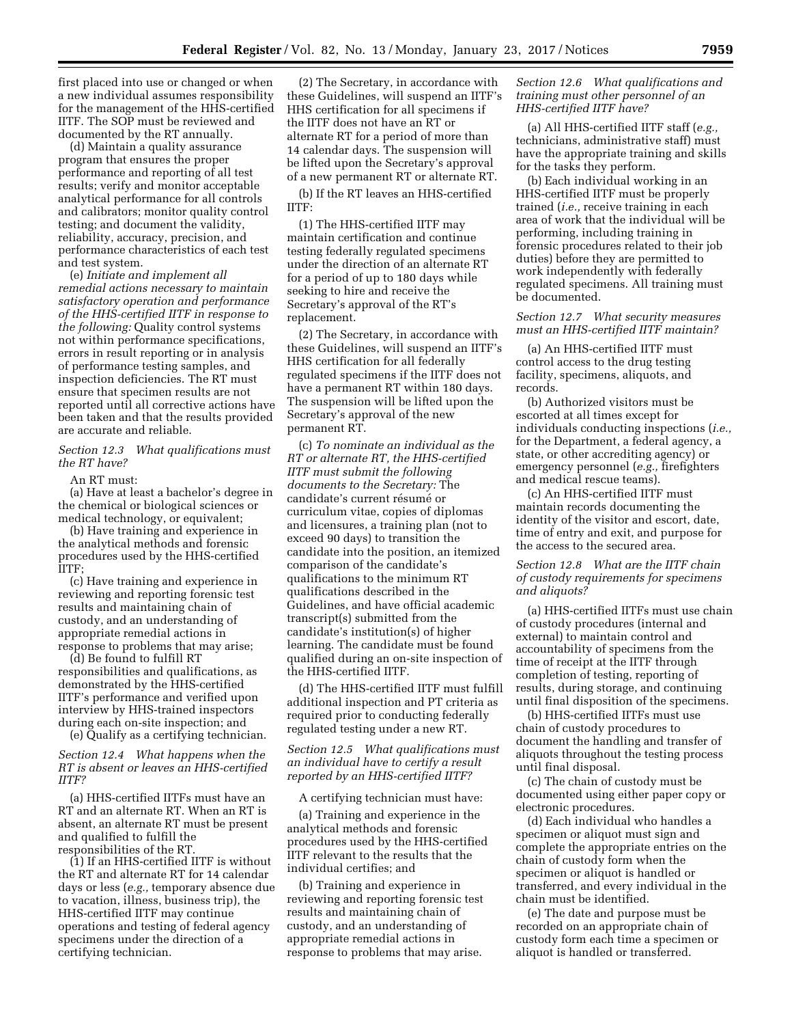first placed into use or changed or when a new individual assumes responsibility for the management of the HHS-certified IITF. The SOP must be reviewed and documented by the RT annually.

(d) Maintain a quality assurance program that ensures the proper performance and reporting of all test results; verify and monitor acceptable analytical performance for all controls and calibrators; monitor quality control testing; and document the validity, reliability, accuracy, precision, and performance characteristics of each test and test system.

(e) *Initiate and implement all remedial actions necessary to maintain satisfactory operation and performance of the HHS-certified IITF in response to the following:* Quality control systems not within performance specifications, errors in result reporting or in analysis of performance testing samples, and inspection deficiencies. The RT must ensure that specimen results are not reported until all corrective actions have been taken and that the results provided are accurate and reliable.

# *Section 12.3 What qualifications must the RT have?*

### An RT must:

(a) Have at least a bachelor's degree in the chemical or biological sciences or medical technology, or equivalent;

(b) Have training and experience in the analytical methods and forensic procedures used by the HHS-certified IITF;

(c) Have training and experience in reviewing and reporting forensic test results and maintaining chain of custody, and an understanding of appropriate remedial actions in response to problems that may arise;

(d) Be found to fulfill RT responsibilities and qualifications, as demonstrated by the HHS-certified IITF's performance and verified upon interview by HHS-trained inspectors during each on-site inspection; and

(e) Qualify as a certifying technician.

# *Section 12.4 What happens when the RT is absent or leaves an HHS-certified IITF?*

(a) HHS-certified IITFs must have an RT and an alternate RT. When an RT is absent, an alternate RT must be present and qualified to fulfill the responsibilities of the RT.

(1) If an HHS-certified IITF is without the RT and alternate RT for 14 calendar days or less (*e.g.,* temporary absence due to vacation, illness, business trip), the HHS-certified IITF may continue operations and testing of federal agency specimens under the direction of a certifying technician.

(2) The Secretary, in accordance with these Guidelines, will suspend an IITF's HHS certification for all specimens if the IITF does not have an RT or alternate RT for a period of more than 14 calendar days. The suspension will be lifted upon the Secretary's approval of a new permanent RT or alternate RT.

(b) If the RT leaves an HHS-certified IITF:

(1) The HHS-certified IITF may maintain certification and continue testing federally regulated specimens under the direction of an alternate RT for a period of up to 180 days while seeking to hire and receive the Secretary's approval of the RT's replacement.

(2) The Secretary, in accordance with these Guidelines, will suspend an IITF's HHS certification for all federally regulated specimens if the IITF does not have a permanent RT within 180 days. The suspension will be lifted upon the Secretary's approval of the new permanent RT.

(c) *To nominate an individual as the RT or alternate RT, the HHS-certified IITF must submit the following documents to the Secretary:* The candidate's current résumé or curriculum vitae, copies of diplomas and licensures, a training plan (not to exceed 90 days) to transition the candidate into the position, an itemized comparison of the candidate's qualifications to the minimum RT qualifications described in the Guidelines, and have official academic transcript(s) submitted from the candidate's institution(s) of higher learning. The candidate must be found qualified during an on-site inspection of the HHS-certified IITF.

(d) The HHS-certified IITF must fulfill additional inspection and PT criteria as required prior to conducting federally regulated testing under a new RT.

# *Section 12.5 What qualifications must an individual have to certify a result reported by an HHS-certified IITF?*

#### A certifying technician must have:

(a) Training and experience in the analytical methods and forensic procedures used by the HHS-certified IITF relevant to the results that the individual certifies; and

(b) Training and experience in reviewing and reporting forensic test results and maintaining chain of custody, and an understanding of appropriate remedial actions in response to problems that may arise.

# *Section 12.6 What qualifications and training must other personnel of an HHS-certified IITF have?*

(a) All HHS-certified IITF staff (*e.g.,*  technicians, administrative staff) must have the appropriate training and skills for the tasks they perform.

(b) Each individual working in an HHS-certified IITF must be properly trained (*i.e.,* receive training in each area of work that the individual will be performing, including training in forensic procedures related to their job duties) before they are permitted to work independently with federally regulated specimens. All training must be documented.

#### *Section 12.7 What security measures must an HHS-certified IITF maintain?*

(a) An HHS-certified IITF must control access to the drug testing facility, specimens, aliquots, and records.

(b) Authorized visitors must be escorted at all times except for individuals conducting inspections (*i.e.,*  for the Department, a federal agency, a state, or other accrediting agency) or emergency personnel (*e.g.,* firefighters and medical rescue teams).

(c) An HHS-certified IITF must maintain records documenting the identity of the visitor and escort, date, time of entry and exit, and purpose for the access to the secured area.

# *Section 12.8 What are the IITF chain of custody requirements for specimens and aliquots?*

(a) HHS-certified IITFs must use chain of custody procedures (internal and external) to maintain control and accountability of specimens from the time of receipt at the IITF through completion of testing, reporting of results, during storage, and continuing until final disposition of the specimens.

(b) HHS-certified IITFs must use chain of custody procedures to document the handling and transfer of aliquots throughout the testing process until final disposal.

(c) The chain of custody must be documented using either paper copy or electronic procedures.

(d) Each individual who handles a specimen or aliquot must sign and complete the appropriate entries on the chain of custody form when the specimen or aliquot is handled or transferred, and every individual in the chain must be identified.

(e) The date and purpose must be recorded on an appropriate chain of custody form each time a specimen or aliquot is handled or transferred.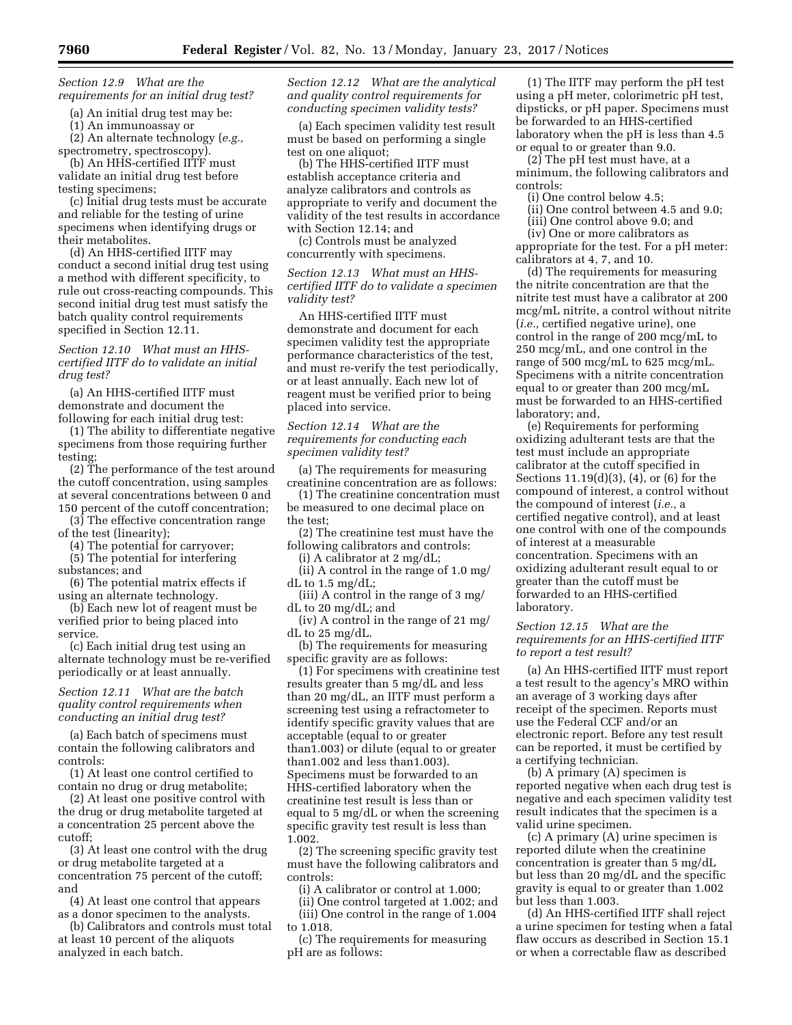*Section 12.9 What are the requirements for an initial drug test?* 

(a) An initial drug test may be: (1) An immunoassay or

(2) An alternate technology (*e.g.,*  spectrometry, spectroscopy).

(b) An HHS-certified IITF must validate an initial drug test before testing specimens;

(c) Initial drug tests must be accurate and reliable for the testing of urine specimens when identifying drugs or their metabolites.

(d) An HHS-certified IITF may conduct a second initial drug test using a method with different specificity, to rule out cross-reacting compounds. This second initial drug test must satisfy the batch quality control requirements specified in Section 12.11.

*Section 12.10 What must an HHScertified IITF do to validate an initial drug test?* 

(a) An HHS-certified IITF must demonstrate and document the following for each initial drug test:

(1) The ability to differentiate negative specimens from those requiring further testing;

(2) The performance of the test around the cutoff concentration, using samples at several concentrations between 0 and 150 percent of the cutoff concentration;

(3) The effective concentration range of the test (linearity);

- (4) The potential for carryover;
- (5) The potential for interfering substances; and
- (6) The potential matrix effects if using an alternate technology.

(b) Each new lot of reagent must be verified prior to being placed into service.

(c) Each initial drug test using an alternate technology must be re-verified periodically or at least annually.

# *Section 12.11 What are the batch quality control requirements when conducting an initial drug test?*

(a) Each batch of specimens must contain the following calibrators and controls:

(1) At least one control certified to contain no drug or drug metabolite;

(2) At least one positive control with the drug or drug metabolite targeted at a concentration 25 percent above the cutoff;

(3) At least one control with the drug or drug metabolite targeted at a concentration 75 percent of the cutoff; and

(4) At least one control that appears as a donor specimen to the analysts.

(b) Calibrators and controls must total at least 10 percent of the aliquots analyzed in each batch.

*Section 12.12 What are the analytical and quality control requirements for conducting specimen validity tests?* 

(a) Each specimen validity test result must be based on performing a single test on one aliquot;

(b) The HHS-certified IITF must establish acceptance criteria and analyze calibrators and controls as appropriate to verify and document the validity of the test results in accordance with Section 12.14; and

(c) Controls must be analyzed concurrently with specimens.

*Section 12.13 What must an HHScertified IITF do to validate a specimen validity test?* 

An HHS-certified IITF must demonstrate and document for each specimen validity test the appropriate performance characteristics of the test, and must re-verify the test periodically, or at least annually. Each new lot of reagent must be verified prior to being placed into service.

*Section 12.14 What are the requirements for conducting each specimen validity test?* 

(a) The requirements for measuring creatinine concentration are as follows:

(1) The creatinine concentration must be measured to one decimal place on the test;

(2) The creatinine test must have the following calibrators and controls:

(i) A calibrator at 2 mg/dL;

(ii) A control in the range of 1.0 mg/ dL to 1.5 mg/dL;

(iii) A control in the range of 3 mg/ dL to 20 mg/dL; and

(iv) A control in the range of 21 mg/ dL to 25 mg/dL.

(b) The requirements for measuring specific gravity are as follows:

(1) For specimens with creatinine test results greater than 5 mg/dL and less than 20 mg/dL, an IITF must perform a screening test using a refractometer to identify specific gravity values that are acceptable (equal to or greater than1.003) or dilute (equal to or greater than1.002 and less than1.003). Specimens must be forwarded to an HHS-certified laboratory when the creatinine test result is less than or equal to 5 mg/dL or when the screening specific gravity test result is less than 1.002.

(2) The screening specific gravity test must have the following calibrators and controls:

(i) A calibrator or control at 1.000;

(ii) One control targeted at 1.002; and (iii) One control in the range of 1.004 to 1.018.

(c) The requirements for measuring pH are as follows:

(1) The IITF may perform the pH test using a pH meter, colorimetric pH test, dipsticks, or pH paper. Specimens must be forwarded to an HHS-certified laboratory when the pH is less than 4.5 or equal to or greater than 9.0.

(2) The pH test must have, at a minimum, the following calibrators and controls:

(i) One control below 4.5;

(ii) One control between 4.5 and 9.0;

(iii) One control above 9.0; and

(iv) One or more calibrators as appropriate for the test. For a pH meter: calibrators at 4, 7, and 10.

(d) The requirements for measuring the nitrite concentration are that the nitrite test must have a calibrator at 200 mcg/mL nitrite, a control without nitrite (*i.e.,* certified negative urine), one control in the range of 200 mcg/mL to 250 mcg/mL, and one control in the range of 500 mcg/mL to 625 mcg/mL. Specimens with a nitrite concentration equal to or greater than 200 mcg/mL must be forwarded to an HHS-certified laboratory; and,

(e) Requirements for performing oxidizing adulterant tests are that the test must include an appropriate calibrator at the cutoff specified in Sections 11.19(d)(3), (4), or (6) for the compound of interest, a control without the compound of interest (*i.e.,* a certified negative control), and at least one control with one of the compounds of interest at a measurable concentration. Specimens with an oxidizing adulterant result equal to or greater than the cutoff must be forwarded to an HHS-certified laboratory.

## *Section 12.15 What are the requirements for an HHS-certified IITF to report a test result?*

(a) An HHS-certified IITF must report a test result to the agency's MRO within an average of 3 working days after receipt of the specimen. Reports must use the Federal CCF and/or an electronic report. Before any test result can be reported, it must be certified by a certifying technician.

(b) A primary (A) specimen is reported negative when each drug test is negative and each specimen validity test result indicates that the specimen is a valid urine specimen.

(c) A primary (A) urine specimen is reported dilute when the creatinine concentration is greater than 5 mg/dL but less than 20 mg/dL and the specific gravity is equal to or greater than 1.002 but less than 1.003.

(d) An HHS-certified IITF shall reject a urine specimen for testing when a fatal flaw occurs as described in Section 15.1 or when a correctable flaw as described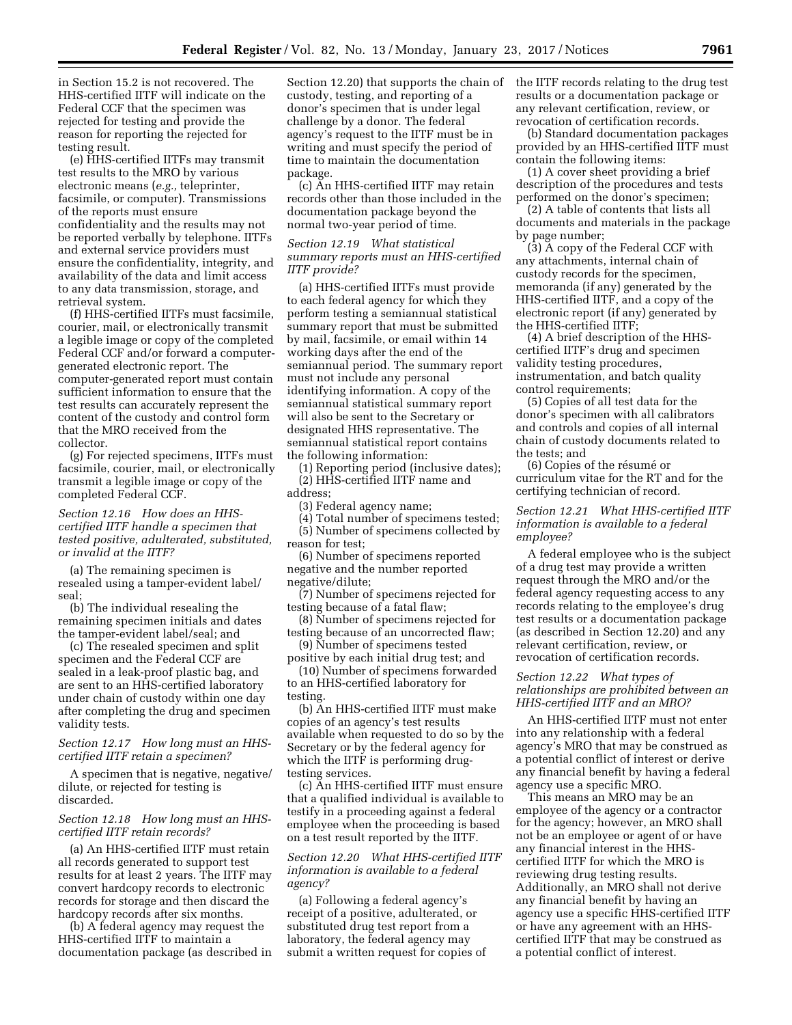in Section 15.2 is not recovered. The HHS-certified IITF will indicate on the Federal CCF that the specimen was rejected for testing and provide the reason for reporting the rejected for testing result.

(e) HHS-certified IITFs may transmit test results to the MRO by various electronic means (*e.g.,* teleprinter, facsimile, or computer). Transmissions of the reports must ensure confidentiality and the results may not be reported verbally by telephone. IITFs and external service providers must ensure the confidentiality, integrity, and availability of the data and limit access to any data transmission, storage, and retrieval system.

(f) HHS-certified IITFs must facsimile, courier, mail, or electronically transmit a legible image or copy of the completed Federal CCF and/or forward a computergenerated electronic report. The computer-generated report must contain sufficient information to ensure that the test results can accurately represent the content of the custody and control form that the MRO received from the collector.

(g) For rejected specimens, IITFs must facsimile, courier, mail, or electronically transmit a legible image or copy of the completed Federal CCF.

*Section 12.16 How does an HHScertified IITF handle a specimen that tested positive, adulterated, substituted, or invalid at the IITF?* 

(a) The remaining specimen is resealed using a tamper-evident label/ seal;

(b) The individual resealing the remaining specimen initials and dates the tamper-evident label/seal; and

(c) The resealed specimen and split specimen and the Federal CCF are sealed in a leak-proof plastic bag, and are sent to an HHS-certified laboratory under chain of custody within one day after completing the drug and specimen validity tests.

# *Section 12.17 How long must an HHScertified IITF retain a specimen?*

A specimen that is negative, negative/ dilute, or rejected for testing is discarded.

### *Section 12.18 How long must an HHScertified IITF retain records?*

(a) An HHS-certified IITF must retain all records generated to support test results for at least 2 years. The IITF may convert hardcopy records to electronic records for storage and then discard the hardcopy records after six months.

(b) A federal agency may request the HHS-certified IITF to maintain a documentation package (as described in

Section 12.20) that supports the chain of custody, testing, and reporting of a donor's specimen that is under legal challenge by a donor. The federal agency's request to the IITF must be in writing and must specify the period of time to maintain the documentation package.

(c) An HHS-certified IITF may retain records other than those included in the documentation package beyond the normal two-year period of time.

# *Section 12.19 What statistical summary reports must an HHS-certified IITF provide?*

(a) HHS-certified IITFs must provide to each federal agency for which they perform testing a semiannual statistical summary report that must be submitted by mail, facsimile, or email within 14 working days after the end of the semiannual period. The summary report must not include any personal identifying information. A copy of the semiannual statistical summary report will also be sent to the Secretary or designated HHS representative. The semiannual statistical report contains the following information:

(1) Reporting period (inclusive dates); (2) HHS-certified IITF name and address;

(3) Federal agency name;

(4) Total number of specimens tested; (5) Number of specimens collected by reason for test;

(6) Number of specimens reported negative and the number reported negative/dilute;

(7) Number of specimens rejected for testing because of a fatal flaw;

(8) Number of specimens rejected for testing because of an uncorrected flaw;

(9) Number of specimens tested positive by each initial drug test; and

(10) Number of specimens forwarded to an HHS-certified laboratory for testing.

(b) An HHS-certified IITF must make copies of an agency's test results available when requested to do so by the Secretary or by the federal agency for which the IITF is performing drugtesting services.

(c) An HHS-certified IITF must ensure that a qualified individual is available to testify in a proceeding against a federal employee when the proceeding is based on a test result reported by the IITF.

# *Section 12.20 What HHS-certified IITF information is available to a federal agency?*

(a) Following a federal agency's receipt of a positive, adulterated, or substituted drug test report from a laboratory, the federal agency may submit a written request for copies of the IITF records relating to the drug test results or a documentation package or any relevant certification, review, or revocation of certification records.

(b) Standard documentation packages provided by an HHS-certified IITF must contain the following items:

(1) A cover sheet providing a brief description of the procedures and tests performed on the donor's specimen;

(2) A table of contents that lists all documents and materials in the package by page number;

(3) A copy of the Federal CCF with any attachments, internal chain of custody records for the specimen, memoranda (if any) generated by the HHS-certified IITF, and a copy of the electronic report (if any) generated by the HHS-certified IITF;

(4) A brief description of the HHScertified IITF's drug and specimen validity testing procedures, instrumentation, and batch quality control requirements;

(5) Copies of all test data for the donor's specimen with all calibrators and controls and copies of all internal chain of custody documents related to the tests; and

(6) Copies of the résumé or curriculum vitae for the RT and for the certifying technician of record.

# *Section 12.21 What HHS-certified IITF information is available to a federal employee?*

A federal employee who is the subject of a drug test may provide a written request through the MRO and/or the federal agency requesting access to any records relating to the employee's drug test results or a documentation package (as described in Section 12.20) and any relevant certification, review, or revocation of certification records.

# *Section 12.22 What types of relationships are prohibited between an HHS-certified IITF and an MRO?*

An HHS-certified IITF must not enter into any relationship with a federal agency's MRO that may be construed as a potential conflict of interest or derive any financial benefit by having a federal agency use a specific MRO.

This means an MRO may be an employee of the agency or a contractor for the agency; however, an MRO shall not be an employee or agent of or have any financial interest in the HHScertified IITF for which the MRO is reviewing drug testing results. Additionally, an MRO shall not derive any financial benefit by having an agency use a specific HHS-certified IITF or have any agreement with an HHScertified IITF that may be construed as a potential conflict of interest.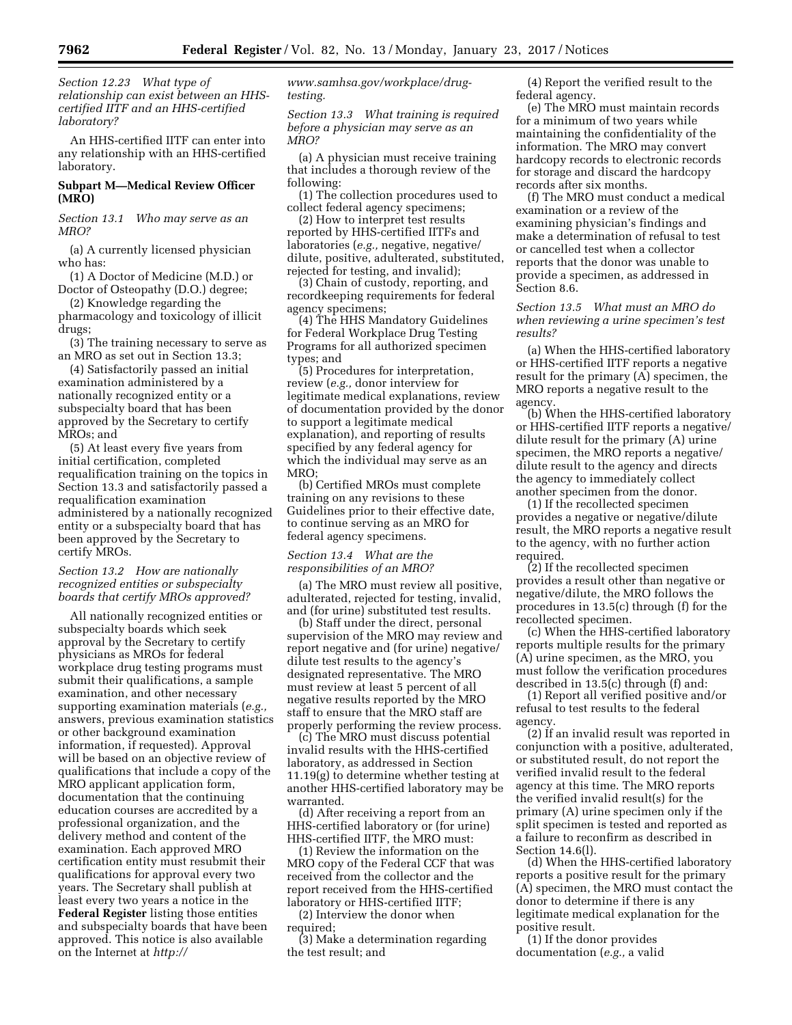*Section 12.23 What type of relationship can exist between an HHScertified IITF and an HHS-certified laboratory?* 

An HHS-certified IITF can enter into any relationship with an HHS-certified laboratory.

# **Subpart M—Medical Review Officer (MRO)**

*Section 13.1 Who may serve as an MRO?* 

(a) A currently licensed physician who has:

(1) A Doctor of Medicine (M.D.) or Doctor of Osteopathy (D.O.) degree;

(2) Knowledge regarding the pharmacology and toxicology of illicit drugs;

(3) The training necessary to serve as an MRO as set out in Section 13.3;

(4) Satisfactorily passed an initial examination administered by a nationally recognized entity or a subspecialty board that has been approved by the Secretary to certify MROs; and

(5) At least every five years from initial certification, completed requalification training on the topics in Section 13.3 and satisfactorily passed a requalification examination administered by a nationally recognized entity or a subspecialty board that has been approved by the Secretary to certify MROs.

# *Section 13.2 How are nationally recognized entities or subspecialty boards that certify MROs approved?*

All nationally recognized entities or subspecialty boards which seek approval by the Secretary to certify physicians as MROs for federal workplace drug testing programs must submit their qualifications, a sample examination, and other necessary supporting examination materials (*e.g.,*  answers, previous examination statistics or other background examination information, if requested). Approval will be based on an objective review of qualifications that include a copy of the MRO applicant application form, documentation that the continuing education courses are accredited by a professional organization, and the delivery method and content of the examination. Each approved MRO certification entity must resubmit their qualifications for approval every two years. The Secretary shall publish at least every two years a notice in the **Federal Register** listing those entities and subspecialty boards that have been approved. This notice is also available on the Internet at *[http://](http://www.samhsa.gov/workplace)*

*[www.samhsa.gov/workplace/d](http://www.samhsa.gov/workplace)rugtesting.* 

*Section 13.3 What training is required before a physician may serve as an MRO?* 

(a) A physician must receive training that includes a thorough review of the following:

(1) The collection procedures used to collect federal agency specimens;

(2) How to interpret test results reported by HHS-certified IITFs and laboratories (*e.g.,* negative, negative/ dilute, positive, adulterated, substituted, rejected for testing, and invalid);

(3) Chain of custody, reporting, and recordkeeping requirements for federal agency specimens;

(4) The HHS Mandatory Guidelines for Federal Workplace Drug Testing Programs for all authorized specimen types; and

(5) Procedures for interpretation, review (*e.g.,* donor interview for legitimate medical explanations, review of documentation provided by the donor to support a legitimate medical explanation), and reporting of results specified by any federal agency for which the individual may serve as an MRO;

(b) Certified MROs must complete training on any revisions to these Guidelines prior to their effective date, to continue serving as an MRO for federal agency specimens.

# *Section 13.4 What are the responsibilities of an MRO?*

(a) The MRO must review all positive, adulterated, rejected for testing, invalid, and (for urine) substituted test results.

(b) Staff under the direct, personal supervision of the MRO may review and report negative and (for urine) negative/ dilute test results to the agency's designated representative. The MRO must review at least 5 percent of all negative results reported by the MRO staff to ensure that the MRO staff are properly performing the review process.

(c) The MRO must discuss potential invalid results with the HHS-certified laboratory, as addressed in Section 11.19(g) to determine whether testing at another HHS-certified laboratory may be warranted.

(d) After receiving a report from an HHS-certified laboratory or (for urine) HHS-certified IITF, the MRO must:

(1) Review the information on the MRO copy of the Federal CCF that was received from the collector and the report received from the HHS-certified laboratory or HHS-certified IITF;

(2) Interview the donor when required;

(3) Make a determination regarding the test result; and

(4) Report the verified result to the federal agency.

(e) The MRO must maintain records for a minimum of two years while maintaining the confidentiality of the information. The MRO may convert hardcopy records to electronic records for storage and discard the hardcopy records after six months.

(f) The MRO must conduct a medical examination or a review of the examining physician's findings and make a determination of refusal to test or cancelled test when a collector reports that the donor was unable to provide a specimen, as addressed in Section 8.6.

# *Section 13.5 What must an MRO do when reviewing a urine specimen's test results?*

(a) When the HHS-certified laboratory or HHS-certified IITF reports a negative result for the primary (A) specimen, the MRO reports a negative result to the agency.

(b) When the HHS-certified laboratory or HHS-certified IITF reports a negative/ dilute result for the primary (A) urine specimen, the MRO reports a negative/ dilute result to the agency and directs the agency to immediately collect another specimen from the donor.

(1) If the recollected specimen provides a negative or negative/dilute result, the MRO reports a negative result to the agency, with no further action required.

(2) If the recollected specimen provides a result other than negative or negative/dilute, the MRO follows the procedures in 13.5(c) through (f) for the recollected specimen.

(c) When the HHS-certified laboratory reports multiple results for the primary (A) urine specimen, as the MRO, you must follow the verification procedures described in 13.5(c) through (f) and:

(1) Report all verified positive and/or refusal to test results to the federal agency.

(2) If an invalid result was reported in conjunction with a positive, adulterated, or substituted result, do not report the verified invalid result to the federal agency at this time. The MRO reports the verified invalid result(s) for the primary (A) urine specimen only if the split specimen is tested and reported as a failure to reconfirm as described in Section 14.6(l).

(d) When the HHS-certified laboratory reports a positive result for the primary (A) specimen, the MRO must contact the donor to determine if there is any legitimate medical explanation for the positive result.

(1) If the donor provides documentation (*e.g.,* a valid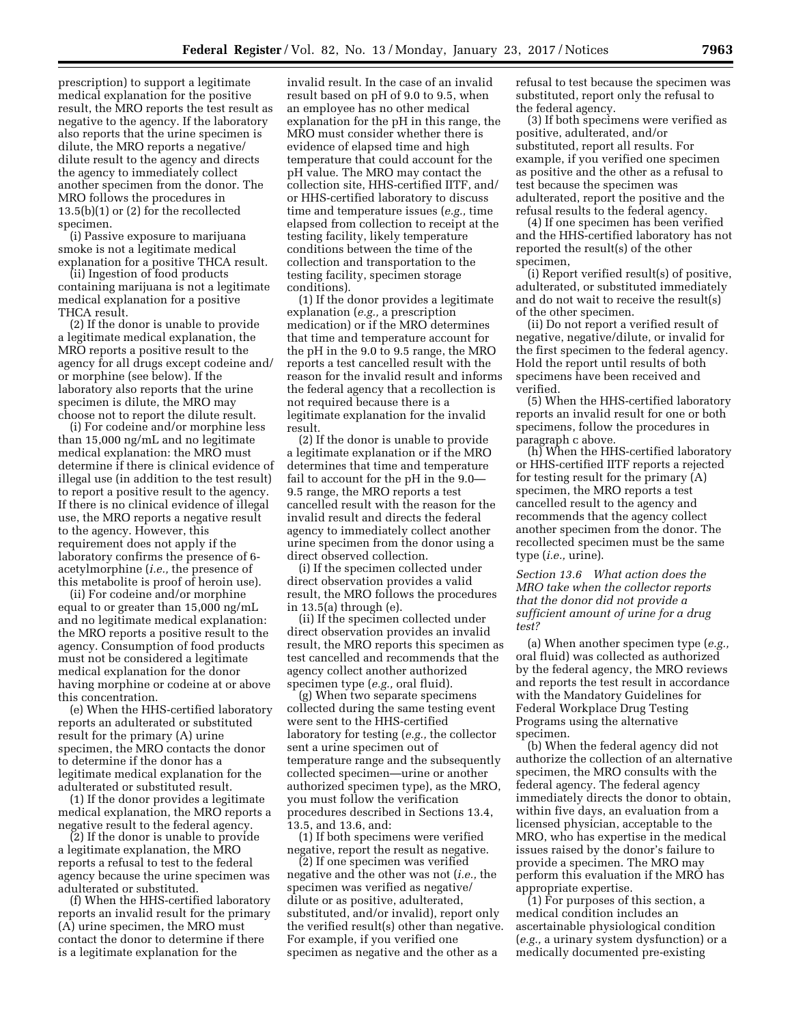prescription) to support a legitimate medical explanation for the positive result, the MRO reports the test result as negative to the agency. If the laboratory also reports that the urine specimen is dilute, the MRO reports a negative/ dilute result to the agency and directs the agency to immediately collect another specimen from the donor. The MRO follows the procedures in 13.5(b)(1) or (2) for the recollected specimen.

(i) Passive exposure to marijuana smoke is not a legitimate medical explanation for a positive THCA result.

(ii) Ingestion of food products containing marijuana is not a legitimate medical explanation for a positive THCA result.

(2) If the donor is unable to provide a legitimate medical explanation, the MRO reports a positive result to the agency for all drugs except codeine and/ or morphine (see below). If the laboratory also reports that the urine specimen is dilute, the MRO may choose not to report the dilute result.

(i) For codeine and/or morphine less than 15,000 ng/mL and no legitimate medical explanation: the MRO must determine if there is clinical evidence of illegal use (in addition to the test result) to report a positive result to the agency. If there is no clinical evidence of illegal use, the MRO reports a negative result to the agency. However, this requirement does not apply if the laboratory confirms the presence of 6 acetylmorphine (*i.e.,* the presence of this metabolite is proof of heroin use).

(ii) For codeine and/or morphine equal to or greater than 15,000 ng/mL and no legitimate medical explanation: the MRO reports a positive result to the agency. Consumption of food products must not be considered a legitimate medical explanation for the donor having morphine or codeine at or above this concentration.

(e) When the HHS-certified laboratory reports an adulterated or substituted result for the primary (A) urine specimen, the MRO contacts the donor to determine if the donor has a legitimate medical explanation for the adulterated or substituted result.

(1) If the donor provides a legitimate medical explanation, the MRO reports a negative result to the federal agency.

(2) If the donor is unable to provide a legitimate explanation, the MRO reports a refusal to test to the federal agency because the urine specimen was adulterated or substituted.

(f) When the HHS-certified laboratory reports an invalid result for the primary (A) urine specimen, the MRO must contact the donor to determine if there is a legitimate explanation for the

invalid result. In the case of an invalid result based on pH of 9.0 to 9.5, when an employee has no other medical explanation for the pH in this range, the MRO must consider whether there is evidence of elapsed time and high temperature that could account for the pH value. The MRO may contact the collection site, HHS-certified IITF, and/ or HHS-certified laboratory to discuss time and temperature issues (*e.g.,* time elapsed from collection to receipt at the testing facility, likely temperature conditions between the time of the collection and transportation to the testing facility, specimen storage conditions).

(1) If the donor provides a legitimate explanation (*e.g.,* a prescription medication) or if the MRO determines that time and temperature account for the pH in the 9.0 to 9.5 range, the MRO reports a test cancelled result with the reason for the invalid result and informs the federal agency that a recollection is not required because there is a legitimate explanation for the invalid result.

(2) If the donor is unable to provide a legitimate explanation or if the MRO determines that time and temperature fail to account for the pH in the 9.0— 9.5 range, the MRO reports a test cancelled result with the reason for the invalid result and directs the federal agency to immediately collect another urine specimen from the donor using a direct observed collection.

(i) If the specimen collected under direct observation provides a valid result, the MRO follows the procedures in 13.5(a) through (e).

(ii) If the specimen collected under direct observation provides an invalid result, the MRO reports this specimen as test cancelled and recommends that the agency collect another authorized specimen type (*e.g.,* oral fluid).

(g) When two separate specimens collected during the same testing event were sent to the HHS-certified laboratory for testing (*e.g.,* the collector sent a urine specimen out of temperature range and the subsequently collected specimen—urine or another authorized specimen type), as the MRO, you must follow the verification procedures described in Sections 13.4, 13.5, and 13.6, and:

(1) If both specimens were verified negative, report the result as negative.

(2) If one specimen was verified negative and the other was not (*i.e.,* the specimen was verified as negative/ dilute or as positive, adulterated, substituted, and/or invalid), report only the verified result(s) other than negative. For example, if you verified one specimen as negative and the other as a

refusal to test because the specimen was substituted, report only the refusal to the federal agency.

(3) If both specimens were verified as positive, adulterated, and/or substituted, report all results. For example, if you verified one specimen as positive and the other as a refusal to test because the specimen was adulterated, report the positive and the refusal results to the federal agency.

(4) If one specimen has been verified and the HHS-certified laboratory has not reported the result(s) of the other specimen,

(i) Report verified result(s) of positive, adulterated, or substituted immediately and do not wait to receive the result(s) of the other specimen.

(ii) Do not report a verified result of negative, negative/dilute, or invalid for the first specimen to the federal agency. Hold the report until results of both specimens have been received and verified.

(5) When the HHS-certified laboratory reports an invalid result for one or both specimens, follow the procedures in paragraph c above.

(h) When the HHS-certified laboratory or HHS-certified IITF reports a rejected for testing result for the primary (A) specimen, the MRO reports a test cancelled result to the agency and recommends that the agency collect another specimen from the donor. The recollected specimen must be the same type (*i.e.,* urine).

*Section 13.6 What action does the MRO take when the collector reports that the donor did not provide a sufficient amount of urine for a drug test?* 

(a) When another specimen type (*e.g.,*  oral fluid) was collected as authorized by the federal agency, the MRO reviews and reports the test result in accordance with the Mandatory Guidelines for Federal Workplace Drug Testing Programs using the alternative specimen.

(b) When the federal agency did not authorize the collection of an alternative specimen, the MRO consults with the federal agency. The federal agency immediately directs the donor to obtain, within five days, an evaluation from a licensed physician, acceptable to the MRO, who has expertise in the medical issues raised by the donor's failure to provide a specimen. The MRO may perform this evaluation if the MRO has appropriate expertise.

(1) For purposes of this section, a medical condition includes an ascertainable physiological condition (*e.g.,* a urinary system dysfunction) or a medically documented pre-existing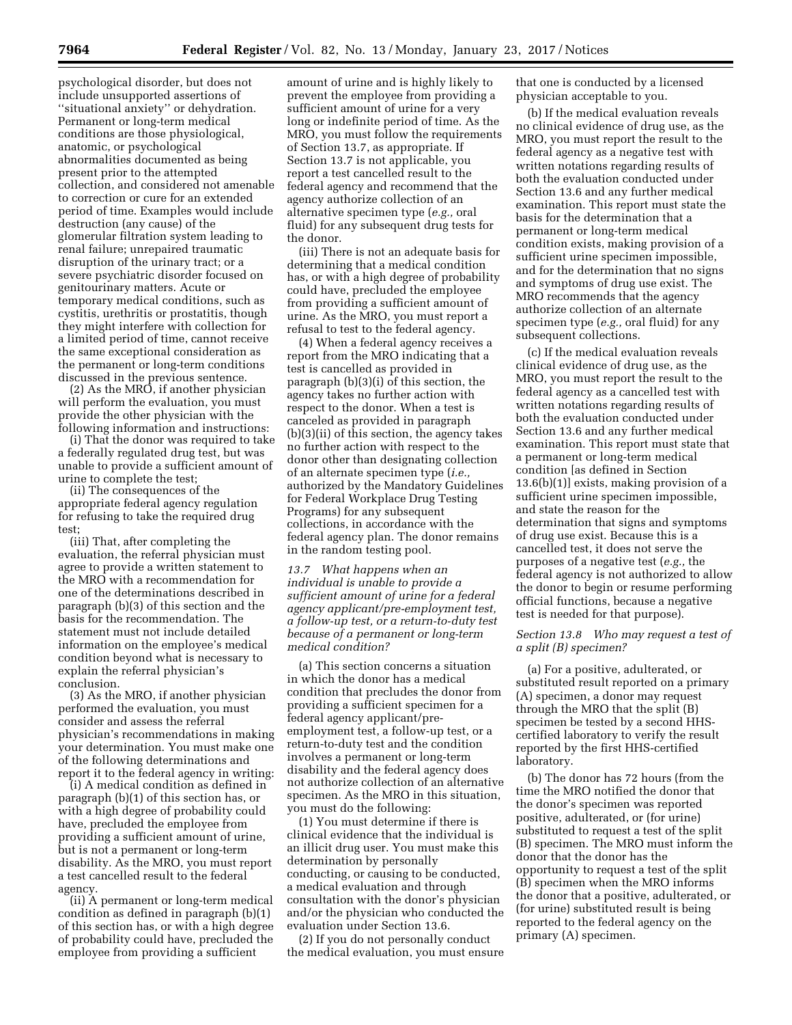psychological disorder, but does not include unsupported assertions of ''situational anxiety'' or dehydration. Permanent or long-term medical conditions are those physiological, anatomic, or psychological abnormalities documented as being present prior to the attempted collection, and considered not amenable to correction or cure for an extended period of time. Examples would include destruction (any cause) of the glomerular filtration system leading to renal failure; unrepaired traumatic disruption of the urinary tract; or a severe psychiatric disorder focused on genitourinary matters. Acute or temporary medical conditions, such as cystitis, urethritis or prostatitis, though they might interfere with collection for a limited period of time, cannot receive the same exceptional consideration as the permanent or long-term conditions discussed in the previous sentence.

(2) As the MRO, if another physician will perform the evaluation, you must provide the other physician with the following information and instructions:

(i) That the donor was required to take a federally regulated drug test, but was unable to provide a sufficient amount of urine to complete the test;

(ii) The consequences of the appropriate federal agency regulation for refusing to take the required drug test;

(iii) That, after completing the evaluation, the referral physician must agree to provide a written statement to the MRO with a recommendation for one of the determinations described in paragraph (b)(3) of this section and the basis for the recommendation. The statement must not include detailed information on the employee's medical condition beyond what is necessary to explain the referral physician's conclusion.

(3) As the MRO, if another physician performed the evaluation, you must consider and assess the referral physician's recommendations in making your determination. You must make one of the following determinations and report it to the federal agency in writing:

(i) A medical condition as defined in paragraph (b)(1) of this section has, or with a high degree of probability could have, precluded the employee from providing a sufficient amount of urine, but is not a permanent or long-term disability. As the MRO, you must report a test cancelled result to the federal agency.

(ii) A permanent or long-term medical condition as defined in paragraph (b)(1) of this section has, or with a high degree of probability could have, precluded the employee from providing a sufficient

amount of urine and is highly likely to prevent the employee from providing a sufficient amount of urine for a very long or indefinite period of time. As the MRO, you must follow the requirements of Section 13.7, as appropriate. If Section 13.7 is not applicable, you report a test cancelled result to the federal agency and recommend that the agency authorize collection of an alternative specimen type (*e.g.,* oral fluid) for any subsequent drug tests for the donor.

(iii) There is not an adequate basis for determining that a medical condition has, or with a high degree of probability could have, precluded the employee from providing a sufficient amount of urine. As the MRO, you must report a refusal to test to the federal agency.

(4) When a federal agency receives a report from the MRO indicating that a test is cancelled as provided in paragraph (b)(3)(i) of this section, the agency takes no further action with respect to the donor. When a test is canceled as provided in paragraph (b)(3)(ii) of this section, the agency takes no further action with respect to the donor other than designating collection of an alternate specimen type (*i.e.,*  authorized by the Mandatory Guidelines for Federal Workplace Drug Testing Programs) for any subsequent collections, in accordance with the federal agency plan. The donor remains in the random testing pool.

*13.7 What happens when an individual is unable to provide a sufficient amount of urine for a federal agency applicant/pre-employment test, a follow-up test, or a return-to-duty test because of a permanent or long-term medical condition?* 

(a) This section concerns a situation in which the donor has a medical condition that precludes the donor from providing a sufficient specimen for a federal agency applicant/preemployment test, a follow-up test, or a return-to-duty test and the condition involves a permanent or long-term disability and the federal agency does not authorize collection of an alternative specimen. As the MRO in this situation, you must do the following:

(1) You must determine if there is clinical evidence that the individual is an illicit drug user. You must make this determination by personally conducting, or causing to be conducted, a medical evaluation and through consultation with the donor's physician and/or the physician who conducted the evaluation under Section 13.6.

(2) If you do not personally conduct the medical evaluation, you must ensure

that one is conducted by a licensed physician acceptable to you.

(b) If the medical evaluation reveals no clinical evidence of drug use, as the MRO, you must report the result to the federal agency as a negative test with written notations regarding results of both the evaluation conducted under Section 13.6 and any further medical examination. This report must state the basis for the determination that a permanent or long-term medical condition exists, making provision of a sufficient urine specimen impossible, and for the determination that no signs and symptoms of drug use exist. The MRO recommends that the agency authorize collection of an alternate specimen type (*e.g.,* oral fluid) for any subsequent collections.

(c) If the medical evaluation reveals clinical evidence of drug use, as the MRO, you must report the result to the federal agency as a cancelled test with written notations regarding results of both the evaluation conducted under Section 13.6 and any further medical examination. This report must state that a permanent or long-term medical condition [as defined in Section 13.6(b)(1)] exists, making provision of a sufficient urine specimen impossible, and state the reason for the determination that signs and symptoms of drug use exist. Because this is a cancelled test, it does not serve the purposes of a negative test (*e.g.,* the federal agency is not authorized to allow the donor to begin or resume performing official functions, because a negative test is needed for that purpose).

# *Section 13.8 Who may request a test of a split (B) specimen?*

(a) For a positive, adulterated, or substituted result reported on a primary (A) specimen, a donor may request through the MRO that the split (B) specimen be tested by a second HHScertified laboratory to verify the result reported by the first HHS-certified laboratory.

(b) The donor has 72 hours (from the time the MRO notified the donor that the donor's specimen was reported positive, adulterated, or (for urine) substituted to request a test of the split (B) specimen. The MRO must inform the donor that the donor has the opportunity to request a test of the split (B) specimen when the MRO informs the donor that a positive, adulterated, or (for urine) substituted result is being reported to the federal agency on the primary (A) specimen.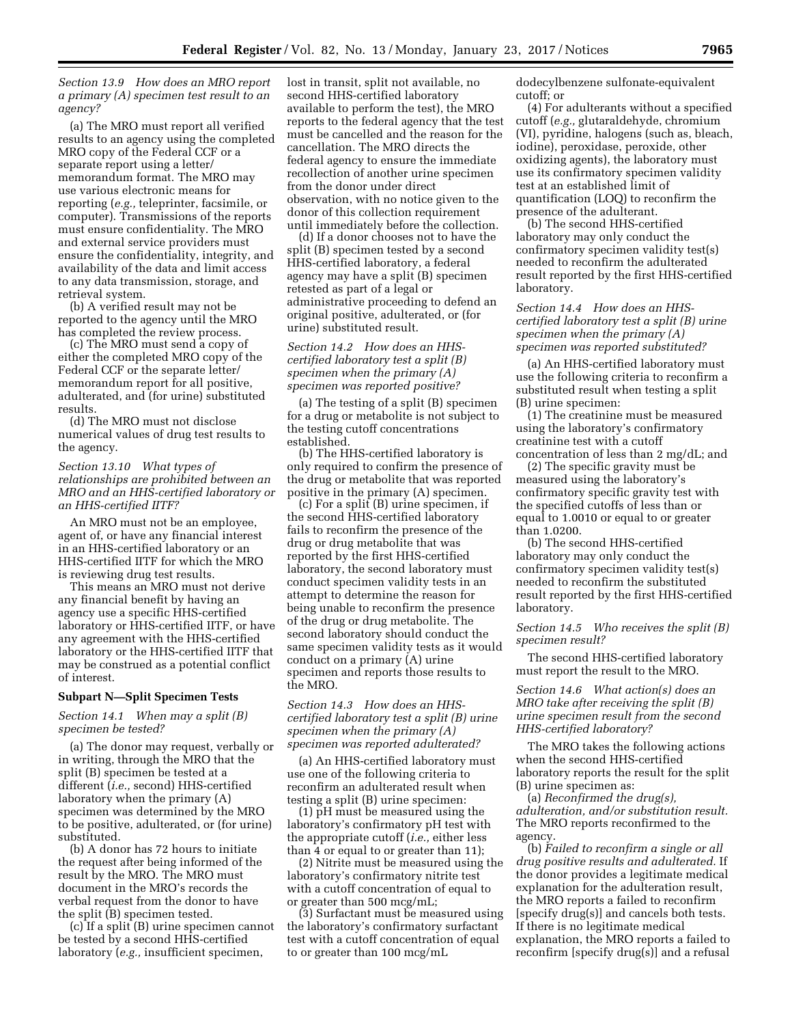*Section 13.9 How does an MRO report a primary (A) specimen test result to an agency?* 

(a) The MRO must report all verified results to an agency using the completed MRO copy of the Federal CCF or a separate report using a letter/ memorandum format. The MRO may use various electronic means for reporting (*e.g.,* teleprinter, facsimile, or computer). Transmissions of the reports must ensure confidentiality. The MRO and external service providers must ensure the confidentiality, integrity, and availability of the data and limit access to any data transmission, storage, and retrieval system.

(b) A verified result may not be reported to the agency until the MRO has completed the review process.

(c) The MRO must send a copy of either the completed MRO copy of the Federal CCF or the separate letter/ memorandum report for all positive, adulterated, and (for urine) substituted results.

(d) The MRO must not disclose numerical values of drug test results to the agency.

# *Section 13.10 What types of relationships are prohibited between an MRO and an HHS-certified laboratory or an HHS-certified IITF?*

An MRO must not be an employee, agent of, or have any financial interest in an HHS-certified laboratory or an HHS-certified IITF for which the MRO is reviewing drug test results.

This means an MRO must not derive any financial benefit by having an agency use a specific HHS-certified laboratory or HHS-certified IITF, or have any agreement with the HHS-certified laboratory or the HHS-certified IITF that may be construed as a potential conflict of interest.

### **Subpart N—Split Specimen Tests**

# *Section 14.1 When may a split (B) specimen be tested?*

(a) The donor may request, verbally or in writing, through the MRO that the split (B) specimen be tested at a different (*i.e.,* second) HHS-certified laboratory when the primary (A) specimen was determined by the MRO to be positive, adulterated, or (for urine) substituted.

(b) A donor has 72 hours to initiate the request after being informed of the result by the MRO. The MRO must document in the MRO's records the verbal request from the donor to have the split (B) specimen tested.

(c) If a split (B) urine specimen cannot be tested by a second HHS-certified laboratory (*e.g.,* insufficient specimen,

lost in transit, split not available, no second HHS-certified laboratory available to perform the test), the MRO reports to the federal agency that the test must be cancelled and the reason for the cancellation. The MRO directs the federal agency to ensure the immediate recollection of another urine specimen from the donor under direct observation, with no notice given to the donor of this collection requirement until immediately before the collection.

(d) If a donor chooses not to have the split (B) specimen tested by a second HHS-certified laboratory, a federal agency may have a split (B) specimen retested as part of a legal or administrative proceeding to defend an original positive, adulterated, or (for urine) substituted result.

# *Section 14.2 How does an HHScertified laboratory test a split (B) specimen when the primary (A) specimen was reported positive?*

(a) The testing of a split (B) specimen for a drug or metabolite is not subject to the testing cutoff concentrations established.

(b) The HHS-certified laboratory is only required to confirm the presence of the drug or metabolite that was reported positive in the primary (A) specimen.

(c) For a split (B) urine specimen, if the second HHS-certified laboratory fails to reconfirm the presence of the drug or drug metabolite that was reported by the first HHS-certified laboratory, the second laboratory must conduct specimen validity tests in an attempt to determine the reason for being unable to reconfirm the presence of the drug or drug metabolite. The second laboratory should conduct the same specimen validity tests as it would conduct on a primary (A) urine specimen and reports those results to the MRO.

*Section 14.3 How does an HHScertified laboratory test a split (B) urine specimen when the primary (A) specimen was reported adulterated?* 

(a) An HHS-certified laboratory must use one of the following criteria to reconfirm an adulterated result when testing a split (B) urine specimen:

(1) pH must be measured using the laboratory's confirmatory pH test with the appropriate cutoff (*i.e.,* either less than 4 or equal to or greater than 11);

(2) Nitrite must be measured using the laboratory's confirmatory nitrite test with a cutoff concentration of equal to or greater than 500 mcg/mL;

(3) Surfactant must be measured using the laboratory's confirmatory surfactant test with a cutoff concentration of equal to or greater than 100 mcg/mL

dodecylbenzene sulfonate-equivalent cutoff; or

(4) For adulterants without a specified cutoff (*e.g.,* glutaraldehyde, chromium (VI), pyridine, halogens (such as, bleach, iodine), peroxidase, peroxide, other oxidizing agents), the laboratory must use its confirmatory specimen validity test at an established limit of quantification (LOQ) to reconfirm the presence of the adulterant.

(b) The second HHS-certified laboratory may only conduct the confirmatory specimen validity test(s) needed to reconfirm the adulterated result reported by the first HHS-certified laboratory.

*Section 14.4 How does an HHScertified laboratory test a split (B) urine specimen when the primary (A) specimen was reported substituted?* 

(a) An HHS-certified laboratory must use the following criteria to reconfirm a substituted result when testing a split (B) urine specimen:

(1) The creatinine must be measured using the laboratory's confirmatory creatinine test with a cutoff concentration of less than 2 mg/dL; and

(2) The specific gravity must be measured using the laboratory's confirmatory specific gravity test with the specified cutoffs of less than or equal to 1.0010 or equal to or greater than 1.0200.

(b) The second HHS-certified laboratory may only conduct the confirmatory specimen validity test(s) needed to reconfirm the substituted result reported by the first HHS-certified laboratory.

*Section 14.5 Who receives the split (B) specimen result?* 

The second HHS-certified laboratory must report the result to the MRO.

*Section 14.6 What action(s) does an MRO take after receiving the split (B) urine specimen result from the second HHS-certified laboratory?* 

The MRO takes the following actions when the second HHS-certified laboratory reports the result for the split (B) urine specimen as:

(a) *Reconfirmed the drug(s), adulteration, and/or substitution result.*  The MRO reports reconfirmed to the agency.

(b) *Failed to reconfirm a single or all drug positive results and adulterated.* If the donor provides a legitimate medical explanation for the adulteration result, the MRO reports a failed to reconfirm [specify drug(s)] and cancels both tests. If there is no legitimate medical explanation, the MRO reports a failed to reconfirm [specify drug(s)] and a refusal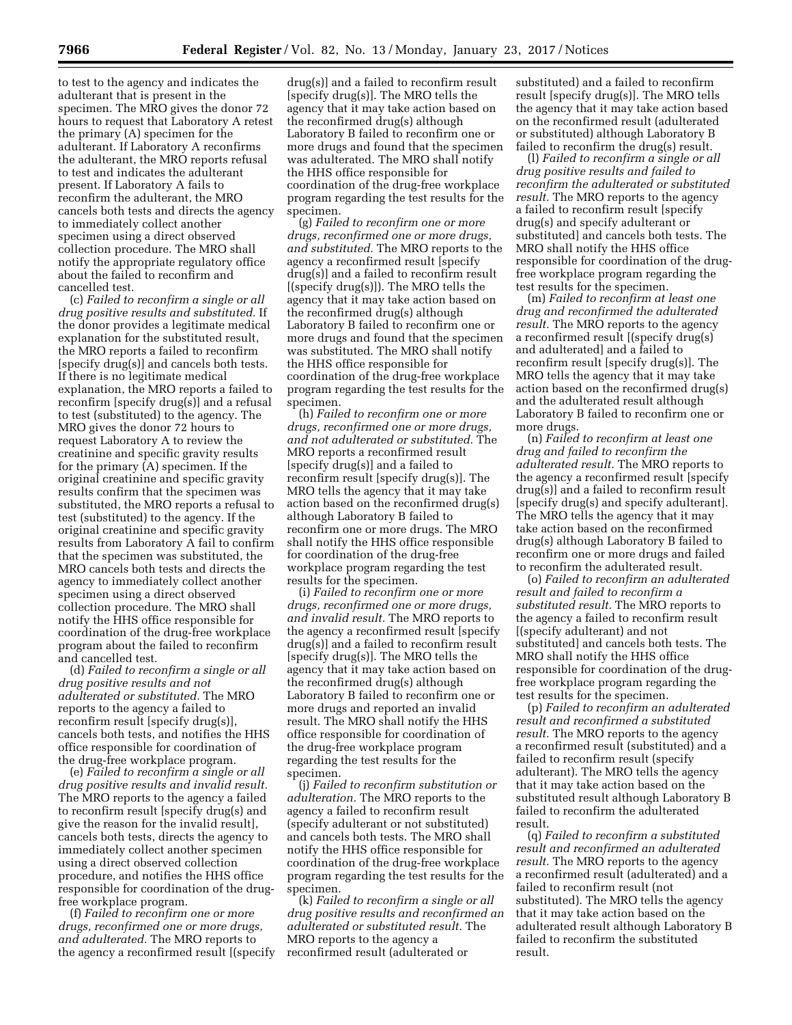to test to the agency and indicates the adulterant that is present in the specimen. The MRO gives the donor 72 hours to request that Laboratory A retest the primary (A) specimen for the adulterant. If Laboratory A reconfirms the adulterant, the MRO reports refusal to test and indicates the adulterant present. If Laboratory A fails to reconfirm the adulterant, the MRO cancels both tests and directs the agency to immediately collect another specimen using a direct observed collection procedure. The MRO shall notify the appropriate regulatory office about the failed to reconfirm and cancelled test.

(c) *Failed to reconfirm a single or all drug positive results and substituted.* If the donor provides a legitimate medical explanation for the substituted result, the MRO reports a failed to reconfirm [specify drug(s)] and cancels both tests. If there is no legitimate medical explanation, the MRO reports a failed to reconfirm [specify drug(s)] and a refusal to test (substituted) to the agency. The MRO gives the donor 72 hours to request Laboratory A to review the creatinine and specific gravity results for the primary (A) specimen. If the original creatinine and specific gravity results confirm that the specimen was substituted, the MRO reports a refusal to test (substituted) to the agency. If the original creatinine and specific gravity results from Laboratory A fail to confirm that the specimen was substituted, the MRO cancels both tests and directs the agency to immediately collect another specimen using a direct observed collection procedure. The MRO shall notify the HHS office responsible for coordination of the drug-free workplace program about the failed to reconfirm and cancelled test.

(d) *Failed to reconfirm a single or all drug positive results and not adulterated or substituted.* The MRO reports to the agency a failed to reconfirm result [specify drug(s)], cancels both tests, and notifies the HHS office responsible for coordination of the drug-free workplace program.

(e) *Failed to reconfirm a single or all drug positive results and invalid result.*  The MRO reports to the agency a failed to reconfirm result [specify drug(s) and give the reason for the invalid result], cancels both tests, directs the agency to immediately collect another specimen using a direct observed collection procedure, and notifies the HHS office responsible for coordination of the drugfree workplace program.

(f) *Failed to reconfirm one or more drugs, reconfirmed one or more drugs, and adulterated.* The MRO reports to the agency a reconfirmed result [(specify

drug(s)] and a failed to reconfirm result [specify drug(s)]. The MRO tells the agency that it may take action based on the reconfirmed drug(s) although Laboratory B failed to reconfirm one or more drugs and found that the specimen was adulterated. The MRO shall notify the HHS office responsible for coordination of the drug-free workplace program regarding the test results for the specimen.

(g) *Failed to reconfirm one or more drugs, reconfirmed one or more drugs, and substituted.* The MRO reports to the agency a reconfirmed result [specify drug(s)] and a failed to reconfirm result [(specify drug(s)]). The MRO tells the agency that it may take action based on the reconfirmed drug(s) although Laboratory B failed to reconfirm one or more drugs and found that the specimen was substituted. The MRO shall notify the HHS office responsible for coordination of the drug-free workplace program regarding the test results for the specimen.

(h) *Failed to reconfirm one or more drugs, reconfirmed one or more drugs, and not adulterated or substituted.* The MRO reports a reconfirmed result [specify drug(s)] and a failed to reconfirm result [specify drug(s)]. The MRO tells the agency that it may take action based on the reconfirmed drug(s) although Laboratory B failed to reconfirm one or more drugs. The MRO shall notify the HHS office responsible for coordination of the drug-free workplace program regarding the test results for the specimen.

(i) *Failed to reconfirm one or more drugs, reconfirmed one or more drugs, and invalid result.* The MRO reports to the agency a reconfirmed result [specify drug(s)] and a failed to reconfirm result [specify drug(s)]. The MRO tells the agency that it may take action based on the reconfirmed drug(s) although Laboratory B failed to reconfirm one or more drugs and reported an invalid result. The MRO shall notify the HHS office responsible for coordination of the drug-free workplace program regarding the test results for the specimen.

(j) *Failed to reconfirm substitution or adulteration.* The MRO reports to the agency a failed to reconfirm result (specify adulterant or not substituted) and cancels both tests. The MRO shall notify the HHS office responsible for coordination of the drug-free workplace program regarding the test results for the specimen.

(k) *Failed to reconfirm a single or all drug positive results and reconfirmed an adulterated or substituted result.* The MRO reports to the agency a reconfirmed result (adulterated or

substituted) and a failed to reconfirm result [specify drug(s)]. The MRO tells the agency that it may take action based on the reconfirmed result (adulterated or substituted) although Laboratory B failed to reconfirm the drug(s) result.

(l) *Failed to reconfirm a single or all drug positive results and failed to reconfirm the adulterated or substituted result.* The MRO reports to the agency a failed to reconfirm result [specify drug(s) and specify adulterant or substituted] and cancels both tests. The MRO shall notify the HHS office responsible for coordination of the drugfree workplace program regarding the test results for the specimen.

(m) *Failed to reconfirm at least one drug and reconfirmed the adulterated result.* The MRO reports to the agency a reconfirmed result [(specify drug(s) and adulterated] and a failed to reconfirm result [specify drug(s)]. The MRO tells the agency that it may take action based on the reconfirmed drug(s) and the adulterated result although Laboratory B failed to reconfirm one or more drugs.

(n) *Failed to reconfirm at least one drug and failed to reconfirm the adulterated result.* The MRO reports to the agency a reconfirmed result [specify drug(s)] and a failed to reconfirm result [specify drug(s) and specify adulterant]. The MRO tells the agency that it may take action based on the reconfirmed drug(s) although Laboratory B failed to reconfirm one or more drugs and failed to reconfirm the adulterated result.

(o) *Failed to reconfirm an adulterated result and failed to reconfirm a substituted result.* The MRO reports to the agency a failed to reconfirm result [(specify adulterant) and not substituted] and cancels both tests. The MRO shall notify the HHS office responsible for coordination of the drugfree workplace program regarding the test results for the specimen.

(p) *Failed to reconfirm an adulterated result and reconfirmed a substituted result.* The MRO reports to the agency a reconfirmed result (substituted) and a failed to reconfirm result (specify adulterant). The MRO tells the agency that it may take action based on the substituted result although Laboratory B failed to reconfirm the adulterated result.

(q) *Failed to reconfirm a substituted result and reconfirmed an adulterated result.* The MRO reports to the agency a reconfirmed result (adulterated) and a failed to reconfirm result (not substituted). The MRO tells the agency that it may take action based on the adulterated result although Laboratory B failed to reconfirm the substituted result.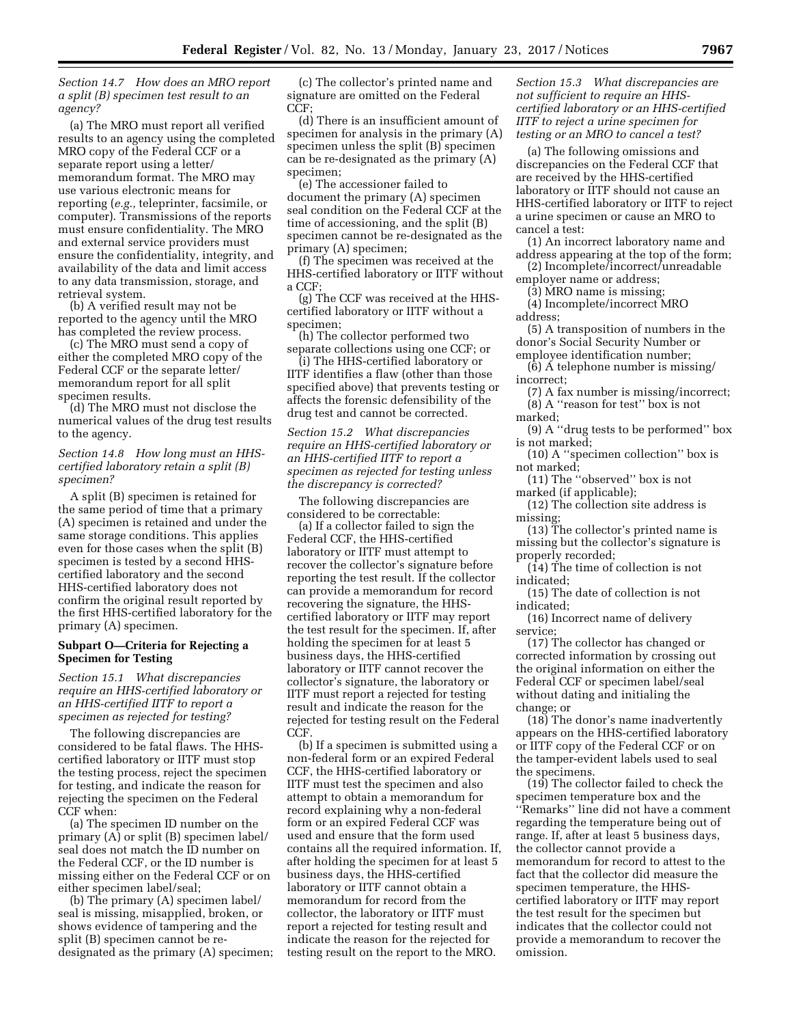*Section 14.7 How does an MRO report a split (B) specimen test result to an agency?* 

(a) The MRO must report all verified results to an agency using the completed MRO copy of the Federal CCF or a separate report using a letter/ memorandum format. The MRO may use various electronic means for reporting (*e.g.,* teleprinter, facsimile, or computer). Transmissions of the reports must ensure confidentiality. The MRO and external service providers must ensure the confidentiality, integrity, and availability of the data and limit access to any data transmission, storage, and retrieval system.

(b) A verified result may not be reported to the agency until the MRO has completed the review process.

(c) The MRO must send a copy of either the completed MRO copy of the Federal CCF or the separate letter/ memorandum report for all split specimen results.

(d) The MRO must not disclose the numerical values of the drug test results to the agency.

# *Section 14.8 How long must an HHScertified laboratory retain a split (B) specimen?*

A split (B) specimen is retained for the same period of time that a primary (A) specimen is retained and under the same storage conditions. This applies even for those cases when the split (B) specimen is tested by a second HHScertified laboratory and the second HHS-certified laboratory does not confirm the original result reported by the first HHS-certified laboratory for the primary (A) specimen.

### **Subpart O—Criteria for Rejecting a Specimen for Testing**

*Section 15.1 What discrepancies require an HHS-certified laboratory or an HHS-certified IITF to report a specimen as rejected for testing?* 

The following discrepancies are considered to be fatal flaws. The HHScertified laboratory or IITF must stop the testing process, reject the specimen for testing, and indicate the reason for rejecting the specimen on the Federal CCF when:

(a) The specimen ID number on the primary (A) or split (B) specimen label/ seal does not match the ID number on the Federal CCF, or the ID number is missing either on the Federal CCF or on either specimen label/seal;

(b) The primary (A) specimen label/ seal is missing, misapplied, broken, or shows evidence of tampering and the split (B) specimen cannot be redesignated as the primary (A) specimen;

(c) The collector's printed name and signature are omitted on the Federal CCF;

(d) There is an insufficient amount of specimen for analysis in the primary (A) specimen unless the split (B) specimen can be re-designated as the primary (A) specimen;

(e) The accessioner failed to document the primary (A) specimen seal condition on the Federal CCF at the time of accessioning, and the split (B) specimen cannot be re-designated as the primary (A) specimen;

(f) The specimen was received at the HHS-certified laboratory or IITF without a CCF;

(g) The CCF was received at the HHScertified laboratory or IITF without a specimen;

(h) The collector performed two separate collections using one CCF; or

(i) The HHS-certified laboratory or IITF identifies a flaw (other than those specified above) that prevents testing or affects the forensic defensibility of the drug test and cannot be corrected.

*Section 15.2 What discrepancies require an HHS-certified laboratory or an HHS-certified IITF to report a specimen as rejected for testing unless the discrepancy is corrected?* 

The following discrepancies are considered to be correctable:

(a) If a collector failed to sign the Federal CCF, the HHS-certified laboratory or IITF must attempt to recover the collector's signature before reporting the test result. If the collector can provide a memorandum for record recovering the signature, the HHScertified laboratory or IITF may report the test result for the specimen. If, after holding the specimen for at least 5 business days, the HHS-certified laboratory or IITF cannot recover the collector's signature, the laboratory or IITF must report a rejected for testing result and indicate the reason for the rejected for testing result on the Federal CCF.

(b) If a specimen is submitted using a non-federal form or an expired Federal CCF, the HHS-certified laboratory or IITF must test the specimen and also attempt to obtain a memorandum for record explaining why a non-federal form or an expired Federal CCF was used and ensure that the form used contains all the required information. If, after holding the specimen for at least 5 business days, the HHS-certified laboratory or IITF cannot obtain a memorandum for record from the collector, the laboratory or IITF must report a rejected for testing result and indicate the reason for the rejected for testing result on the report to the MRO.

*Section 15.3 What discrepancies are not sufficient to require an HHScertified laboratory or an HHS-certified IITF to reject a urine specimen for testing or an MRO to cancel a test?* 

(a) The following omissions and discrepancies on the Federal CCF that are received by the HHS-certified laboratory or IITF should not cause an HHS-certified laboratory or IITF to reject a urine specimen or cause an MRO to cancel a test:

(1) An incorrect laboratory name and address appearing at the top of the form;

(2) Incomplete/incorrect/unreadable employer name or address;

(3) MRO name is missing;

(4) Incomplete/incorrect MRO address;

(5) A transposition of numbers in the donor's Social Security Number or employee identification number;

- (6) A telephone number is missing/ incorrect;
- (7) A fax number is missing/incorrect; (8) A ''reason for test'' box is not marked;
- (9) A ''drug tests to be performed'' box is not marked;

(10) A ''specimen collection'' box is not marked;

(11) The ''observed'' box is not marked (if applicable);

(12) The collection site address is missing;

(13) The collector's printed name is missing but the collector's signature is properly recorded;

(14) The time of collection is not indicated;

(15) The date of collection is not indicated;

(16) Incorrect name of delivery service;

(17) The collector has changed or corrected information by crossing out the original information on either the Federal CCF or specimen label/seal without dating and initialing the change; or

(18) The donor's name inadvertently appears on the HHS-certified laboratory or IITF copy of the Federal CCF or on the tamper-evident labels used to seal the specimens.

(19) The collector failed to check the specimen temperature box and the ''Remarks'' line did not have a comment regarding the temperature being out of range. If, after at least 5 business days, the collector cannot provide a memorandum for record to attest to the fact that the collector did measure the specimen temperature, the HHScertified laboratory or IITF may report the test result for the specimen but indicates that the collector could not provide a memorandum to recover the omission.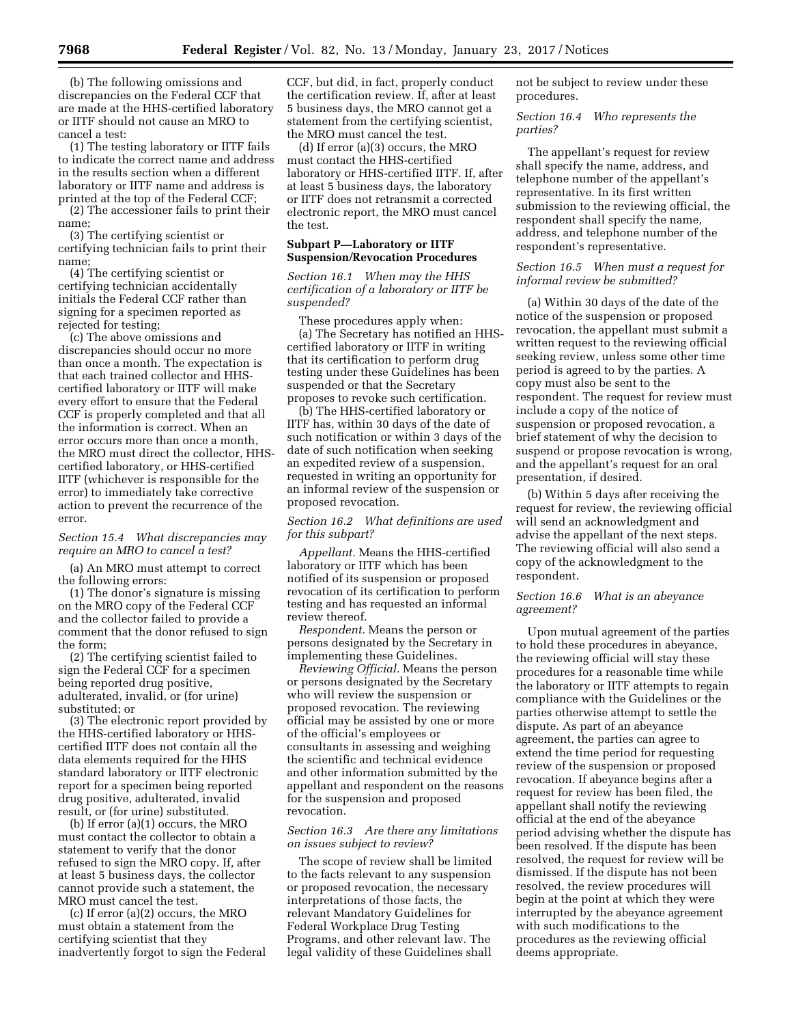(b) The following omissions and discrepancies on the Federal CCF that are made at the HHS-certified laboratory or IITF should not cause an MRO to cancel a test:

(1) The testing laboratory or IITF fails to indicate the correct name and address in the results section when a different laboratory or IITF name and address is printed at the top of the Federal CCF;

(2) The accessioner fails to print their name;

(3) The certifying scientist or certifying technician fails to print their name;

(4) The certifying scientist or certifying technician accidentally initials the Federal CCF rather than signing for a specimen reported as rejected for testing;

(c) The above omissions and discrepancies should occur no more than once a month. The expectation is that each trained collector and HHScertified laboratory or IITF will make every effort to ensure that the Federal CCF is properly completed and that all the information is correct. When an error occurs more than once a month, the MRO must direct the collector, HHScertified laboratory, or HHS-certified IITF (whichever is responsible for the error) to immediately take corrective action to prevent the recurrence of the error.

# *Section 15.4 What discrepancies may require an MRO to cancel a test?*

(a) An MRO must attempt to correct the following errors:

(1) The donor's signature is missing on the MRO copy of the Federal CCF and the collector failed to provide a comment that the donor refused to sign the form;

(2) The certifying scientist failed to sign the Federal CCF for a specimen being reported drug positive, adulterated, invalid, or (for urine) substituted; or

(3) The electronic report provided by the HHS-certified laboratory or HHScertified IITF does not contain all the data elements required for the HHS standard laboratory or IITF electronic report for a specimen being reported drug positive, adulterated, invalid result, or (for urine) substituted.

(b) If error (a)(1) occurs, the MRO must contact the collector to obtain a statement to verify that the donor refused to sign the MRO copy. If, after at least 5 business days, the collector cannot provide such a statement, the MRO must cancel the test.

(c) If error (a)(2) occurs, the MRO must obtain a statement from the certifying scientist that they inadvertently forgot to sign the Federal CCF, but did, in fact, properly conduct the certification review. If, after at least 5 business days, the MRO cannot get a statement from the certifying scientist, the MRO must cancel the test.

(d) If error (a)(3) occurs, the MRO must contact the HHS-certified laboratory or HHS-certified IITF. If, after at least 5 business days, the laboratory or IITF does not retransmit a corrected electronic report, the MRO must cancel the test.

#### **Subpart P—Laboratory or IITF Suspension/Revocation Procedures**

*Section 16.1 When may the HHS certification of a laboratory or IITF be suspended?* 

These procedures apply when: (a) The Secretary has notified an HHScertified laboratory or IITF in writing that its certification to perform drug testing under these Guidelines has been suspended or that the Secretary proposes to revoke such certification.

(b) The HHS-certified laboratory or IITF has, within 30 days of the date of such notification or within 3 days of the date of such notification when seeking an expedited review of a suspension, requested in writing an opportunity for an informal review of the suspension or proposed revocation.

# *Section 16.2 What definitions are used for this subpart?*

*Appellant.* Means the HHS-certified laboratory or IITF which has been notified of its suspension or proposed revocation of its certification to perform testing and has requested an informal review thereof.

*Respondent.* Means the person or persons designated by the Secretary in implementing these Guidelines.

*Reviewing Official.* Means the person or persons designated by the Secretary who will review the suspension or proposed revocation. The reviewing official may be assisted by one or more of the official's employees or consultants in assessing and weighing the scientific and technical evidence and other information submitted by the appellant and respondent on the reasons for the suspension and proposed revocation.

# *Section 16.3 Are there any limitations on issues subject to review?*

The scope of review shall be limited to the facts relevant to any suspension or proposed revocation, the necessary interpretations of those facts, the relevant Mandatory Guidelines for Federal Workplace Drug Testing Programs, and other relevant law. The legal validity of these Guidelines shall

not be subject to review under these procedures.

*Section 16.4 Who represents the parties?* 

The appellant's request for review shall specify the name, address, and telephone number of the appellant's representative. In its first written submission to the reviewing official, the respondent shall specify the name, address, and telephone number of the respondent's representative.

# *Section 16.5 When must a request for informal review be submitted?*

(a) Within 30 days of the date of the notice of the suspension or proposed revocation, the appellant must submit a written request to the reviewing official seeking review, unless some other time period is agreed to by the parties. A copy must also be sent to the respondent. The request for review must include a copy of the notice of suspension or proposed revocation, a brief statement of why the decision to suspend or propose revocation is wrong, and the appellant's request for an oral presentation, if desired.

(b) Within 5 days after receiving the request for review, the reviewing official will send an acknowledgment and advise the appellant of the next steps. The reviewing official will also send a copy of the acknowledgment to the respondent.

# *Section 16.6 What is an abeyance agreement?*

Upon mutual agreement of the parties to hold these procedures in abeyance, the reviewing official will stay these procedures for a reasonable time while the laboratory or IITF attempts to regain compliance with the Guidelines or the parties otherwise attempt to settle the dispute. As part of an abeyance agreement, the parties can agree to extend the time period for requesting review of the suspension or proposed revocation. If abeyance begins after a request for review has been filed, the appellant shall notify the reviewing official at the end of the abeyance period advising whether the dispute has been resolved. If the dispute has been resolved, the request for review will be dismissed. If the dispute has not been resolved, the review procedures will begin at the point at which they were interrupted by the abeyance agreement with such modifications to the procedures as the reviewing official deems appropriate.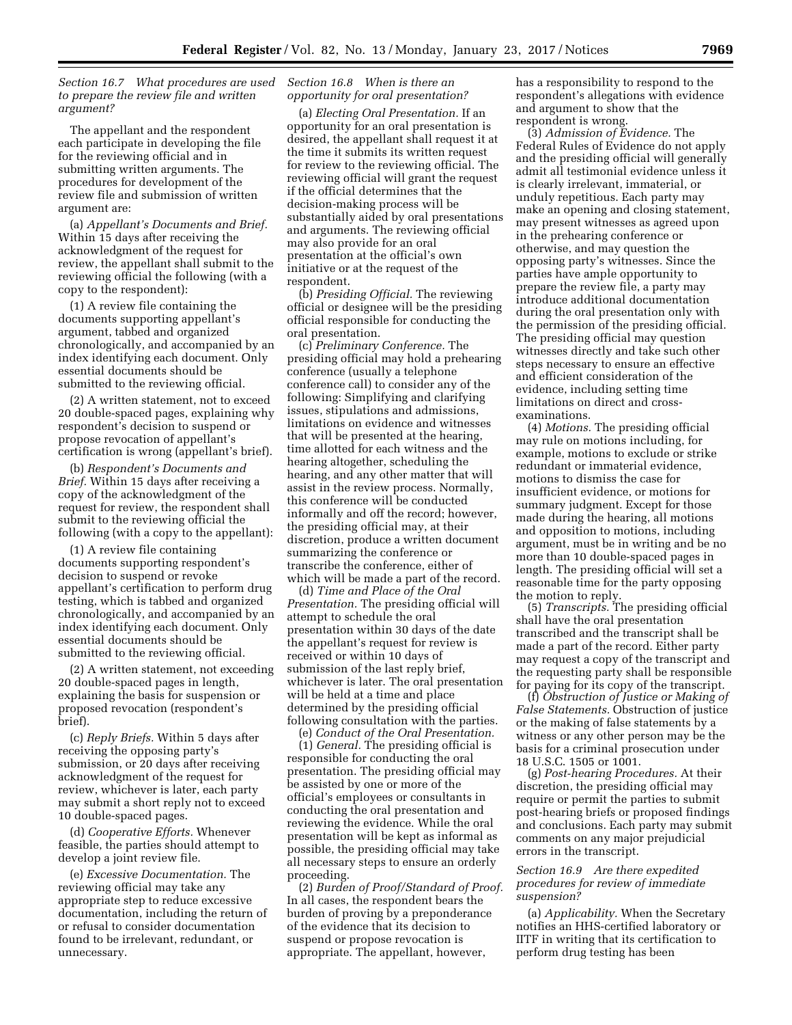*Section 16.7 What procedures are used to prepare the review file and written argument?* 

The appellant and the respondent each participate in developing the file for the reviewing official and in submitting written arguments. The procedures for development of the review file and submission of written argument are:

(a) *Appellant's Documents and Brief.*  Within 15 days after receiving the acknowledgment of the request for review, the appellant shall submit to the reviewing official the following (with a copy to the respondent):

(1) A review file containing the documents supporting appellant's argument, tabbed and organized chronologically, and accompanied by an index identifying each document. Only essential documents should be submitted to the reviewing official.

(2) A written statement, not to exceed 20 double-spaced pages, explaining why respondent's decision to suspend or propose revocation of appellant's certification is wrong (appellant's brief).

(b) *Respondent's Documents and Brief.* Within 15 days after receiving a copy of the acknowledgment of the request for review, the respondent shall submit to the reviewing official the following (with a copy to the appellant):

(1) A review file containing documents supporting respondent's decision to suspend or revoke appellant's certification to perform drug testing, which is tabbed and organized chronologically, and accompanied by an index identifying each document. Only essential documents should be submitted to the reviewing official.

(2) A written statement, not exceeding 20 double-spaced pages in length, explaining the basis for suspension or proposed revocation (respondent's brief).

(c) *Reply Briefs.* Within 5 days after receiving the opposing party's submission, or 20 days after receiving acknowledgment of the request for review, whichever is later, each party may submit a short reply not to exceed 10 double-spaced pages.

(d) *Cooperative Efforts.* Whenever feasible, the parties should attempt to develop a joint review file.

(e) *Excessive Documentation.* The reviewing official may take any appropriate step to reduce excessive documentation, including the return of or refusal to consider documentation found to be irrelevant, redundant, or unnecessary.

# *Section 16.8 When is there an opportunity for oral presentation?*

(a) *Electing Oral Presentation.* If an opportunity for an oral presentation is desired, the appellant shall request it at the time it submits its written request for review to the reviewing official. The reviewing official will grant the request if the official determines that the decision-making process will be substantially aided by oral presentations and arguments. The reviewing official may also provide for an oral presentation at the official's own initiative or at the request of the respondent.

(b) *Presiding Official.* The reviewing official or designee will be the presiding official responsible for conducting the oral presentation.

(c) *Preliminary Conference.* The presiding official may hold a prehearing conference (usually a telephone conference call) to consider any of the following: Simplifying and clarifying issues, stipulations and admissions, limitations on evidence and witnesses that will be presented at the hearing, time allotted for each witness and the hearing altogether, scheduling the hearing, and any other matter that will assist in the review process. Normally, this conference will be conducted informally and off the record; however, the presiding official may, at their discretion, produce a written document summarizing the conference or transcribe the conference, either of which will be made a part of the record.

(d) *Time and Place of the Oral Presentation.* The presiding official will attempt to schedule the oral presentation within 30 days of the date the appellant's request for review is received or within 10 days of submission of the last reply brief, whichever is later. The oral presentation will be held at a time and place determined by the presiding official following consultation with the parties.

(e) *Conduct of the Oral Presentation.* 

(1) *General.* The presiding official is responsible for conducting the oral presentation. The presiding official may be assisted by one or more of the official's employees or consultants in conducting the oral presentation and reviewing the evidence. While the oral presentation will be kept as informal as possible, the presiding official may take all necessary steps to ensure an orderly proceeding.

(2) *Burden of Proof/Standard of Proof.*  In all cases, the respondent bears the burden of proving by a preponderance of the evidence that its decision to suspend or propose revocation is appropriate. The appellant, however,

has a responsibility to respond to the respondent's allegations with evidence and argument to show that the respondent is wrong.

(3) *Admission of Evidence.* The Federal Rules of Evidence do not apply and the presiding official will generally admit all testimonial evidence unless it is clearly irrelevant, immaterial, or unduly repetitious. Each party may make an opening and closing statement, may present witnesses as agreed upon in the prehearing conference or otherwise, and may question the opposing party's witnesses. Since the parties have ample opportunity to prepare the review file, a party may introduce additional documentation during the oral presentation only with the permission of the presiding official. The presiding official may question witnesses directly and take such other steps necessary to ensure an effective and efficient consideration of the evidence, including setting time limitations on direct and crossexaminations.

(4) *Motions.* The presiding official may rule on motions including, for example, motions to exclude or strike redundant or immaterial evidence, motions to dismiss the case for insufficient evidence, or motions for summary judgment. Except for those made during the hearing, all motions and opposition to motions, including argument, must be in writing and be no more than 10 double-spaced pages in length. The presiding official will set a reasonable time for the party opposing the motion to reply.

(5) *Transcripts.* The presiding official shall have the oral presentation transcribed and the transcript shall be made a part of the record. Either party may request a copy of the transcript and the requesting party shall be responsible for paying for its copy of the transcript.

(f) *Obstruction of Justice or Making of False Statements.* Obstruction of justice or the making of false statements by a witness or any other person may be the basis for a criminal prosecution under 18 U.S.C. 1505 or 1001.

(g) *Post-hearing Procedures.* At their discretion, the presiding official may require or permit the parties to submit post-hearing briefs or proposed findings and conclusions. Each party may submit comments on any major prejudicial errors in the transcript.

# *Section 16.9 Are there expedited procedures for review of immediate suspension?*

(a) *Applicability.* When the Secretary notifies an HHS-certified laboratory or IITF in writing that its certification to perform drug testing has been